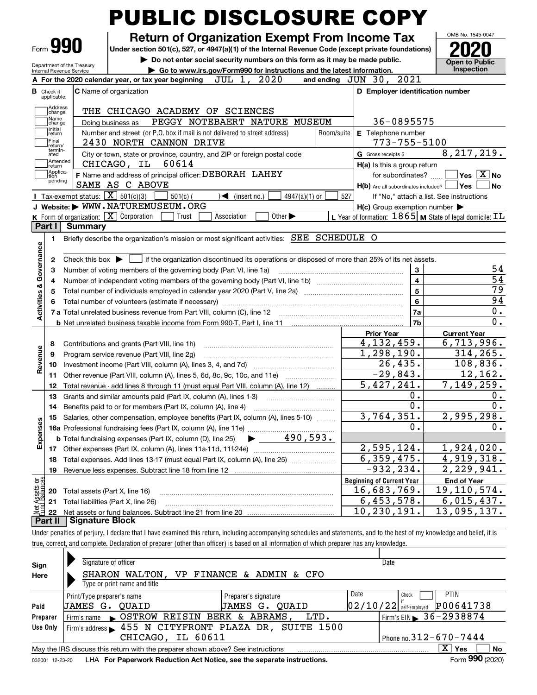|                                            | Form 990                                                                                                                                                 | <b>Return of Organization Exempt From Income Tax</b><br>Under section 501(c), 527, or 4947(a)(1) of the Internal Revenue Code (except private foundations) |            |                                                     |                | OMB No. 1545-0047                                                  |  |  |  |  |  |
|--------------------------------------------|----------------------------------------------------------------------------------------------------------------------------------------------------------|------------------------------------------------------------------------------------------------------------------------------------------------------------|------------|-----------------------------------------------------|----------------|--------------------------------------------------------------------|--|--|--|--|--|
|                                            | Department of the Treasury                                                                                                                               | Do not enter social security numbers on this form as it may be made public.                                                                                |            |                                                     |                | <b>Open to Public</b><br>Inspection                                |  |  |  |  |  |
|                                            | Internal Revenue Service                                                                                                                                 | Go to www.irs.gov/Form990 for instructions and the latest information.<br>2020                                                                             |            | and ending JUN 30, 2021                             |                |                                                                    |  |  |  |  |  |
|                                            |                                                                                                                                                          | A For the 2020 calendar year, or tax year beginning $JUL 1$ ,                                                                                              |            |                                                     |                |                                                                    |  |  |  |  |  |
|                                            | <b>B</b> Check if<br>applicable:                                                                                                                         | <b>C</b> Name of organization                                                                                                                              |            | D Employer identification number                    |                |                                                                    |  |  |  |  |  |
|                                            | Address                                                                                                                                                  | THE CHICAGO ACADEMY OF SCIENCES                                                                                                                            |            |                                                     |                |                                                                    |  |  |  |  |  |
|                                            | change<br>Name                                                                                                                                           | PEGGY NOTEBAERT NATURE MUSEUM<br>Doing business as                                                                                                         |            | 36-0895575                                          |                |                                                                    |  |  |  |  |  |
|                                            | change<br>Initial<br>return                                                                                                                              | Number and street (or P.O. box if mail is not delivered to street address)                                                                                 | Room/suite | E Telephone number                                  |                |                                                                    |  |  |  |  |  |
|                                            | Final                                                                                                                                                    | 2430 NORTH CANNON DRIVE                                                                                                                                    |            | 773-755-5100                                        |                |                                                                    |  |  |  |  |  |
|                                            | return/<br>termin-<br>ated                                                                                                                               | City or town, state or province, country, and ZIP or foreign postal code                                                                                   |            | G Gross receipts \$                                 |                | 8, 217, 219.                                                       |  |  |  |  |  |
|                                            | Amended<br>return                                                                                                                                        | CHICAGO, IL<br>60614                                                                                                                                       |            | H(a) Is this a group return                         |                |                                                                    |  |  |  |  |  |
|                                            | Applica-<br>tion                                                                                                                                         | F Name and address of principal officer: DEBORAH LAHEY                                                                                                     |            | for subordinates?                                   |                | $\overline{\mathsf{Yes}}$ $\overline{\mathsf{X}}$ No               |  |  |  |  |  |
|                                            | pending                                                                                                                                                  | SAME AS C ABOVE                                                                                                                                            |            | $H(b)$ Are all subordinates included?               |                | Yes<br>l No                                                        |  |  |  |  |  |
|                                            | Tax-exempt status: $\boxed{\mathbf{X}}$ 501(c)(3)                                                                                                        | $501(c)$ (<br>$\blacktriangleleft$ (insert no.)<br>$4947(a)(1)$ or                                                                                         | 527        |                                                     |                | If "No," attach a list. See instructions                           |  |  |  |  |  |
|                                            |                                                                                                                                                          | J Website: WWW.NATUREMUSEUM.ORG                                                                                                                            |            | $H(c)$ Group exemption number $\blacktriangleright$ |                |                                                                    |  |  |  |  |  |
|                                            |                                                                                                                                                          | <b>K</b> Form of organization: $\boxed{\mathbf{X}}$ Corporation<br>Association<br>Other $\blacktriangleright$<br>Trust                                     |            |                                                     |                | L Year of formation: $1865$ M State of legal domicile: $\text{TL}$ |  |  |  |  |  |
|                                            | Part I<br><b>Summary</b>                                                                                                                                 |                                                                                                                                                            |            |                                                     |                |                                                                    |  |  |  |  |  |
|                                            | 1                                                                                                                                                        | Briefly describe the organization's mission or most significant activities: SEE SCHEDULE O                                                                 |            |                                                     |                |                                                                    |  |  |  |  |  |
|                                            |                                                                                                                                                          |                                                                                                                                                            |            |                                                     |                |                                                                    |  |  |  |  |  |
|                                            | Check this box $\blacktriangleright$ $\blacksquare$ if the organization discontinued its operations or disposed of more than 25% of its net assets.<br>2 |                                                                                                                                                            |            |                                                     |                |                                                                    |  |  |  |  |  |
|                                            | 3<br>Number of voting members of the governing body (Part VI, line 1a)<br>3                                                                              |                                                                                                                                                            |            |                                                     |                |                                                                    |  |  |  |  |  |
|                                            | 4                                                                                                                                                        | $\overline{\mathbf{4}}$                                                                                                                                    |            |                                                     |                |                                                                    |  |  |  |  |  |
|                                            | 5                                                                                                                                                        |                                                                                                                                                            |            |                                                     | $\overline{5}$ | 79                                                                 |  |  |  |  |  |
|                                            |                                                                                                                                                          |                                                                                                                                                            |            |                                                     | 6              | 94                                                                 |  |  |  |  |  |
| Activities & Governance                    |                                                                                                                                                          | 7 a Total unrelated business revenue from Part VIII, column (C), line 12                                                                                   |            |                                                     | 7a             | 0.                                                                 |  |  |  |  |  |
|                                            |                                                                                                                                                          |                                                                                                                                                            |            |                                                     | 7 <sub>b</sub> | $\overline{0}$ .                                                   |  |  |  |  |  |
|                                            |                                                                                                                                                          |                                                                                                                                                            |            | <b>Prior Year</b>                                   |                | <b>Current Year</b>                                                |  |  |  |  |  |
|                                            | 8                                                                                                                                                        | Contributions and grants (Part VIII, line 1h)                                                                                                              |            | 4, 132, 459.                                        |                | 6,713,996.                                                         |  |  |  |  |  |
|                                            | 9                                                                                                                                                        | Program service revenue (Part VIII, line 2g)                                                                                                               |            | 1,298,190.                                          |                | 314, 265.                                                          |  |  |  |  |  |
| Revenue                                    | 10                                                                                                                                                       |                                                                                                                                                            |            | 26,435.                                             |                | 108,836.                                                           |  |  |  |  |  |
|                                            | 11                                                                                                                                                       | Other revenue (Part VIII, column (A), lines 5, 6d, 8c, 9c, 10c, and 11e)                                                                                   |            | $-29,843.$                                          |                | 12, 162.                                                           |  |  |  |  |  |
|                                            | 12                                                                                                                                                       | Total revenue - add lines 8 through 11 (must equal Part VIII, column (A), line 12)                                                                         |            | 5,427,241.                                          |                | 7,149,259.                                                         |  |  |  |  |  |
|                                            |                                                                                                                                                          | 13 Grants and similar amounts paid (Part IX, column (A), lines 1-3)                                                                                        |            |                                                     | 0.             | 0.                                                                 |  |  |  |  |  |
|                                            | 14                                                                                                                                                       | Benefits paid to or for members (Part IX, column (A), line 4)                                                                                              |            |                                                     | 0.             | 0.<br>2,995,298.                                                   |  |  |  |  |  |
|                                            |                                                                                                                                                          | 3,764,351.<br>Salaries, other compensation, employee benefits (Part IX, column (A), lines 5-10)                                                            |            |                                                     |                |                                                                    |  |  |  |  |  |
|                                            | 15                                                                                                                                                       |                                                                                                                                                            |            |                                                     |                |                                                                    |  |  |  |  |  |
|                                            |                                                                                                                                                          |                                                                                                                                                            |            |                                                     |                |                                                                    |  |  |  |  |  |
|                                            |                                                                                                                                                          | $\blacktriangleright$ 490,593.<br><b>b</b> Total fundraising expenses (Part IX, column (D), line 25)                                                       |            |                                                     |                |                                                                    |  |  |  |  |  |
|                                            | 17                                                                                                                                                       |                                                                                                                                                            |            | 2,595,124.                                          |                |                                                                    |  |  |  |  |  |
|                                            | 18                                                                                                                                                       | Total expenses. Add lines 13-17 (must equal Part IX, column (A), line 25) [                                                                                |            | 6, 359, 475.                                        |                |                                                                    |  |  |  |  |  |
|                                            | 19                                                                                                                                                       | Revenue less expenses. Subtract line 18 from line 12 [11] [21] [21] [21] Revenue less expenses. Subtract line 18                                           |            | $-932, 234.$                                        |                |                                                                    |  |  |  |  |  |
|                                            |                                                                                                                                                          |                                                                                                                                                            |            | <b>Beginning of Current Year</b>                    |                | <b>End of Year</b>                                                 |  |  |  |  |  |
|                                            | 20                                                                                                                                                       | Total assets (Part X, line 16)                                                                                                                             |            | 16,683,769.                                         |                | 1,924,020.<br>4,919,318.<br>2,229,941.<br>19, 110, 574.            |  |  |  |  |  |
| Expenses<br>Net Assets or<br>Eund Balances | 21<br>22                                                                                                                                                 | Total liabilities (Part X, line 26)                                                                                                                        |            | 6,453,578.<br>10,230,191.                           |                | 6,015,437.<br>13,095,137.                                          |  |  |  |  |  |

| Sign     | Signature of officer                                                                                         |                       | Date                         |                       |  |  |  |  |  |  |  |  |
|----------|--------------------------------------------------------------------------------------------------------------|-----------------------|------------------------------|-----------------------|--|--|--|--|--|--|--|--|
| Here     | SHARON WALTON,<br>VP.                                                                                        | FINANCE & ADMIN & CFO |                              |                       |  |  |  |  |  |  |  |  |
|          | Type or print name and title                                                                                 |                       |                              |                       |  |  |  |  |  |  |  |  |
|          | Preparer's signature<br>Print/Type preparer's name                                                           |                       | Date<br>Check                | <b>PTIN</b>           |  |  |  |  |  |  |  |  |
| Paid     | UAMES G.<br>JAMES<br>OUAID                                                                                   | OUAID<br>G.           | $02/10/22$ self-employed     | P00641738             |  |  |  |  |  |  |  |  |
| Preparer | Firm's name SOSTROW REISIN BERK & ABRAMS,                                                                    | LTD.                  | Firm's EIN 36-2938874        |                       |  |  |  |  |  |  |  |  |
| Use Only | Firm's address > 455 N CITYFRONT PLAZA DR, SUITE 1500                                                        |                       |                              |                       |  |  |  |  |  |  |  |  |
|          | IL 60611<br>CHICAGO,                                                                                         |                       | Phone no. $312 - 670 - 7444$ |                       |  |  |  |  |  |  |  |  |
|          | May the IRS discuss this return with the preparer shown above? See instructions                              |                       |                              | x<br><b>No</b><br>Yes |  |  |  |  |  |  |  |  |
|          | Form 990 (2020)<br>LHA For Paperwork Reduction Act Notice, see the separate instructions.<br>032001 12-23-20 |                       |                              |                       |  |  |  |  |  |  |  |  |

true, correct, and complete. Declaration of preparer (other than officer) is based on all information of which preparer has any knowledge.

032001 12-23-20 LHA **For Paperwork Reduction Act Notice, see the separate instructions.**<br>032001 12-23-20 LHA **For Paperwork Reduction Act Notice, see the separate instructions.**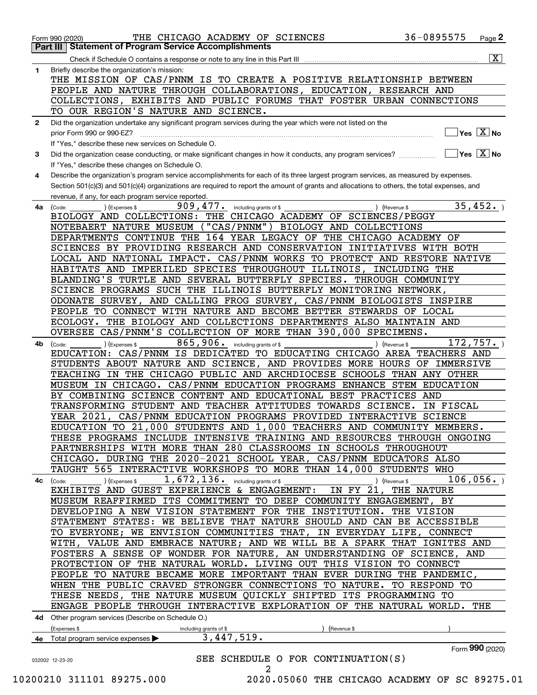|              | THE CHICAGO ACADEMY OF SCIENCES<br>Form 990 (2020)                                                                                                                                                                                                                                   | 36-0895575                                      | Page $2$                                   |
|--------------|--------------------------------------------------------------------------------------------------------------------------------------------------------------------------------------------------------------------------------------------------------------------------------------|-------------------------------------------------|--------------------------------------------|
|              | <b>Statement of Program Service Accomplishments</b><br>Part III I                                                                                                                                                                                                                    |                                                 |                                            |
|              | Check if Schedule O contains a response or note to any line in this Part III                                                                                                                                                                                                         |                                                 | $\overline{\mathbf{X}}$                    |
| 1.           | Briefly describe the organization's mission:                                                                                                                                                                                                                                         |                                                 |                                            |
|              | THE MISSION OF CAS/PNNM IS TO CREATE A POSITIVE RELATIONSHIP BETWEEN                                                                                                                                                                                                                 |                                                 |                                            |
|              | PEOPLE AND NATURE THROUGH COLLABORATIONS, EDUCATION, RESEARCH AND                                                                                                                                                                                                                    |                                                 |                                            |
|              | COLLECTIONS, EXHIBITS AND PUBLIC FORUMS THAT FOSTER URBAN CONNECTIONS                                                                                                                                                                                                                |                                                 |                                            |
|              | TO OUR REGION'S NATURE AND SCIENCE.                                                                                                                                                                                                                                                  |                                                 |                                            |
| $\mathbf{2}$ | Did the organization undertake any significant program services during the year which were not listed on the                                                                                                                                                                         |                                                 |                                            |
|              | prior Form 990 or 990-EZ?                                                                                                                                                                                                                                                            |                                                 | $\overline{\ }$ Yes $\overline{\rm{X}}$ No |
|              | If "Yes," describe these new services on Schedule O.                                                                                                                                                                                                                                 |                                                 |                                            |
| 3            | Did the organization cease conducting, or make significant changes in how it conducts, any program services?                                                                                                                                                                         | $\boxed{\phantom{1}}$ Yes $\boxed{\text{X}}$ No |                                            |
|              | If "Yes," describe these changes on Schedule O.                                                                                                                                                                                                                                      |                                                 |                                            |
| 4            | Describe the organization's program service accomplishments for each of its three largest program services, as measured by expenses.<br>Section 501(c)(3) and 501(c)(4) organizations are required to report the amount of grants and allocations to others, the total expenses, and |                                                 |                                            |
|              | revenue, if any, for each program service reported.                                                                                                                                                                                                                                  |                                                 |                                            |
| 4a           | 909, 477. including grants of \$<br>(Expenses \$<br>(Code:<br>) (Revenue \$                                                                                                                                                                                                          |                                                 | 35,452.                                    |
|              | BIOLOGY AND COLLECTIONS: THE CHICAGO ACADEMY OF SCIENCES/PEGGY                                                                                                                                                                                                                       |                                                 |                                            |
|              | NOTEBAERT NATURE MUSEUM ("CAS/PNNM") BIOLOGY AND COLLECTIONS                                                                                                                                                                                                                         |                                                 |                                            |
|              | DEPARTMENTS CONTINUE THE 164 YEAR LEGACY OF THE CHICAGO ACADEMY OF                                                                                                                                                                                                                   |                                                 |                                            |
|              | SCIENCES BY PROVIDING RESEARCH AND CONSERVATION INITIATIVES WITH BOTH                                                                                                                                                                                                                |                                                 |                                            |
|              | LOCAL AND NATIONAL IMPACT. CAS/PNNM WORKS TO PROTECT AND RESTORE NATIVE                                                                                                                                                                                                              |                                                 |                                            |
|              | HABITATS AND IMPERILED SPECIES THROUGHOUT ILLINOIS, INCLUDING THE                                                                                                                                                                                                                    |                                                 |                                            |
|              | BLANDING'S TURTLE AND SEVERAL BUTTERFLY SPECIES. THROUGH COMMUNITY                                                                                                                                                                                                                   |                                                 |                                            |
|              | SCIENCE PROGRAMS SUCH THE ILLINOIS BUTTERFLY MONITORING NETWORK,                                                                                                                                                                                                                     |                                                 |                                            |
|              | ODONATE SURVEY, AND CALLING FROG SURVEY, CAS/PNNM BIOLOGISTS INSPIRE                                                                                                                                                                                                                 |                                                 |                                            |
|              | PEOPLE TO CONNECT WITH NATURE AND BECOME BETTER STEWARDS OF LOCAL                                                                                                                                                                                                                    |                                                 |                                            |
|              | ECOLOGY. THE BIOLOGY AND COLLECTIONS DEPARTMENTS ALSO MAINTAIN AND                                                                                                                                                                                                                   |                                                 |                                            |
|              | OVERSEE CAS/PNNM'S COLLECTION OF MORE THAN 390,000 SPECIMENS.                                                                                                                                                                                                                        |                                                 |                                            |
| 4b           | 865, 906. including grants of \$<br>) (Expenses \$<br>(Code:<br>(Revenue \$                                                                                                                                                                                                          |                                                 | 172, 757.                                  |
|              | EDUCATION: CAS/PNNM IS DEDICATED TO EDUCATING CHICAGO AREA TEACHERS AND                                                                                                                                                                                                              |                                                 |                                            |
|              | STUDENTS ABOUT NATURE AND SCIENCE, AND PROVIDES MORE HOURS OF IMMERSIVE                                                                                                                                                                                                              |                                                 |                                            |
|              | TEACHING IN THE CHICAGO PUBLIC AND ARCHDIOCESE SCHOOLS THAN ANY OTHER                                                                                                                                                                                                                |                                                 |                                            |
|              | MUSEUM IN CHICAGO. CAS/PNNM EDUCATION PROGRAMS ENHANCE STEM EDUCATION                                                                                                                                                                                                                |                                                 |                                            |
|              | BY COMBINING SCIENCE CONTENT AND EDUCATIONAL BEST PRACTICES AND                                                                                                                                                                                                                      |                                                 |                                            |
|              | TRANSFORMING STUDENT AND TEACHER ATTITUDES TOWARDS SCIENCE. IN FISCAL                                                                                                                                                                                                                |                                                 |                                            |
|              | YEAR 2021, CAS/PNNM EDUCATION PROGRAMS PROVIDED INTERACTIVE SCIENCE                                                                                                                                                                                                                  |                                                 |                                            |
|              | EDUCATION TO 21,000 STUDENTS AND 1,000 TEACHERS AND COMMUNITY MEMBERS.                                                                                                                                                                                                               |                                                 |                                            |
|              | THESE PROGRAMS INCLUDE INTENSIVE TRAINING AND RESOURCES THROUGH ONGOING                                                                                                                                                                                                              |                                                 |                                            |
|              | PARTNERSHIPS WITH MORE THAN 280 CLASSROOMS IN SCHOOLS THROUGHOUT                                                                                                                                                                                                                     |                                                 |                                            |
|              | CHICAGO. DURING THE 2020-2021 SCHOOL YEAR, CAS/PNNM EDUCATORS ALSO                                                                                                                                                                                                                   |                                                 |                                            |
|              | TAUGHT 565 INTERACTIVE WORKSHOPS TO MORE THAN 14,000 STUDENTS WHO                                                                                                                                                                                                                    |                                                 |                                            |
| 4с           | 1,672,136.<br>including grants of \$<br>(Expenses \$<br>(Code:<br>Revenue \$                                                                                                                                                                                                         |                                                 | 106,056.                                   |
|              | EXHIBITS AND GUEST EXPERIENCE & ENGAGEMENT:<br>IN FY 21,                                                                                                                                                                                                                             | THE NATURE                                      |                                            |
|              | MUSEUM REAFFIRMED ITS COMMITMENT TO DEEP COMMUNITY ENGAGEMENT, BY                                                                                                                                                                                                                    |                                                 |                                            |
|              | DEVELOPING A NEW VISION STATEMENT FOR THE INSTITUTION. THE VISION                                                                                                                                                                                                                    |                                                 |                                            |
|              | STATEMENT STATES: WE BELIEVE THAT NATURE SHOULD AND CAN BE ACCESSIBLE                                                                                                                                                                                                                |                                                 |                                            |
|              | TO EVERYONE; WE ENVISION COMMUNITIES THAT, IN EVERYDAY LIFE, CONNECT                                                                                                                                                                                                                 |                                                 |                                            |
|              | WITH, VALUE AND EMBRACE NATURE; AND WE WILL BE A SPARK THAT IGNITES AND                                                                                                                                                                                                              |                                                 |                                            |
|              | FOSTERS A SENSE OF WONDER FOR NATURE, AN UNDERSTANDING OF SCIENCE, AND                                                                                                                                                                                                               |                                                 |                                            |
|              | PROTECTION OF THE NATURAL WORLD. LIVING OUT THIS VISION TO CONNECT                                                                                                                                                                                                                   |                                                 |                                            |
|              | PEOPLE TO NATURE BECAME MORE IMPORTANT THAN EVER DURING THE PANDEMIC,                                                                                                                                                                                                                |                                                 |                                            |
|              | WHEN THE PUBLIC CRAVED STRONGER CONNECTIONS TO NATURE. TO RESPOND TO                                                                                                                                                                                                                 |                                                 |                                            |
|              | THESE NEEDS, THE NATURE MUSEUM QUICKLY SHIFTED ITS PROGRAMMING TO                                                                                                                                                                                                                    |                                                 |                                            |
|              | ENGAGE PEOPLE THROUGH INTERACTIVE EXPLORATION OF THE NATURAL WORLD. THE                                                                                                                                                                                                              |                                                 |                                            |
|              | 4d Other program services (Describe on Schedule O.)                                                                                                                                                                                                                                  |                                                 |                                            |
|              | (Expenses \$<br>(Revenue \$<br>including grants of \$                                                                                                                                                                                                                                |                                                 |                                            |
|              | 3,447,519.<br>4e Total program service expenses $\blacktriangleright$                                                                                                                                                                                                                |                                                 |                                            |
|              |                                                                                                                                                                                                                                                                                      |                                                 | Form 990 (2020)                            |
|              | SEE SCHEDULE O FOR CONTINUATION(S)<br>032002 12-23-20                                                                                                                                                                                                                                |                                                 |                                            |
|              | 2                                                                                                                                                                                                                                                                                    |                                                 |                                            |
|              | 10200210 311101 89275.000<br>2020.05060 THE CHICAGO ACADEMY OF SC 89275.01                                                                                                                                                                                                           |                                                 |                                            |
|              |                                                                                                                                                                                                                                                                                      |                                                 |                                            |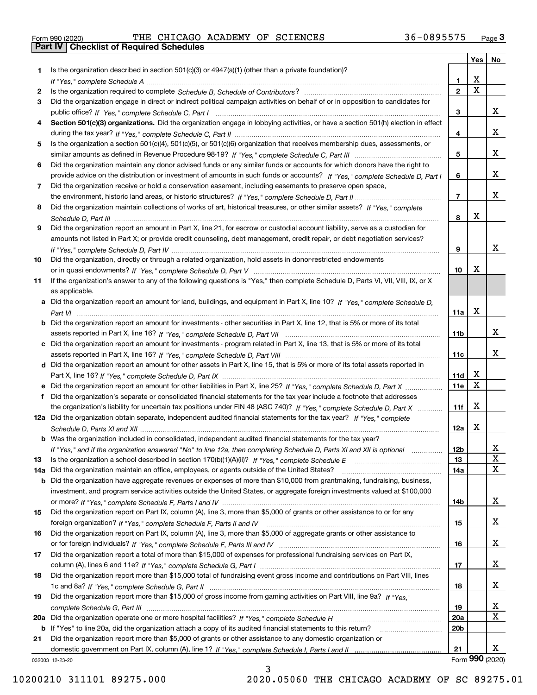|  | Form 990 (2020) |
|--|-----------------|

Form 990 (2020) THE CHICAGO ACADEMY OF SCIENCES 36-0895575 <sub>Page</sub> 3<br>**Part IV | Checklist of Required Schedules** 

|     |                                                                                                                                       |                 | Yes   No                |                 |
|-----|---------------------------------------------------------------------------------------------------------------------------------------|-----------------|-------------------------|-----------------|
| 1.  | Is the organization described in section 501(c)(3) or $4947(a)(1)$ (other than a private foundation)?                                 |                 |                         |                 |
|     |                                                                                                                                       | 1.              | X                       |                 |
| 2   |                                                                                                                                       | $\overline{2}$  | $\overline{\mathbf{x}}$ |                 |
| 3   | Did the organization engage in direct or indirect political campaign activities on behalf of or in opposition to candidates for       |                 |                         |                 |
|     |                                                                                                                                       | 3               |                         | x               |
| 4   | Section 501(c)(3) organizations. Did the organization engage in lobbying activities, or have a section 501(h) election in effect      |                 |                         |                 |
|     |                                                                                                                                       | 4               |                         | x               |
| 5   | Is the organization a section 501(c)(4), 501(c)(5), or 501(c)(6) organization that receives membership dues, assessments, or          |                 |                         |                 |
|     |                                                                                                                                       | 5               |                         | x               |
| 6   | Did the organization maintain any donor advised funds or any similar funds or accounts for which donors have the right to             |                 |                         |                 |
|     | provide advice on the distribution or investment of amounts in such funds or accounts? If "Yes," complete Schedule D, Part I          | 6               |                         | x               |
| 7   | Did the organization receive or hold a conservation easement, including easements to preserve open space,                             |                 |                         |                 |
|     |                                                                                                                                       | $\overline{7}$  |                         | X               |
| 8   | Did the organization maintain collections of works of art, historical treasures, or other similar assets? If "Yes," complete          |                 |                         |                 |
|     |                                                                                                                                       | 8               | X                       |                 |
| 9   | Did the organization report an amount in Part X, line 21, for escrow or custodial account liability, serve as a custodian for         |                 |                         |                 |
|     | amounts not listed in Part X; or provide credit counseling, debt management, credit repair, or debt negotiation services?             |                 |                         |                 |
|     |                                                                                                                                       | 9               |                         | x               |
| 10  | Did the organization, directly or through a related organization, hold assets in donor-restricted endowments                          |                 |                         |                 |
|     |                                                                                                                                       | 10              | X                       |                 |
| 11  | If the organization's answer to any of the following questions is "Yes," then complete Schedule D, Parts VI, VII, VIII, IX, or X      |                 |                         |                 |
|     | as applicable.                                                                                                                        |                 |                         |                 |
|     | a Did the organization report an amount for land, buildings, and equipment in Part X, line 10? If "Yes." complete Schedule D.         |                 |                         |                 |
|     |                                                                                                                                       | 11a             | $\mathbf X$             |                 |
|     | <b>b</b> Did the organization report an amount for investments - other securities in Part X, line 12, that is 5% or more of its total |                 |                         |                 |
|     |                                                                                                                                       | 11b             |                         | x               |
|     | c Did the organization report an amount for investments - program related in Part X, line 13, that is 5% or more of its total         |                 |                         |                 |
|     |                                                                                                                                       | 11c             |                         | x               |
|     | d Did the organization report an amount for other assets in Part X, line 15, that is 5% or more of its total assets reported in       |                 |                         |                 |
|     |                                                                                                                                       | 11d             | х                       |                 |
|     | e Did the organization report an amount for other liabilities in Part X, line 25? If "Yes," complete Schedule D, Part X               | 11e             | $\mathbf X$             |                 |
| f   | Did the organization's separate or consolidated financial statements for the tax year include a footnote that addresses               |                 |                         |                 |
|     | the organization's liability for uncertain tax positions under FIN 48 (ASC 740)? If "Yes," complete Schedule D, Part X                | 11f             | X                       |                 |
|     | 12a Did the organization obtain separate, independent audited financial statements for the tax year? If "Yes," complete               |                 |                         |                 |
|     |                                                                                                                                       | 12a             | X                       |                 |
|     | <b>b</b> Was the organization included in consolidated, independent audited financial statements for the tax year?                    |                 |                         |                 |
|     | If "Yes," and if the organization answered "No" to line 12a, then completing Schedule D, Parts XI and XII is optional                 | 12b             |                         | 4<br>X          |
| 13  |                                                                                                                                       | 13              |                         | X               |
| 14a | Did the organization maintain an office, employees, or agents outside of the United States?                                           | 14a             |                         |                 |
|     | <b>b</b> Did the organization have aggregate revenues or expenses of more than \$10,000 from grantmaking, fundraising, business,      |                 |                         |                 |
|     | investment, and program service activities outside the United States, or aggregate foreign investments valued at \$100,000            |                 |                         | X               |
| 15  | Did the organization report on Part IX, column (A), line 3, more than \$5,000 of grants or other assistance to or for any             | 14b             |                         |                 |
|     |                                                                                                                                       | 15              |                         | X               |
| 16  | Did the organization report on Part IX, column (A), line 3, more than \$5,000 of aggregate grants or other assistance to              |                 |                         |                 |
|     |                                                                                                                                       | 16              |                         | X               |
| 17  | Did the organization report a total of more than \$15,000 of expenses for professional fundraising services on Part IX,               |                 |                         |                 |
|     |                                                                                                                                       | 17              |                         | X               |
| 18  | Did the organization report more than \$15,000 total of fundraising event gross income and contributions on Part VIII, lines          |                 |                         |                 |
|     |                                                                                                                                       | 18              |                         | X               |
| 19  | Did the organization report more than \$15,000 of gross income from gaming activities on Part VIII, line 9a? If "Yes."                |                 |                         |                 |
|     |                                                                                                                                       | 19              |                         | x               |
|     |                                                                                                                                       | 20a             |                         | $\mathbf x$     |
|     | b If "Yes" to line 20a, did the organization attach a copy of its audited financial statements to this return?                        | 20 <sub>b</sub> |                         |                 |
| 21  | Did the organization report more than \$5,000 of grants or other assistance to any domestic organization or                           |                 |                         |                 |
|     |                                                                                                                                       | 21              |                         | x               |
|     | 032003 12-23-20                                                                                                                       |                 |                         | Form 990 (2020) |

3

032003 12-23-20

10200210 311101 89275.000 2020.05060 THE CHICAGO ACADEMY OF SC 89275.01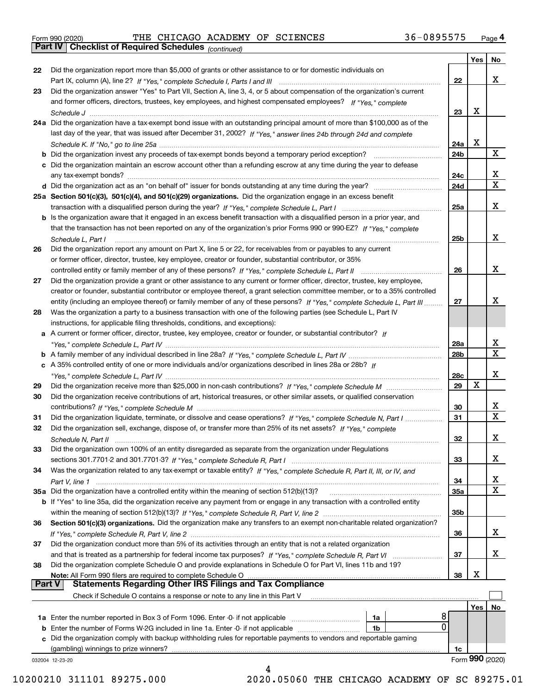|  | Form 990 (2020) |
|--|-----------------|
|  |                 |

|               |                                                                                                                                   |                 | Yes        | No                |
|---------------|-----------------------------------------------------------------------------------------------------------------------------------|-----------------|------------|-------------------|
| 22            | Did the organization report more than \$5,000 of grants or other assistance to or for domestic individuals on                     |                 |            |                   |
|               |                                                                                                                                   | 22              |            | x                 |
| 23            | Did the organization answer "Yes" to Part VII, Section A, line 3, 4, or 5 about compensation of the organization's current        |                 |            |                   |
|               | and former officers, directors, trustees, key employees, and highest compensated employees? If "Yes," complete                    |                 |            |                   |
|               |                                                                                                                                   | 23              | X          |                   |
|               | 24a Did the organization have a tax-exempt bond issue with an outstanding principal amount of more than \$100,000 as of the       |                 |            |                   |
|               | last day of the year, that was issued after December 31, 2002? If "Yes," answer lines 24b through 24d and complete                |                 |            |                   |
|               |                                                                                                                                   | 24a             | X          |                   |
|               | b Did the organization invest any proceeds of tax-exempt bonds beyond a temporary period exception?                               | 24b             |            | x                 |
|               | c Did the organization maintain an escrow account other than a refunding escrow at any time during the year to defease            |                 |            |                   |
|               | any tax-exempt bonds?                                                                                                             | 24c             |            | x                 |
|               | d Did the organization act as an "on behalf of" issuer for bonds outstanding at any time during the year?                         | 24d             |            | $\mathbf X$       |
|               | 25a Section 501(c)(3), 501(c)(4), and 501(c)(29) organizations. Did the organization engage in an excess benefit                  |                 |            |                   |
|               |                                                                                                                                   | 25a             |            | х                 |
|               | b Is the organization aware that it engaged in an excess benefit transaction with a disqualified person in a prior year, and      |                 |            |                   |
|               | that the transaction has not been reported on any of the organization's prior Forms 990 or 990-EZ? If "Yes," complete             |                 |            |                   |
|               |                                                                                                                                   |                 |            | x                 |
|               | Schedule L, Part I                                                                                                                | 25b             |            |                   |
| 26            | Did the organization report any amount on Part X, line 5 or 22, for receivables from or payables to any current                   |                 |            |                   |
|               | or former officer, director, trustee, key employee, creator or founder, substantial contributor, or 35%                           |                 |            |                   |
|               |                                                                                                                                   | 26              |            | х                 |
| 27            | Did the organization provide a grant or other assistance to any current or former officer, director, trustee, key employee,       |                 |            |                   |
|               | creator or founder, substantial contributor or employee thereof, a grant selection committee member, or to a 35% controlled       |                 |            |                   |
|               | entity (including an employee thereof) or family member of any of these persons? If "Yes," complete Schedule L, Part III          | 27              |            | х                 |
| 28            | Was the organization a party to a business transaction with one of the following parties (see Schedule L, Part IV                 |                 |            |                   |
|               | instructions, for applicable filing thresholds, conditions, and exceptions):                                                      |                 |            |                   |
|               | a A current or former officer, director, trustee, key employee, creator or founder, or substantial contributor? If                |                 |            |                   |
|               |                                                                                                                                   | 28a             |            | x<br>$\mathbf{x}$ |
|               |                                                                                                                                   | 28 <sub>b</sub> |            |                   |
|               | c A 35% controlled entity of one or more individuals and/or organizations described in lines 28a or 28b? If                       |                 |            |                   |
|               |                                                                                                                                   | 28c             |            | х                 |
| 29            |                                                                                                                                   | 29              | х          |                   |
| 30            | Did the organization receive contributions of art, historical treasures, or other similar assets, or qualified conservation       |                 |            |                   |
|               |                                                                                                                                   | 30              |            | x<br>$\mathbf x$  |
| 31            | Did the organization liquidate, terminate, or dissolve and cease operations? If "Yes," complete Schedule N, Part I                | 31              |            |                   |
| 32            | Did the organization sell, exchange, dispose of, or transfer more than 25% of its net assets? If "Yes," complete                  |                 |            |                   |
|               | Schedule N, Part II                                                                                                               | 32              |            | х                 |
| 33            | Did the organization own 100% of an entity disregarded as separate from the organization under Regulations                        |                 |            |                   |
|               |                                                                                                                                   | 33              |            | х                 |
| 34            | Was the organization related to any tax-exempt or taxable entity? If "Yes," complete Schedule R, Part II, III, or IV, and         |                 |            |                   |
|               |                                                                                                                                   | 34              |            | X                 |
|               | 35a Did the organization have a controlled entity within the meaning of section 512(b)(13)?                                       | 35a             |            | X                 |
|               | b If "Yes" to line 35a, did the organization receive any payment from or engage in any transaction with a controlled entity       |                 |            |                   |
|               |                                                                                                                                   | 35b             |            |                   |
| 36            | Section 501(c)(3) organizations. Did the organization make any transfers to an exempt non-charitable related organization?        |                 |            |                   |
|               |                                                                                                                                   | 36              |            | x                 |
| 37            | Did the organization conduct more than 5% of its activities through an entity that is not a related organization                  |                 |            |                   |
|               | and that is treated as a partnership for federal income tax purposes? If "Yes," complete Schedule R, Part VI                      | 37              |            | x                 |
| 38            | Did the organization complete Schedule O and provide explanations in Schedule O for Part VI, lines 11b and 19?                    |                 | х          |                   |
| <b>Part V</b> | Note: All Form 990 filers are required to complete Schedule O<br><b>Statements Regarding Other IRS Filings and Tax Compliance</b> | 38              |            |                   |
|               | Check if Schedule O contains a response or note to any line in this Part V                                                        |                 |            |                   |
|               |                                                                                                                                   |                 | <b>Yes</b> | No                |
|               | 8<br><b>1a</b> Enter the number reported in Box 3 of Form 1096. Enter -0- if not applicable <i>manumumumum</i><br>1a              |                 |            |                   |
|               | $\mathbf 0$<br><b>b</b> Enter the number of Forms W-2G included in line 1a. Enter -0- if not applicable <i>manumumumum</i><br>1b  |                 |            |                   |
|               | c Did the organization comply with backup withholding rules for reportable payments to vendors and reportable gaming              |                 |            |                   |
|               | (gambling) winnings to prize winners?                                                                                             | 1c              |            |                   |
|               | 032004 12-23-20                                                                                                                   |                 |            | Form 990 (2020)   |
|               | 4                                                                                                                                 |                 |            |                   |

10200210 311101 89275.000 2020.05060 THE CHICAGO ACADEMY OF SC 89275.01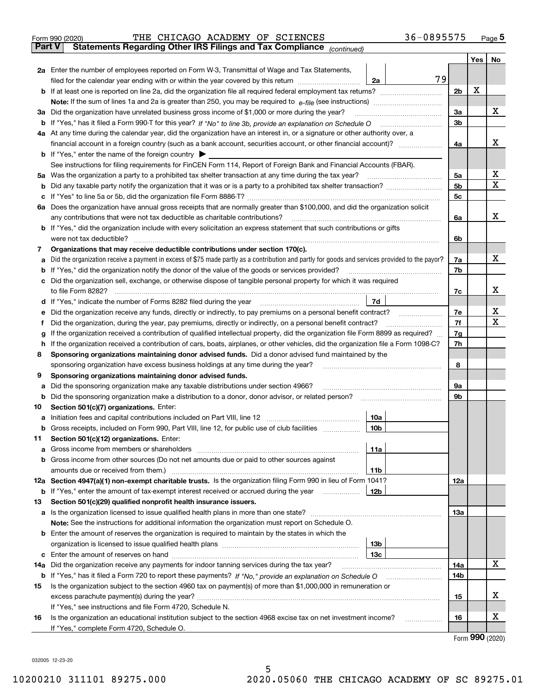| Form 990 (2020) |                                                                                                |  |  | THE CHICAGO ACADEMY OF SCIENCES | 36-0895575 | Page 5 |
|-----------------|------------------------------------------------------------------------------------------------|--|--|---------------------------------|------------|--------|
|                 | <b>Part V</b> Statements Regarding Other IRS Filings and Tax Compliance <sub>(continued)</sub> |  |  |                                 |            |        |

| Part V | Statements Regarding Other IRS Fillings and Tax Compilance<br>(continued)                                                                                                                                                           |                |     |     |  |  |  |  |  |  |
|--------|-------------------------------------------------------------------------------------------------------------------------------------------------------------------------------------------------------------------------------------|----------------|-----|-----|--|--|--|--|--|--|
|        |                                                                                                                                                                                                                                     |                | Yes | No. |  |  |  |  |  |  |
|        | 2a Enter the number of employees reported on Form W-3, Transmittal of Wage and Tax Statements,                                                                                                                                      |                |     |     |  |  |  |  |  |  |
|        | 79<br>filed for the calendar year ending with or within the year covered by this return<br>2a                                                                                                                                       | 2 <sub>b</sub> | X   |     |  |  |  |  |  |  |
|        |                                                                                                                                                                                                                                     |                |     |     |  |  |  |  |  |  |
|        |                                                                                                                                                                                                                                     |                |     |     |  |  |  |  |  |  |
|        | 3a Did the organization have unrelated business gross income of \$1,000 or more during the year?                                                                                                                                    | За             |     | х   |  |  |  |  |  |  |
|        | b If "Yes," has it filed a Form 990-T for this year? If "No" to line 3b, provide an explanation on Schedule O                                                                                                                       | 3b             |     |     |  |  |  |  |  |  |
|        | 4a At any time during the calendar year, did the organization have an interest in, or a signature or other authority over, a                                                                                                        |                |     |     |  |  |  |  |  |  |
|        |                                                                                                                                                                                                                                     | 4a             |     | х   |  |  |  |  |  |  |
|        | <b>b</b> If "Yes," enter the name of the foreign country                                                                                                                                                                            |                |     |     |  |  |  |  |  |  |
|        | See instructions for filing requirements for FinCEN Form 114, Report of Foreign Bank and Financial Accounts (FBAR).                                                                                                                 |                |     | х   |  |  |  |  |  |  |
| 5а     | Was the organization a party to a prohibited tax shelter transaction at any time during the tax year?                                                                                                                               | 5a             |     | x   |  |  |  |  |  |  |
|        |                                                                                                                                                                                                                                     | 5b             |     |     |  |  |  |  |  |  |
|        |                                                                                                                                                                                                                                     | 5c             |     |     |  |  |  |  |  |  |
| 6а     | Does the organization have annual gross receipts that are normally greater than \$100,000, and did the organization solicit                                                                                                         |                |     | x   |  |  |  |  |  |  |
|        | any contributions that were not tax deductible as charitable contributions?<br><b>b</b> If "Yes," did the organization include with every solicitation an express statement that such contributions or gifts                        | 6a             |     |     |  |  |  |  |  |  |
|        | were not tax deductible?                                                                                                                                                                                                            | 6b             |     |     |  |  |  |  |  |  |
| 7      | Organizations that may receive deductible contributions under section 170(c).                                                                                                                                                       |                |     |     |  |  |  |  |  |  |
| а      | Did the organization receive a payment in excess of \$75 made partly as a contribution and partly for goods and services provided to the payor?                                                                                     | 7a             |     | х   |  |  |  |  |  |  |
|        | <b>b</b> If "Yes," did the organization notify the donor of the value of the goods or services provided?                                                                                                                            | 7b             |     |     |  |  |  |  |  |  |
|        | c Did the organization sell, exchange, or otherwise dispose of tangible personal property for which it was required                                                                                                                 |                |     |     |  |  |  |  |  |  |
|        | to file Form 8282?                                                                                                                                                                                                                  | 7c             |     | х   |  |  |  |  |  |  |
|        | 7d<br>d If "Yes," indicate the number of Forms 8282 filed during the year                                                                                                                                                           |                |     |     |  |  |  |  |  |  |
| е      | Did the organization receive any funds, directly or indirectly, to pay premiums on a personal benefit contract?                                                                                                                     |                |     |     |  |  |  |  |  |  |
| f      | Did the organization, during the year, pay premiums, directly or indirectly, on a personal benefit contract?                                                                                                                        |                |     |     |  |  |  |  |  |  |
|        | If the organization received a contribution of qualified intellectual property, did the organization file Form 8899 as required?<br>g                                                                                               |                |     |     |  |  |  |  |  |  |
| h      | If the organization received a contribution of cars, boats, airplanes, or other vehicles, did the organization file a Form 1098-C?                                                                                                  |                |     |     |  |  |  |  |  |  |
| 8      | Sponsoring organizations maintaining donor advised funds. Did a donor advised fund maintained by the                                                                                                                                |                |     |     |  |  |  |  |  |  |
|        | sponsoring organization have excess business holdings at any time during the year?                                                                                                                                                  |                |     |     |  |  |  |  |  |  |
| 9      | Sponsoring organizations maintaining donor advised funds.                                                                                                                                                                           |                |     |     |  |  |  |  |  |  |
| а      | Did the sponsoring organization make any taxable distributions under section 4966?                                                                                                                                                  |                |     |     |  |  |  |  |  |  |
| b      | Did the sponsoring organization make a distribution to a donor, donor advisor, or related person?                                                                                                                                   |                |     |     |  |  |  |  |  |  |
| 10     | Section 501(c)(7) organizations. Enter:                                                                                                                                                                                             |                |     |     |  |  |  |  |  |  |
| a      | Initiation fees and capital contributions included on Part VIII, line 12<br>10a                                                                                                                                                     |                |     |     |  |  |  |  |  |  |
|        | b Gross receipts, included on Form 990, Part VIII, line 12, for public use of club facilities<br>10 <sub>b</sub>                                                                                                                    |                |     |     |  |  |  |  |  |  |
| 11.    | Section 501(c)(12) organizations. Enter:                                                                                                                                                                                            |                |     |     |  |  |  |  |  |  |
|        | 11a                                                                                                                                                                                                                                 |                |     |     |  |  |  |  |  |  |
|        | <b>b</b> Gross income from other sources (Do not net amounts due or paid to other sources against                                                                                                                                   |                |     |     |  |  |  |  |  |  |
|        | 11b                                                                                                                                                                                                                                 |                |     |     |  |  |  |  |  |  |
|        | 12a Section 4947(a)(1) non-exempt charitable trusts. Is the organization filing Form 990 in lieu of Form 1041?                                                                                                                      | 12a            |     |     |  |  |  |  |  |  |
|        | 12b<br><b>b</b> If "Yes," enter the amount of tax-exempt interest received or accrued during the year <i>manument</i> of                                                                                                            |                |     |     |  |  |  |  |  |  |
| 13     | Section 501(c)(29) qualified nonprofit health insurance issuers.                                                                                                                                                                    |                |     |     |  |  |  |  |  |  |
|        | a Is the organization licensed to issue qualified health plans in more than one state?                                                                                                                                              | 13a            |     |     |  |  |  |  |  |  |
|        | Note: See the instructions for additional information the organization must report on Schedule O.                                                                                                                                   |                |     |     |  |  |  |  |  |  |
|        | <b>b</b> Enter the amount of reserves the organization is required to maintain by the states in which the                                                                                                                           |                |     |     |  |  |  |  |  |  |
|        | 13 <sub>b</sub>                                                                                                                                                                                                                     |                |     |     |  |  |  |  |  |  |
|        | 13 <sub>c</sub>                                                                                                                                                                                                                     |                |     | x   |  |  |  |  |  |  |
| 14a    | Did the organization receive any payments for indoor tanning services during the tax year?                                                                                                                                          | 14a            |     |     |  |  |  |  |  |  |
| 15     | <b>b</b> If "Yes," has it filed a Form 720 to report these payments? If "No," provide an explanation on Schedule O<br>Is the organization subject to the section 4960 tax on payment(s) of more than \$1,000,000 in remuneration or | 14b            |     |     |  |  |  |  |  |  |
|        |                                                                                                                                                                                                                                     | 15             |     | х   |  |  |  |  |  |  |
|        | If "Yes," see instructions and file Form 4720, Schedule N.                                                                                                                                                                          |                |     |     |  |  |  |  |  |  |
| 16     | Is the organization an educational institution subject to the section 4968 excise tax on net investment income?                                                                                                                     | 16             |     | х   |  |  |  |  |  |  |
|        | If "Yes," complete Form 4720, Schedule O.                                                                                                                                                                                           |                |     |     |  |  |  |  |  |  |
|        |                                                                                                                                                                                                                                     |                |     |     |  |  |  |  |  |  |

Form (2020) **990**

032005 12-23-20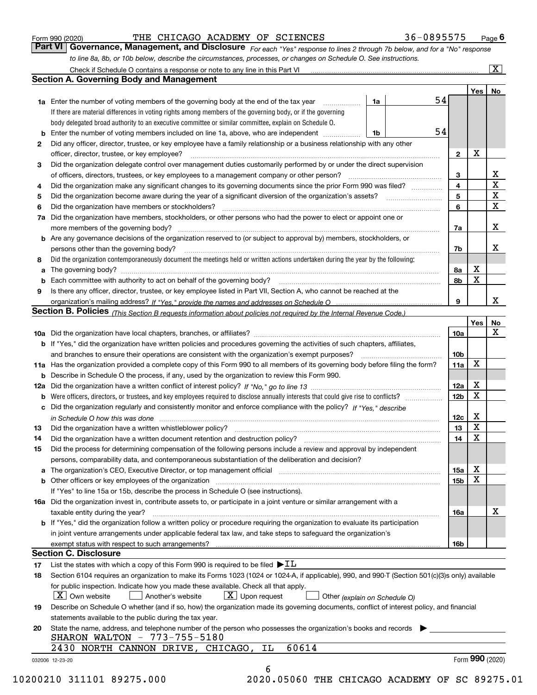|  | Form 990 (2020) |
|--|-----------------|
|  |                 |

## THE CHICAGO ACADEMY OF SCIENCES 36-0895575

*For each "Yes" response to lines 2 through 7b below, and for a "No" response to line 8a, 8b, or 10b below, describe the circumstances, processes, or changes on Schedule O. See instructions.* Form 990 (2020) **CONFIGUTER CHICAGO ACADEMY OF SCIENCES** 36 – 0895575 Page 6<br>**Part VI Governance, Management, and Disclosure** For each "Yes" response to lines 2 through 7b below, and for a "No" response

|    | <b>1a</b> Enter the number of voting members of the governing body at the end of the tax year                                                                                                                                  | 1a | 54 |                         | Yes <sub>1</sub> | No                      |
|----|--------------------------------------------------------------------------------------------------------------------------------------------------------------------------------------------------------------------------------|----|----|-------------------------|------------------|-------------------------|
|    | If there are material differences in voting rights among members of the governing body, or if the governing                                                                                                                    |    |    |                         |                  |                         |
|    | body delegated broad authority to an executive committee or similar committee, explain on Schedule O.                                                                                                                          |    |    |                         |                  |                         |
| b  | Enter the number of voting members included on line 1a, above, who are independent                                                                                                                                             | 1b | 54 |                         |                  |                         |
| 2  | Did any officer, director, trustee, or key employee have a family relationship or a business relationship with any other                                                                                                       |    |    |                         |                  |                         |
|    | officer, director, trustee, or key employee?                                                                                                                                                                                   |    |    | $\mathbf{2}$            | X                |                         |
| З  | Did the organization delegate control over management duties customarily performed by or under the direct supervision                                                                                                          |    |    |                         |                  |                         |
|    | of officers, directors, trustees, or key employees to a management company or other person?                                                                                                                                    |    |    | 3                       |                  | X                       |
| 4  | Did the organization make any significant changes to its governing documents since the prior Form 990 was filed?                                                                                                               |    |    | $\overline{\mathbf{4}}$ |                  | $\overline{\mathtt{x}}$ |
| 5  |                                                                                                                                                                                                                                |    |    | 5                       |                  | $\overline{\textbf{X}}$ |
| 6  | Did the organization have members or stockholders?                                                                                                                                                                             |    |    | 6                       |                  | $\mathbf X$             |
| 7a | Did the organization have members, stockholders, or other persons who had the power to elect or appoint one or                                                                                                                 |    |    |                         |                  |                         |
|    |                                                                                                                                                                                                                                |    |    | 7a                      |                  | X                       |
|    | <b>b</b> Are any governance decisions of the organization reserved to (or subject to approval by) members, stockholders, or                                                                                                    |    |    |                         |                  |                         |
|    | persons other than the governing body?                                                                                                                                                                                         |    |    | 7b                      |                  | х                       |
| 8  | Did the organization contemporaneously document the meetings held or written actions undertaken during the year by the following:                                                                                              |    |    |                         |                  |                         |
| a  |                                                                                                                                                                                                                                |    |    | 8а                      | x                |                         |
| b  |                                                                                                                                                                                                                                |    |    | 8b                      | X                |                         |
| 9  | Is there any officer, director, trustee, or key employee listed in Part VII, Section A, who cannot be reached at the                                                                                                           |    |    |                         |                  |                         |
|    |                                                                                                                                                                                                                                |    |    | 9                       |                  | X                       |
|    | Section B. Policies (This Section B requests information about policies not required by the Internal Revenue Code.)                                                                                                            |    |    |                         |                  |                         |
|    |                                                                                                                                                                                                                                |    |    |                         | Yes              | No                      |
|    |                                                                                                                                                                                                                                |    |    | 10a                     |                  | X                       |
|    | <b>b</b> If "Yes," did the organization have written policies and procedures governing the activities of such chapters, affiliates,                                                                                            |    |    |                         |                  |                         |
|    |                                                                                                                                                                                                                                |    |    | 10 <sub>b</sub>         |                  |                         |
|    | 11a Has the organization provided a complete copy of this Form 990 to all members of its governing body before filing the form?                                                                                                |    |    | 11a                     | X                |                         |
|    | <b>b</b> Describe in Schedule O the process, if any, used by the organization to review this Form 990.                                                                                                                         |    |    |                         |                  |                         |
|    |                                                                                                                                                                                                                                |    |    | 12a                     | X                |                         |
|    | <b>b</b> Were officers, directors, or trustees, and key employees required to disclose annually interests that could give rise to conflicts?                                                                                   |    |    | 12 <sub>b</sub>         | х                |                         |
|    | c Did the organization regularly and consistently monitor and enforce compliance with the policy? If "Yes." describe                                                                                                           |    |    |                         |                  |                         |
|    | in Schedule O how this was done manufactured and continuum control of the Schedule O how this was done manufactured and continuum control of the Schedule O how this was done                                                  |    |    | 12c                     | X                |                         |
| 13 |                                                                                                                                                                                                                                |    |    | 13                      | X                |                         |
| 14 |                                                                                                                                                                                                                                |    |    | 14                      | X                |                         |
| 15 | Did the process for determining compensation of the following persons include a review and approval by independent                                                                                                             |    |    |                         |                  |                         |
|    | persons, comparability data, and contemporaneous substantiation of the deliberation and decision?                                                                                                                              |    |    |                         |                  |                         |
|    | a The organization's CEO, Executive Director, or top management official manufactured content content of the organization's CEO, Executive Director, or top management official manufactured content of the state of the state |    |    | 15a                     | X                |                         |
|    |                                                                                                                                                                                                                                |    |    | 15b                     | X                |                         |
|    | If "Yes" to line 15a or 15b, describe the process in Schedule O (see instructions).                                                                                                                                            |    |    |                         |                  |                         |
|    | 16a Did the organization invest in, contribute assets to, or participate in a joint venture or similar arrangement with a                                                                                                      |    |    |                         |                  |                         |
|    | taxable entity during the year?                                                                                                                                                                                                |    |    | 16a                     |                  | X                       |
|    | b If "Yes," did the organization follow a written policy or procedure requiring the organization to evaluate its participation                                                                                                 |    |    |                         |                  |                         |
|    | in joint venture arrangements under applicable federal tax law, and take steps to safeguard the organization's                                                                                                                 |    |    |                         |                  |                         |
|    | exempt status with respect to such arrangements?                                                                                                                                                                               |    |    | 16b                     |                  |                         |
|    | <b>Section C. Disclosure</b>                                                                                                                                                                                                   |    |    |                         |                  |                         |
| 17 | List the states with which a copy of this Form 990 is required to be filed $\blacktriangleright$ IL                                                                                                                            |    |    |                         |                  |                         |
| 18 | Section 6104 requires an organization to make its Forms 1023 (1024 or 1024-A, if applicable), 990, and 990-T (Section 501(c)(3)s only) available                                                                               |    |    |                         |                  |                         |
|    | for public inspection. Indicate how you made these available. Check all that apply.                                                                                                                                            |    |    |                         |                  |                         |
|    | $X$ Upon request<br>$\mid$ $\rm X\mid$ Own website<br>Another's website<br>Other (explain on Schedule O)                                                                                                                       |    |    |                         |                  |                         |
| 19 | Describe on Schedule O whether (and if so, how) the organization made its governing documents, conflict of interest policy, and financial                                                                                      |    |    |                         |                  |                         |
|    | statements available to the public during the tax year.                                                                                                                                                                        |    |    |                         |                  |                         |
| 20 | State the name, address, and telephone number of the person who possesses the organization's books and records                                                                                                                 |    |    |                         |                  |                         |
|    | SHARON WALTON - 773-755-5180                                                                                                                                                                                                   |    |    |                         |                  |                         |
|    | 60614<br>2430 NORTH CANNON DRIVE, CHICAGO,<br>ΙL                                                                                                                                                                               |    |    |                         |                  |                         |
|    |                                                                                                                                                                                                                                |    |    |                         | Form 990 (2020)  |                         |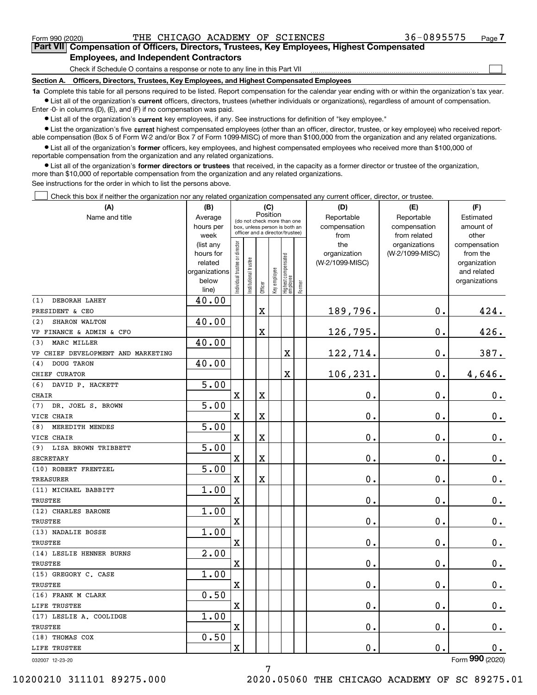$\mathcal{L}^{\text{max}}$ 

**7Part VII Compensation of Officers, Directors, Trustees, Key Employees, Highest Compensated Employees, and Independent Contractors**

Check if Schedule O contains a response or note to any line in this Part VII

**Section A. Officers, Directors, Trustees, Key Employees, and Highest Compensated Employees**

**1a**  Complete this table for all persons required to be listed. Report compensation for the calendar year ending with or within the organization's tax year. **•** List all of the organization's current officers, directors, trustees (whether individuals or organizations), regardless of amount of compensation.

Enter -0- in columns (D), (E), and (F) if no compensation was paid.

 $\bullet$  List all of the organization's  $\,$ current key employees, if any. See instructions for definition of "key employee."

**•** List the organization's five current highest compensated employees (other than an officer, director, trustee, or key employee) who received reportable compensation (Box 5 of Form W-2 and/or Box 7 of Form 1099-MISC) of more than \$100,000 from the organization and any related organizations.

**•** List all of the organization's former officers, key employees, and highest compensated employees who received more than \$100,000 of reportable compensation from the organization and any related organizations.

**former directors or trustees**  ¥ List all of the organization's that received, in the capacity as a former director or trustee of the organization, more than \$10,000 of reportable compensation from the organization and any related organizations.

See instructions for the order in which to list the persons above.

Check this box if neither the organization nor any related organization compensated any current officer, director, or trustee.  $\mathcal{L}^{\text{max}}$ 

| (A)                                | (B)                    |                               |                                                                  |             | (C)          |                                 |        | (D)                 | (E)                              | (F)                      |
|------------------------------------|------------------------|-------------------------------|------------------------------------------------------------------|-------------|--------------|---------------------------------|--------|---------------------|----------------------------------|--------------------------|
| Name and title                     | Average                |                               | (do not check more than one                                      |             | Position     |                                 |        | Reportable          | Reportable                       | Estimated                |
|                                    | hours per              |                               | box, unless person is both an<br>officer and a director/trustee) |             |              |                                 |        | compensation        | compensation                     | amount of                |
|                                    | week                   |                               |                                                                  |             |              |                                 |        | from                | from related                     | other                    |
|                                    | (list any<br>hours for |                               |                                                                  |             |              |                                 |        | the<br>organization | organizations<br>(W-2/1099-MISC) | compensation<br>from the |
|                                    | related                |                               |                                                                  |             |              |                                 |        | (W-2/1099-MISC)     |                                  | organization             |
|                                    | organizations          |                               |                                                                  |             |              |                                 |        |                     |                                  | and related              |
|                                    | below                  | ndividual trustee or director | nstitutional trustee                                             |             | Key employee | Highest compensated<br>employee |        |                     |                                  | organizations            |
|                                    | line)                  |                               |                                                                  | Officer     |              |                                 | Former |                     |                                  |                          |
| (1)<br>DEBORAH LAHEY               | 40.00                  |                               |                                                                  |             |              |                                 |        |                     |                                  |                          |
| PRESIDENT & CEO                    |                        |                               |                                                                  | $\mathbf X$ |              |                                 |        | 189,796.            | 0.                               | 424.                     |
| SHARON WALTON<br>(2)               | 40.00                  |                               |                                                                  |             |              |                                 |        |                     |                                  |                          |
| VP FINANCE & ADMIN & CFO           |                        |                               |                                                                  | $\mathbf X$ |              |                                 |        | 126,795.            | 0.                               | 426.                     |
| MARC MILLER<br>(3)                 | 40.00                  |                               |                                                                  |             |              |                                 |        |                     |                                  |                          |
| VP CHIEF DEVELOPMENT AND MARKETING |                        |                               |                                                                  |             |              | $\overline{\mathbf{X}}$         |        | 122,714.            | 0.                               | 387.                     |
| DOUG TARON<br>(4)                  | 40.00                  |                               |                                                                  |             |              |                                 |        |                     |                                  |                          |
| CHIEF CURATOR                      |                        |                               |                                                                  |             |              | $\rm X$                         |        | 106,231.            | 0.                               | 4,646.                   |
| DAVID P. HACKETT<br>(6)            | 5.00                   |                               |                                                                  |             |              |                                 |        |                     |                                  |                          |
| CHAIR                              |                        | X                             |                                                                  | X           |              |                                 |        | 0.                  | 0.                               | $0_{.}$                  |
| (7)<br>DR. JOEL S. BROWN           | 5.00                   |                               |                                                                  |             |              |                                 |        |                     |                                  |                          |
| VICE CHAIR                         |                        | X                             |                                                                  | X           |              |                                 |        | 0.                  | 0.                               | 0.                       |
| MEREDITH MENDES<br>(8)             | 5.00                   |                               |                                                                  |             |              |                                 |        |                     |                                  |                          |
| VICE CHAIR                         |                        | X                             |                                                                  | X           |              |                                 |        | 0.                  | 0.                               | $\mathbf 0$ .            |
| (9) LISA BROWN TRIBBETT            | 5.00                   |                               |                                                                  |             |              |                                 |        |                     |                                  |                          |
| <b>SECRETARY</b>                   |                        | X                             |                                                                  | X           |              |                                 |        | $\mathbf 0$ .       | 0.                               | 0.                       |
| (10) ROBERT FRENTZEL               | 5.00                   |                               |                                                                  |             |              |                                 |        |                     |                                  |                          |
| <b>TREASURER</b>                   |                        | $\mathbf X$                   |                                                                  | X           |              |                                 |        | 0.                  | 0.                               | $0_{.}$                  |
| (11) MICHAEL BABBITT               | 1.00                   |                               |                                                                  |             |              |                                 |        |                     |                                  |                          |
| <b>TRUSTEE</b>                     |                        | X                             |                                                                  |             |              |                                 |        | $\mathbf 0$ .       | 0.                               | $0_{.}$                  |
| (12) CHARLES BARONE                | 1.00                   |                               |                                                                  |             |              |                                 |        |                     |                                  |                          |
| <b>TRUSTEE</b>                     |                        | X                             |                                                                  |             |              |                                 |        | $0$ .               | 0.                               | $0_{.}$                  |
| (13) NADALIE BOSSE                 | 1.00                   |                               |                                                                  |             |              |                                 |        |                     |                                  |                          |
| <b>TRUSTEE</b>                     |                        | X                             |                                                                  |             |              |                                 |        | 0.                  | 0.                               | $0_{.}$                  |
| (14) LESLIE HENNER BURNS           | 2.00                   |                               |                                                                  |             |              |                                 |        |                     |                                  |                          |
| <b>TRUSTEE</b>                     |                        | X                             |                                                                  |             |              |                                 |        | 0.                  | 0.                               | $0_{.}$                  |
| (15) GREGORY C. CASE               | 1.00                   |                               |                                                                  |             |              |                                 |        |                     |                                  |                          |
| TRUSTEE                            |                        | X                             |                                                                  |             |              |                                 |        | $\mathbf 0$ .       | 0.                               | 0.                       |
| (16) FRANK M CLARK                 | 0.50                   |                               |                                                                  |             |              |                                 |        |                     |                                  |                          |
| LIFE TRUSTEE                       |                        | X                             |                                                                  |             |              |                                 |        | 0.                  | 0.                               | 0.                       |
| (17) LESLIE A. COOLIDGE            | 1.00                   |                               |                                                                  |             |              |                                 |        |                     |                                  |                          |
| TRUSTEE                            |                        | X                             |                                                                  |             |              |                                 |        | $\mathbf 0$ .       | 0.                               | 0.                       |
| (18) THOMAS COX                    | 0.50                   |                               |                                                                  |             |              |                                 |        |                     |                                  |                          |
| LIFE TRUSTEE                       |                        | X                             |                                                                  |             |              |                                 |        | $\mathbf{0}$ .      | 0.                               | $0_{.}$                  |

032007 12-23-20

Form (2020) **990**

10200210 311101 89275.000 2020.05060 THE CHICAGO ACADEMY OF SC 89275.01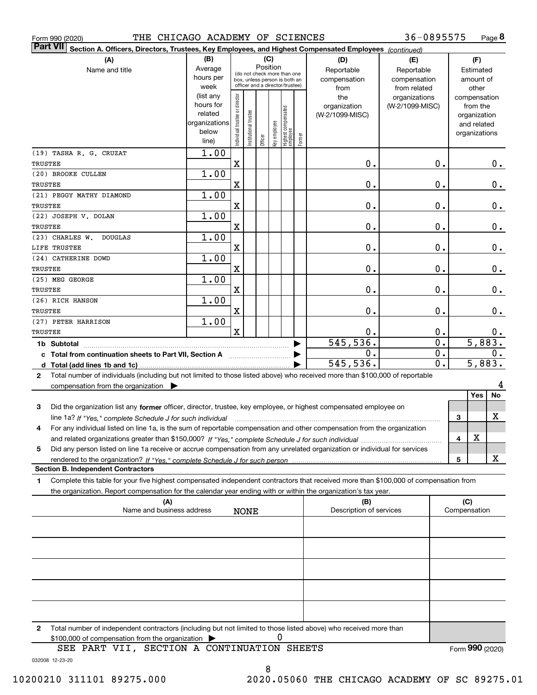|  | Form 990 (2020) |
|--|-----------------|
|  |                 |

Form 990 (2020) THE CHICAGO ACADEMY OF SCIENCES 36-0895575 Page

**8** 36-0895575

| $\vert$ Part VII $\vert$ Sect <u>ion A. Officers, Directors, Trustees, Key Employees, and Highest Compensated Employees <math>\vert</math> <math>_{\rm {Continued)}}</math></u> |                      |                                |                       |         |              |                                                              |        |                         |                  |   |                             |               |
|---------------------------------------------------------------------------------------------------------------------------------------------------------------------------------|----------------------|--------------------------------|-----------------------|---------|--------------|--------------------------------------------------------------|--------|-------------------------|------------------|---|-----------------------------|---------------|
| (A)                                                                                                                                                                             | (B)                  |                                |                       |         | (C)          |                                                              |        | (D)                     | (E)              |   | (F)                         |               |
| Name and title                                                                                                                                                                  | Average              |                                |                       |         | Position     |                                                              |        | Reportable              | Reportable       |   | Estimated                   |               |
|                                                                                                                                                                                 | hours per            |                                |                       |         |              | (do not check more than one<br>box, unless person is both an |        | compensation            | compensation     |   | amount of                   |               |
|                                                                                                                                                                                 | week                 |                                |                       |         |              | officer and a director/trustee)                              |        | from                    | from related     |   | other                       |               |
|                                                                                                                                                                                 | (list any            |                                |                       |         |              |                                                              |        | the                     | organizations    |   | compensation                |               |
|                                                                                                                                                                                 | hours for<br>related |                                |                       |         |              |                                                              |        | organization            | (W-2/1099-MISC)  |   | from the                    |               |
|                                                                                                                                                                                 | organizations        |                                |                       |         |              |                                                              |        | (W-2/1099-MISC)         |                  |   | organization<br>and related |               |
|                                                                                                                                                                                 | below                |                                |                       |         |              |                                                              |        |                         |                  |   | organizations               |               |
|                                                                                                                                                                                 | line)                | Individual trustee or director | Institutional trustee | Officer | Key employee | Highest compensated<br>  employee                            | Former |                         |                  |   |                             |               |
| (19) TASHA R. G. CRUZAT                                                                                                                                                         | 1.00                 |                                |                       |         |              |                                                              |        |                         |                  |   |                             |               |
| TRUSTEE                                                                                                                                                                         |                      | $\mathbf X$                    |                       |         |              |                                                              |        | 0.                      | 0.               |   |                             | 0.            |
| (20) BROOKE CULLEN                                                                                                                                                              | 1.00                 |                                |                       |         |              |                                                              |        |                         |                  |   |                             |               |
| TRUSTEE                                                                                                                                                                         |                      | $\mathbf X$                    |                       |         |              |                                                              |        | 0.                      | 0.               |   |                             | 0.            |
| (21) PEGGY MATHY DIAMOND                                                                                                                                                        | 1.00                 |                                |                       |         |              |                                                              |        |                         |                  |   |                             |               |
| TRUSTEE                                                                                                                                                                         |                      | $\mathbf X$                    |                       |         |              |                                                              |        | 0.                      | 0.               |   |                             | 0.            |
| (22) JOSEPH V. DOLAN                                                                                                                                                            | 1.00                 |                                |                       |         |              |                                                              |        |                         |                  |   |                             |               |
| TRUSTEE                                                                                                                                                                         |                      | $\mathbf X$                    |                       |         |              |                                                              |        | 0.                      | 0.               |   |                             | $\mathbf 0$ . |
| (23) CHARLES W. DOUGLAS                                                                                                                                                         | 1.00                 |                                |                       |         |              |                                                              |        |                         |                  |   |                             |               |
| LIFE TRUSTEE                                                                                                                                                                    |                      | $\mathbf X$                    |                       |         |              |                                                              |        | 0.                      | 0.               |   |                             | $\mathbf 0$ . |
| (24) CATHERINE DOWD                                                                                                                                                             | 1.00                 |                                |                       |         |              |                                                              |        |                         |                  |   |                             |               |
| <b>TRUSTEE</b>                                                                                                                                                                  |                      | $\mathbf X$                    |                       |         |              |                                                              |        | 0.                      | 0.               |   |                             | 0.            |
| (25) MEG GEORGE                                                                                                                                                                 | 1.00                 |                                |                       |         |              |                                                              |        |                         |                  |   |                             |               |
| TRUSTEE                                                                                                                                                                         |                      | $\mathbf X$                    |                       |         |              |                                                              |        | 0.                      | 0.               |   |                             | 0.            |
| (26) RICH HANSON                                                                                                                                                                | 1.00                 |                                |                       |         |              |                                                              |        |                         |                  |   |                             |               |
| TRUSTEE                                                                                                                                                                         |                      | $\mathbf X$                    |                       |         |              |                                                              |        | 0.                      | 0.               |   |                             | 0.            |
| (27) PETER HARRISON                                                                                                                                                             | 1.00                 |                                |                       |         |              |                                                              |        |                         |                  |   |                             |               |
| TRUSTEE                                                                                                                                                                         |                      | $\mathbf x$                    |                       |         |              |                                                              |        | 0.                      | 0.               |   |                             | 0.            |
|                                                                                                                                                                                 |                      |                                |                       |         |              |                                                              |        | 545, 536.               | $\overline{0}$ . |   |                             | 5,883.        |
|                                                                                                                                                                                 |                      |                                |                       |         |              |                                                              |        | 0.                      | 0.               |   |                             | 0.            |
|                                                                                                                                                                                 |                      |                                |                       |         |              |                                                              |        | 545, 536.               | $\overline{0}$ . |   |                             | 5,883.        |
| Total number of individuals (including but not limited to those listed above) who received more than \$100,000 of reportable<br>$\mathbf{2}$                                    |                      |                                |                       |         |              |                                                              |        |                         |                  |   |                             |               |
| compensation from the organization $\blacktriangleright$                                                                                                                        |                      |                                |                       |         |              |                                                              |        |                         |                  |   |                             | 4             |
|                                                                                                                                                                                 |                      |                                |                       |         |              |                                                              |        |                         |                  |   | Yes                         | No            |
| Did the organization list any former officer, director, trustee, key employee, or highest compensated employee on<br>3                                                          |                      |                                |                       |         |              |                                                              |        |                         |                  |   |                             |               |
| line 1a? If "Yes," complete Schedule J for such individual                                                                                                                      |                      |                                |                       |         |              |                                                              |        |                         |                  | 3 |                             | X             |
| For any individual listed on line 1a, is the sum of reportable compensation and other compensation from the organization<br>4                                                   |                      |                                |                       |         |              |                                                              |        |                         |                  |   |                             |               |
|                                                                                                                                                                                 |                      |                                |                       |         |              |                                                              |        |                         |                  | 4 | X                           |               |
| Did any person listed on line 1a receive or accrue compensation from any unrelated organization or individual for services<br>5                                                 |                      |                                |                       |         |              |                                                              |        |                         |                  |   |                             |               |
|                                                                                                                                                                                 |                      |                                |                       |         |              |                                                              |        |                         |                  | 5 |                             | х             |
| <b>Section B. Independent Contractors</b>                                                                                                                                       |                      |                                |                       |         |              |                                                              |        |                         |                  |   |                             |               |
| Complete this table for your five highest compensated independent contractors that received more than \$100,000 of compensation from<br>1                                       |                      |                                |                       |         |              |                                                              |        |                         |                  |   |                             |               |
| the organization. Report compensation for the calendar year ending with or within the organization's tax year.                                                                  |                      |                                |                       |         |              |                                                              |        |                         |                  |   |                             |               |
| (A)                                                                                                                                                                             |                      |                                |                       |         |              |                                                              |        | (B)                     |                  |   | (C)                         |               |
| Name and business address                                                                                                                                                       |                      |                                | <b>NONE</b>           |         |              |                                                              |        | Description of services |                  |   | Compensation                |               |
|                                                                                                                                                                                 |                      |                                |                       |         |              |                                                              |        |                         |                  |   |                             |               |
|                                                                                                                                                                                 |                      |                                |                       |         |              |                                                              |        |                         |                  |   |                             |               |
|                                                                                                                                                                                 |                      |                                |                       |         |              |                                                              |        |                         |                  |   |                             |               |
|                                                                                                                                                                                 |                      |                                |                       |         |              |                                                              |        |                         |                  |   |                             |               |
|                                                                                                                                                                                 |                      |                                |                       |         |              |                                                              |        |                         |                  |   |                             |               |
|                                                                                                                                                                                 |                      |                                |                       |         |              |                                                              |        |                         |                  |   |                             |               |
|                                                                                                                                                                                 |                      |                                |                       |         |              |                                                              |        |                         |                  |   |                             |               |
|                                                                                                                                                                                 |                      |                                |                       |         |              |                                                              |        |                         |                  |   |                             |               |
|                                                                                                                                                                                 |                      |                                |                       |         |              |                                                              |        |                         |                  |   |                             |               |
|                                                                                                                                                                                 |                      |                                |                       |         |              |                                                              |        |                         |                  |   |                             |               |
| Total number of independent contractors (including but not limited to those listed above) who received more than<br>2                                                           |                      |                                |                       |         |              |                                                              |        |                         |                  |   |                             |               |
| \$100,000 of compensation from the organization                                                                                                                                 |                      |                                |                       |         |              | 0                                                            |        |                         |                  |   |                             |               |
| SEE PART VII, SECTION A CONTINUATION SHEETS                                                                                                                                     |                      |                                |                       |         |              |                                                              |        |                         |                  |   | Form 990 (2020)             |               |

032008 12-23-20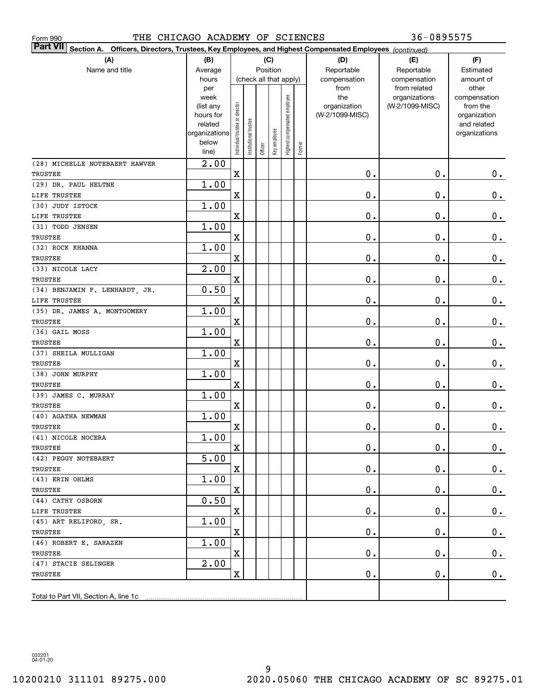THE CHICAGO ACADEMY OF SCIENCES 36-0895575

| <b>Part VII</b> Section A. Officers, Directors, Trustees, Key Employees, and Highest Compensated Employees (continued) |                   |                                |                        |          |              |                              |        |                     |                                  |                          |
|------------------------------------------------------------------------------------------------------------------------|-------------------|--------------------------------|------------------------|----------|--------------|------------------------------|--------|---------------------|----------------------------------|--------------------------|
| (A)                                                                                                                    | (B)               |                                |                        | (C)      |              |                              |        | (D)                 | (E)                              | (F)                      |
| Name and title                                                                                                         | Average           |                                |                        | Position |              |                              |        | Reportable          | Reportable                       | Estimated                |
|                                                                                                                        | hours             |                                | (check all that apply) |          |              |                              |        | compensation        | compensation                     | amount of                |
|                                                                                                                        | per               |                                |                        |          |              |                              |        | from                | from related                     | other                    |
|                                                                                                                        | week<br>(list any |                                |                        |          |              |                              |        | the<br>organization | organizations<br>(W-2/1099-MISC) | compensation<br>from the |
|                                                                                                                        | hours for         |                                |                        |          |              |                              |        | (W-2/1099-MISC)     |                                  | organization             |
|                                                                                                                        | related           |                                |                        |          |              |                              |        |                     |                                  | and related              |
|                                                                                                                        | organizations     |                                |                        |          |              |                              |        |                     |                                  | organizations            |
|                                                                                                                        | below             | Individual trustee or director | nstitutional trustee   | Officer  | Key employee | Highest compensated employee | Former |                     |                                  |                          |
|                                                                                                                        | line)             |                                |                        |          |              |                              |        |                     |                                  |                          |
| (28) MICHELLE NOTEBAERT HAWVER                                                                                         | $\overline{2.00}$ |                                |                        |          |              |                              |        |                     |                                  |                          |
| TRUSTEE                                                                                                                |                   | X                              |                        |          |              |                              |        | 0.                  | $\mathbf 0$ .                    | $0$ .                    |
| (29) DR. PAUL HELTNE                                                                                                   | 1.00              |                                |                        |          |              |                              |        |                     |                                  |                          |
| LIFE TRUSTEE                                                                                                           |                   | X                              |                        |          |              |                              |        | 0.                  | $\mathbf 0$ .                    | $\mathbf 0$ .            |
| (30) JUDY ISTOCK                                                                                                       | 1.00              |                                |                        |          |              |                              |        |                     |                                  |                          |
| LIFE TRUSTEE                                                                                                           |                   | X                              |                        |          |              |                              |        | 0.                  | $0$ .                            | 0.                       |
| (31) TODD JENSEN                                                                                                       | 1.00              |                                |                        |          |              |                              |        |                     |                                  |                          |
| <b>TRUSTEE</b>                                                                                                         |                   | X                              |                        |          |              |                              |        | 0.                  | $0$ .                            | 0.                       |
| (32) ROCK KHANNA                                                                                                       | 1.00              |                                |                        |          |              |                              |        |                     |                                  |                          |
| TRUSTEE                                                                                                                |                   | Χ                              |                        |          |              |                              |        | $\mathbf 0$ .       | $0$ .                            | 0.                       |
| (33) NICOLE LACY                                                                                                       | $\overline{2.00}$ |                                |                        |          |              |                              |        |                     |                                  |                          |
| TRUSTEE                                                                                                                |                   | X                              |                        |          |              |                              |        | $\mathbf 0$ .       | $0$ .                            | $\mathbf 0$ .            |
| (34) BENJAMIN F. LENHARDT, JR.                                                                                         | 0.50              |                                |                        |          |              |                              |        |                     |                                  |                          |
| LIFE TRUSTEE                                                                                                           |                   | X                              |                        |          |              |                              |        | $\mathbf 0$ .       | $0$ .                            | 0.                       |
| (35) DR. JAMES A. MONTGOMERY                                                                                           | 1.00              |                                |                        |          |              |                              |        |                     |                                  |                          |
| TRUSTEE                                                                                                                |                   | X                              |                        |          |              |                              |        | 0.                  | $0$ .                            | $\mathbf 0$ .            |
| (36) GAIL MOSS                                                                                                         | 1.00              |                                |                        |          |              |                              |        |                     |                                  |                          |
| <b>TRUSTEE</b>                                                                                                         | 1.00              | X                              |                        |          |              |                              |        | 0.                  | $0$ .                            | $\mathbf 0$ .            |
| (37) SHEILA MULLIGAN<br><b>TRUSTEE</b>                                                                                 |                   | X                              |                        |          |              |                              |        | $\mathbf 0$ .       | $0$ .                            | $\mathbf 0$ .            |
| (38) JOHN MURPHY                                                                                                       | 1.00              |                                |                        |          |              |                              |        |                     |                                  |                          |
| <b>TRUSTEE</b>                                                                                                         |                   | Χ                              |                        |          |              |                              |        | $\mathbf 0$ .       | $0$ .                            | $\mathbf 0$ .            |
| (39) JAMES C. MURRAY                                                                                                   | 1.00              |                                |                        |          |              |                              |        |                     |                                  |                          |
| <b>TRUSTEE</b>                                                                                                         |                   | Χ                              |                        |          |              |                              |        | $\mathbf 0$ .       | $0$ .                            | 0.                       |
| (40) AGATHA NEWMAN                                                                                                     | 1.00              |                                |                        |          |              |                              |        |                     |                                  |                          |
| <b>TRUSTEE</b>                                                                                                         |                   | $\mathbf X$                    |                        |          |              |                              |        | $\mathbf 0$ .       | $0$ .                            | $0$ .                    |
| (41) NICOLE NOCERA                                                                                                     | 1.00              |                                |                        |          |              |                              |        |                     |                                  |                          |
| TRUSTEE                                                                                                                |                   | X                              |                        |          |              |                              |        | $\mathbf 0$ .       | $\mathbf 0$ .                    | 0.                       |
| (42) PEGGY NOTEBAERT                                                                                                   | 5.00              |                                |                        |          |              |                              |        |                     |                                  |                          |
| TRUSTEE                                                                                                                |                   | X                              |                        |          |              |                              |        | $\mathbf 0$ .       | $\mathbf 0$ .                    | $0$ .                    |
| (43) ERIN OHLMS                                                                                                        | 1.00              |                                |                        |          |              |                              |        |                     |                                  |                          |
| TRUSTEE                                                                                                                |                   | X                              |                        |          |              |                              |        | $\mathbf 0$ .       | $\mathbf 0$ .                    | $0$ .                    |
| (44) CATHY OSBORN                                                                                                      | 0.50              |                                |                        |          |              |                              |        |                     |                                  |                          |
| LIFE TRUSTEE                                                                                                           |                   | X                              |                        |          |              |                              |        | $\mathbf 0$ .       | $\mathbf 0$ .                    | $\mathbf 0$ .            |
| (45) ART RELIFORD, SR.                                                                                                 | 1.00              |                                |                        |          |              |                              |        |                     |                                  |                          |
| TRUSTEE                                                                                                                |                   | X                              |                        |          |              |                              |        | $\mathbf 0$ .       | $\mathbf 0$ .                    | $0$ .                    |
| (46) ROBERT E. SARAZEN                                                                                                 | 1.00              |                                |                        |          |              |                              |        |                     |                                  |                          |
| TRUSTEE                                                                                                                |                   | X                              |                        |          |              |                              |        | $\mathbf 0$ .       | $\mathbf 0$ .                    | $0$ .                    |
| (47) STACIE SELINGER                                                                                                   | 2.00              |                                |                        |          |              |                              |        |                     |                                  |                          |
| TRUSTEE                                                                                                                |                   | X                              |                        |          |              |                              |        | $\mathbf 0$ .       | $\mathbf 0$ .                    | $0$ .                    |
|                                                                                                                        |                   |                                |                        |          |              |                              |        |                     |                                  |                          |
| Total to Part VII, Section A, line 1c                                                                                  |                   |                                |                        |          |              |                              |        |                     |                                  |                          |

032201 04-01-20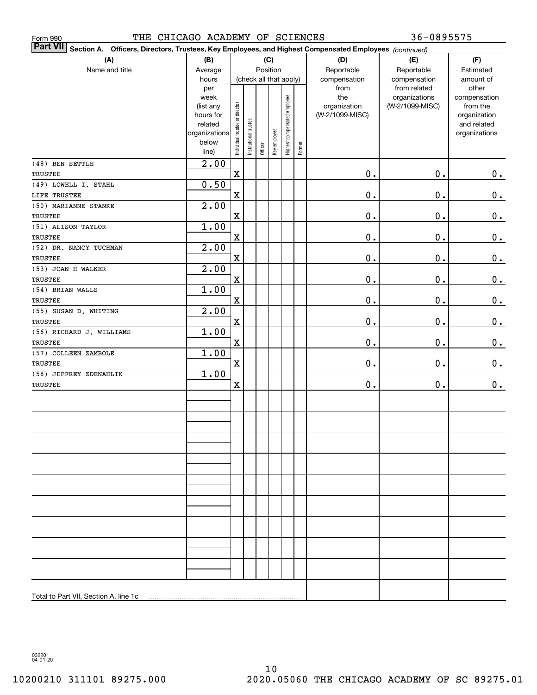| THE CHICAGO ACADEMY OF SCIENCES<br>Form 990                                                                     |                                                                                     |                                |                       |          |              |                              |        |                                                | 36-0895575                                       |                                                                          |
|-----------------------------------------------------------------------------------------------------------------|-------------------------------------------------------------------------------------|--------------------------------|-----------------------|----------|--------------|------------------------------|--------|------------------------------------------------|--------------------------------------------------|--------------------------------------------------------------------------|
| Part VII Section A. Officers, Directors, Trustees, Key Employees, and Highest Compensated Employees (continued) |                                                                                     |                                |                       |          |              |                              |        |                                                |                                                  |                                                                          |
| (A)<br>Name and title                                                                                           | (B)<br>Average<br>hours                                                             |                                |                       | Position | (C)          | (check all that apply)       |        | (D)<br>Reportable<br>compensation              | (E)<br>Reportable<br>compensation                | (F)<br>Estimated<br>amount of<br>other                                   |
|                                                                                                                 | per<br>week<br>(list any<br>hours for<br>related<br>organizations<br>below<br>line) | Individual trustee or director | Institutional trustee | Officer  | Key employee | Highest compensated employee | Former | from<br>the<br>organization<br>(W-2/1099-MISC) | from related<br>organizations<br>(W-2/1099-MISC) | compensation<br>from the<br>organization<br>and related<br>organizations |
| (48) BEN SETTLE<br>TRUSTEE                                                                                      | 2.00                                                                                | $\mathbf X$                    |                       |          |              |                              |        | $\mathbf 0$ .                                  | $0$ .                                            | $0_{.}$                                                                  |
| (49) LOWELL I. STAHL                                                                                            | 0.50                                                                                |                                |                       |          |              |                              |        |                                                |                                                  |                                                                          |
| LIFE TRUSTEE                                                                                                    |                                                                                     | $\mathbf X$                    |                       |          |              |                              |        | $\mathbf 0$ .                                  | 0.                                               | $\mathbf 0$ .                                                            |
| (50) MARIANNE STANKE                                                                                            | 2.00                                                                                |                                |                       |          |              |                              |        |                                                |                                                  |                                                                          |
| TRUSTEE                                                                                                         |                                                                                     | $\mathbf X$                    |                       |          |              |                              |        | $\mathbf 0$ .                                  | 0.                                               | $\mathbf 0$ .                                                            |
| (51) ALISON TAYLOR<br>TRUSTEE                                                                                   | 1.00                                                                                | $\mathbf X$                    |                       |          |              |                              |        | $\mathbf 0$ .                                  | 0.                                               | $\mathbf 0$ .                                                            |
| (52) DR. NANCY TUCHMAN                                                                                          | 2.00                                                                                |                                |                       |          |              |                              |        |                                                |                                                  |                                                                          |
| <b>TRUSTEE</b>                                                                                                  |                                                                                     | X                              |                       |          |              |                              |        | $\mathbf 0$ .                                  | 0.                                               | $\mathbf 0$ .                                                            |
| (53) JOAN H WALKER<br>TRUSTEE                                                                                   | 2.00                                                                                | X                              |                       |          |              |                              |        | $\mathbf 0$ .                                  | 0.                                               | $\mathbf 0$ .                                                            |
| (54) BRIAN WALLS                                                                                                | 1.00                                                                                |                                |                       |          |              |                              |        |                                                |                                                  |                                                                          |
| TRUSTEE                                                                                                         |                                                                                     | X                              |                       |          |              |                              |        | $\mathbf 0$ .                                  | 0.                                               | 0.                                                                       |
| (55) SUSAN D. WHITING                                                                                           | 2.00                                                                                |                                |                       |          |              |                              |        |                                                |                                                  |                                                                          |
| TRUSTEE                                                                                                         |                                                                                     | $\mathbf X$                    |                       |          |              |                              |        | $\mathbf 0$ .                                  | 0.                                               | 0.                                                                       |
| (56) RICHARD J. WILLIAMS<br>TRUSTEE                                                                             | 1.00                                                                                | $\mathbf X$                    |                       |          |              |                              |        | $\mathbf 0$ .                                  | 0.                                               | 0.                                                                       |
| (57) COLLEEN ZAMBOLE                                                                                            | 1.00                                                                                |                                |                       |          |              |                              |        |                                                |                                                  |                                                                          |
| TRUSTEE                                                                                                         |                                                                                     | $\mathbf X$                    |                       |          |              |                              |        | $\mathbf 0$ .                                  | 0.                                               | 0.                                                                       |
| (58) JEFFREY ZDENAHLIK<br><b>TRUSTEE</b>                                                                        | 1.00                                                                                |                                |                       |          |              |                              |        | $0$ .                                          | 0.                                               |                                                                          |
|                                                                                                                 |                                                                                     | $\mathbf X$                    |                       |          |              |                              |        |                                                |                                                  | 0.                                                                       |
|                                                                                                                 |                                                                                     |                                |                       |          |              |                              |        |                                                |                                                  |                                                                          |
|                                                                                                                 |                                                                                     |                                |                       |          |              |                              |        |                                                |                                                  |                                                                          |
|                                                                                                                 |                                                                                     |                                |                       |          |              |                              |        |                                                |                                                  |                                                                          |
|                                                                                                                 |                                                                                     |                                |                       |          |              |                              |        |                                                |                                                  |                                                                          |
|                                                                                                                 |                                                                                     |                                |                       |          |              |                              |        |                                                |                                                  |                                                                          |
|                                                                                                                 |                                                                                     |                                |                       |          |              |                              |        |                                                |                                                  |                                                                          |
|                                                                                                                 |                                                                                     |                                |                       |          |              |                              |        |                                                |                                                  |                                                                          |
|                                                                                                                 |                                                                                     |                                |                       |          |              |                              |        |                                                |                                                  |                                                                          |
|                                                                                                                 |                                                                                     |                                |                       |          |              |                              |        |                                                |                                                  |                                                                          |
|                                                                                                                 |                                                                                     |                                |                       |          |              |                              |        |                                                |                                                  |                                                                          |
| Total to Part VII, Section A, line 1c                                                                           |                                                                                     |                                |                       |          |              |                              |        |                                                |                                                  |                                                                          |

032201 04-01-20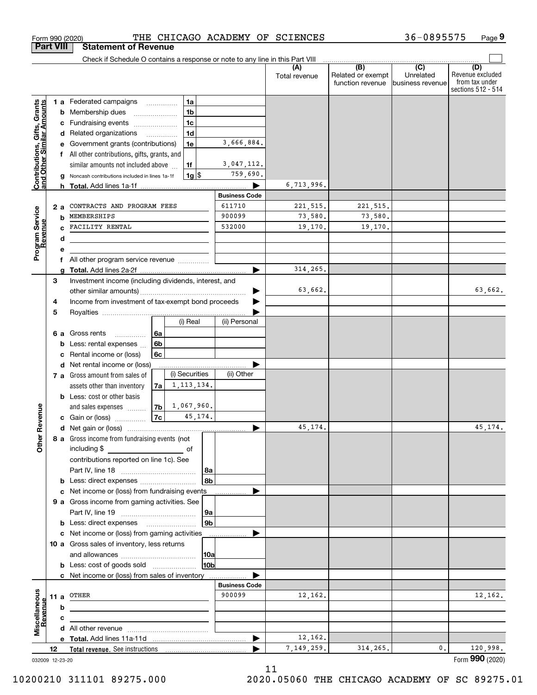|                                                           | <b>Part VIII</b> |     | <b>Statement of Revenue</b>                                                                  |                          |                      |             |                      |                      |                                              |                                                 |                                                                 |
|-----------------------------------------------------------|------------------|-----|----------------------------------------------------------------------------------------------|--------------------------|----------------------|-------------|----------------------|----------------------|----------------------------------------------|-------------------------------------------------|-----------------------------------------------------------------|
|                                                           |                  |     | Check if Schedule O contains a response or note to any line in this Part VIII                |                          |                      |             |                      |                      |                                              |                                                 |                                                                 |
|                                                           |                  |     |                                                                                              |                          |                      |             |                      | (A)<br>Total revenue | (B)<br>Related or exempt<br>function revenue | $\overline{C}$<br>Unrelated<br>business revenue | (D)<br>Revenue excluded<br>from tax under<br>sections 512 - 514 |
|                                                           |                  |     | 1 a Federated campaigns                                                                      |                          | 1a                   |             |                      |                      |                                              |                                                 |                                                                 |
|                                                           |                  | b   | Membership dues                                                                              |                          | 1 <sub>b</sub>       |             |                      |                      |                                              |                                                 |                                                                 |
|                                                           |                  | с   | Fundraising events                                                                           |                          | 1 <sub>c</sub>       |             |                      |                      |                                              |                                                 |                                                                 |
| Contributions, Gifts, Grants<br>and Other Similar Amounts |                  | d   | Related organizations                                                                        | $\overline{\phantom{a}}$ | 1 <sub>d</sub>       |             |                      |                      |                                              |                                                 |                                                                 |
|                                                           |                  | е   | Government grants (contributions)                                                            |                          | 1e                   |             | 3,666,884.           |                      |                                              |                                                 |                                                                 |
|                                                           |                  | f   | All other contributions, gifts, grants, and                                                  |                          |                      |             |                      |                      |                                              |                                                 |                                                                 |
|                                                           |                  |     | similar amounts not included above                                                           |                          | 1f                   |             | 3,047,112.           |                      |                                              |                                                 |                                                                 |
|                                                           |                  |     | Noncash contributions included in lines 1a-1f                                                |                          |                      | $1g$ \$     | 759,690.             |                      |                                              |                                                 |                                                                 |
|                                                           |                  |     |                                                                                              |                          |                      |             |                      | 6,713,996.           |                                              |                                                 |                                                                 |
|                                                           |                  |     |                                                                                              |                          |                      |             | <b>Business Code</b> |                      |                                              |                                                 |                                                                 |
|                                                           |                  | 2 a | CONTRACTS AND PROGRAM FEES                                                                   |                          |                      |             | 611710               | 221,515.             | 221,515.                                     |                                                 |                                                                 |
|                                                           |                  | b   | MEMBERSHIPS                                                                                  |                          |                      |             | 900099               | 73,580.              | 73,580.                                      |                                                 |                                                                 |
|                                                           |                  |     | FACILITY RENTAL                                                                              |                          |                      |             | 532000               | 19,170.              | 19,170.                                      |                                                 |                                                                 |
| Program Service<br>Revenue                                |                  | d   |                                                                                              |                          |                      |             |                      |                      |                                              |                                                 |                                                                 |
|                                                           |                  | е   |                                                                                              |                          |                      |             |                      |                      |                                              |                                                 |                                                                 |
|                                                           |                  | f   | All other program service revenue                                                            |                          |                      |             | ▶                    | 314,265.             |                                              |                                                 |                                                                 |
|                                                           | 3                | a   | Investment income (including dividends, interest, and                                        |                          |                      |             |                      |                      |                                              |                                                 |                                                                 |
|                                                           |                  |     |                                                                                              |                          |                      |             |                      | 63,662.              |                                              |                                                 | 63,662.                                                         |
|                                                           | 4                |     | Income from investment of tax-exempt bond proceeds                                           |                          |                      |             |                      |                      |                                              |                                                 |                                                                 |
|                                                           | 5                |     |                                                                                              |                          |                      |             |                      |                      |                                              |                                                 |                                                                 |
|                                                           |                  |     |                                                                                              |                          | (i) Real             |             | (ii) Personal        |                      |                                              |                                                 |                                                                 |
|                                                           |                  | 6а  | Gross rents<br>.                                                                             | 6a                       |                      |             |                      |                      |                                              |                                                 |                                                                 |
|                                                           |                  | b   | Less: rental expenses                                                                        | 6 <sub>b</sub>           |                      |             |                      |                      |                                              |                                                 |                                                                 |
|                                                           |                  | c   | Rental income or (loss)                                                                      | 6c                       |                      |             |                      |                      |                                              |                                                 |                                                                 |
|                                                           |                  | d   | Net rental income or (loss)                                                                  |                          |                      |             |                      |                      |                                              |                                                 |                                                                 |
|                                                           |                  |     | 7 a Gross amount from sales of                                                               |                          | (i) Securities       |             | (ii) Other           |                      |                                              |                                                 |                                                                 |
|                                                           |                  |     | assets other than inventory                                                                  | 7a                       | 1, 113, 134.         |             |                      |                      |                                              |                                                 |                                                                 |
|                                                           |                  |     | <b>b</b> Less: cost or other basis                                                           |                          |                      |             |                      |                      |                                              |                                                 |                                                                 |
|                                                           |                  |     | and sales expenses                                                                           |                          | $7b \mid 1,067,960.$ |             |                      |                      |                                              |                                                 |                                                                 |
| Revenue                                                   |                  |     | c Gain or (loss) $\ldots$                                                                    | $\vert$ 7c $\vert$       |                      | 45, 174.    |                      |                      |                                              |                                                 |                                                                 |
|                                                           |                  |     |                                                                                              |                          |                      |             |                      | 45,174.              |                                              |                                                 | 45, 174.                                                        |
| <b>Other</b>                                              |                  |     | 8 a Gross income from fundraising events (not                                                |                          |                      |             |                      |                      |                                              |                                                 |                                                                 |
|                                                           |                  |     | including \$                                                                                 |                          |                      |             |                      |                      |                                              |                                                 |                                                                 |
|                                                           |                  |     | contributions reported on line 1c). See                                                      |                          |                      |             |                      |                      |                                              |                                                 |                                                                 |
|                                                           |                  |     |                                                                                              |                          |                      | 8a          |                      |                      |                                              |                                                 |                                                                 |
|                                                           |                  |     |                                                                                              |                          |                      | 8b          |                      |                      |                                              |                                                 |                                                                 |
|                                                           |                  |     | c Net income or (loss) from fundraising events                                               |                          |                      |             |                      |                      |                                              |                                                 |                                                                 |
|                                                           |                  |     | 9 a Gross income from gaming activities. See                                                 |                          |                      |             |                      |                      |                                              |                                                 |                                                                 |
|                                                           |                  |     |                                                                                              |                          |                      | <u>  9a</u> |                      |                      |                                              |                                                 |                                                                 |
|                                                           |                  |     | <b>b</b> Less: direct expenses <b>manually</b>                                               |                          |                      | 9b          |                      |                      |                                              |                                                 |                                                                 |
|                                                           |                  |     | c Net income or (loss) from gaming activities<br>10 a Gross sales of inventory, less returns |                          |                      |             | .                    |                      |                                              |                                                 |                                                                 |
|                                                           |                  |     |                                                                                              |                          |                      | 10a         |                      |                      |                                              |                                                 |                                                                 |
|                                                           |                  |     | <b>b</b> Less: cost of goods sold                                                            |                          |                      | 10b         |                      |                      |                                              |                                                 |                                                                 |
|                                                           |                  |     | c Net income or (loss) from sales of inventory                                               |                          |                      |             |                      |                      |                                              |                                                 |                                                                 |
|                                                           |                  |     |                                                                                              |                          |                      |             | <b>Business Code</b> |                      |                                              |                                                 |                                                                 |
|                                                           |                  |     | 11 a OTHER                                                                                   |                          |                      |             | 900099               | 12,162.              |                                              |                                                 | 12,162.                                                         |
| Revenue                                                   |                  | b   |                                                                                              |                          |                      |             |                      |                      |                                              |                                                 |                                                                 |
|                                                           |                  | c   |                                                                                              |                          |                      |             |                      |                      |                                              |                                                 |                                                                 |
| Miscellaneous                                             |                  |     |                                                                                              |                          |                      |             |                      |                      |                                              |                                                 |                                                                 |
|                                                           |                  |     |                                                                                              |                          |                      |             | ▶                    | 12,162.              |                                              |                                                 |                                                                 |
|                                                           | 12               |     |                                                                                              |                          |                      |             |                      | 7,149,259.           | 314,265.                                     | 0.                                              | 120,998.                                                        |
| 032009 12-23-20                                           |                  |     |                                                                                              |                          |                      |             |                      |                      |                                              |                                                 | Form 990 (2020)                                                 |

Form 990 (2020) THE CHICAGO ACADEMY OF SCIENCES 36-0895575 Page

**9**

36-0895575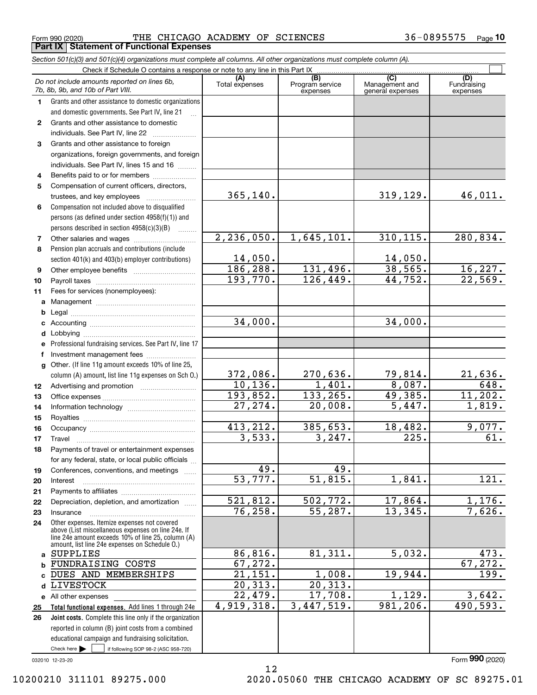**Part IX Statement of Functional Expenses**

Form 990 (2020) THE CHICAGO ACADEMY OF SCIENCES 36-0895575 Page

|              | Section 501(c)(3) and 501(c)(4) organizations must complete all columns. All other organizations must complete column (A). |                |                                    |                                    |                           |
|--------------|----------------------------------------------------------------------------------------------------------------------------|----------------|------------------------------------|------------------------------------|---------------------------|
|              | Check if Schedule O contains a response or note to any line in this Part IX                                                | (A)            |                                    | (C)                                | (D)                       |
|              | Do not include amounts reported on lines 6b,<br>7b, 8b, 9b, and 10b of Part VIII.                                          | Total expenses | (B)<br>Program service<br>expenses | Management and<br>general expenses | Fundraising<br>expenses   |
| 1.           | Grants and other assistance to domestic organizations                                                                      |                |                                    |                                    |                           |
|              | and domestic governments. See Part IV, line 21                                                                             |                |                                    |                                    |                           |
| $\mathbf{2}$ | Grants and other assistance to domestic                                                                                    |                |                                    |                                    |                           |
|              | individuals. See Part IV, line 22                                                                                          |                |                                    |                                    |                           |
| 3            | Grants and other assistance to foreign                                                                                     |                |                                    |                                    |                           |
|              | organizations, foreign governments, and foreign                                                                            |                |                                    |                                    |                           |
|              | individuals. See Part IV, lines 15 and 16                                                                                  |                |                                    |                                    |                           |
| 4            | Benefits paid to or for members                                                                                            |                |                                    |                                    |                           |
| 5            | Compensation of current officers, directors,                                                                               |                |                                    |                                    |                           |
|              |                                                                                                                            | 365, 140.      |                                    | 319, 129.                          | 46,011.                   |
| 6            | Compensation not included above to disqualified                                                                            |                |                                    |                                    |                           |
|              | persons (as defined under section 4958(f)(1)) and                                                                          |                |                                    |                                    |                           |
|              | persons described in section 4958(c)(3)(B)<br>1.1.1.1.1.1.1                                                                |                |                                    |                                    |                           |
| 7            |                                                                                                                            | 2, 236, 050.   | 1,645,101.                         | 310, 115.                          | 280,834.                  |
| 8            | Pension plan accruals and contributions (include                                                                           |                |                                    |                                    |                           |
|              | section 401(k) and 403(b) employer contributions)                                                                          | 14,050.        |                                    | 14,050.                            |                           |
| 9            |                                                                                                                            | 186,288.       | 131,496.                           | 38,565.                            | $\frac{16,227.}{22,569.}$ |
| 10           |                                                                                                                            | 193,770.       | 126,449.                           | 44,752.                            |                           |
| 11           | Fees for services (nonemployees):                                                                                          |                |                                    |                                    |                           |
| a            |                                                                                                                            |                |                                    |                                    |                           |
| b            |                                                                                                                            | 34,000.        |                                    | 34,000.                            |                           |
| c            |                                                                                                                            |                |                                    |                                    |                           |
| d            |                                                                                                                            |                |                                    |                                    |                           |
| е<br>f       | Professional fundraising services. See Part IV, line 17                                                                    |                |                                    |                                    |                           |
| g            | Investment management fees<br>Other. (If line 11g amount exceeds 10% of line 25,                                           |                |                                    |                                    |                           |
|              | column (A) amount, list line 11g expenses on Sch O.)                                                                       | 372,086.       | 270,636.                           | 79,814.                            | 21,636.                   |
| 12           |                                                                                                                            | 10, 136.       | 1,401.                             | 8,087.                             | 648.                      |
| 13           |                                                                                                                            | 193,852.       | 133,265.                           | 49,385.                            | 11, 202.                  |
| 14           |                                                                                                                            | 27, 274.       | 20,008.                            | 5,447.                             | 1,819.                    |
| 15           |                                                                                                                            |                |                                    |                                    |                           |
| 16           |                                                                                                                            | 413,212.       | 385,653.                           | 18,482.                            | 9,077.                    |
| 17           |                                                                                                                            | 3,533.         | 3, 247.                            | 225.                               | 61.                       |
| 18           | Payments of travel or entertainment expenses                                                                               |                |                                    |                                    |                           |
|              | for any federal, state, or local public officials                                                                          |                |                                    |                                    |                           |
| 19           | Conferences, conventions, and meetings                                                                                     | 49.            | 49.                                |                                    |                           |
| 20           | Interest                                                                                                                   | 53,777.        | 51,815.                            | 1,841.                             | $\overline{121}$ .        |
| 21           |                                                                                                                            |                |                                    |                                    |                           |
| 22           | Depreciation, depletion, and amortization                                                                                  | 521,812.       | 502,772.                           | 17,864.                            | 1,176.                    |
| 23           | Insurance                                                                                                                  | 76,258.        | $\overline{55}$ , 287.             | 13,345.                            | 7,626.                    |
| 24           | Other expenses. Itemize expenses not covered<br>above (List miscellaneous expenses on line 24e. If                         |                |                                    |                                    |                           |
|              | line 24e amount exceeds 10% of line 25, column (A)<br>amount, list line 24e expenses on Schedule O.)                       |                |                                    |                                    |                           |
| a            | SUPPLIES                                                                                                                   | 86,816.        | 81,311.                            | 5,032.                             | 473.                      |
| b            | FUNDRAISING COSTS                                                                                                          | 67,272.        |                                    |                                    | 67, 272.                  |
|              | DUES AND MEMBERSHIPS                                                                                                       | 21,151.        | 1,008.                             | 19,944.                            | 199.                      |
| d            | LIVESTOCK                                                                                                                  | 20,313.        | 20,313.                            |                                    |                           |
|              | e All other expenses                                                                                                       | 22,479.        | 17,708.                            | 1,129.                             | 3,642.                    |
| 25           | Total functional expenses. Add lines 1 through 24e                                                                         | 4,919,318.     | 3,447,519.                         | 981,206.                           | 490,593.                  |
| 26           | Joint costs. Complete this line only if the organization                                                                   |                |                                    |                                    |                           |
|              | reported in column (B) joint costs from a combined                                                                         |                |                                    |                                    |                           |
|              | educational campaign and fundraising solicitation.                                                                         |                |                                    |                                    |                           |
|              | Check here $\blacktriangleright$<br>if following SOP 98-2 (ASC 958-720)                                                    |                |                                    |                                    |                           |

12

032010 12-23-20

Form (2020) **990**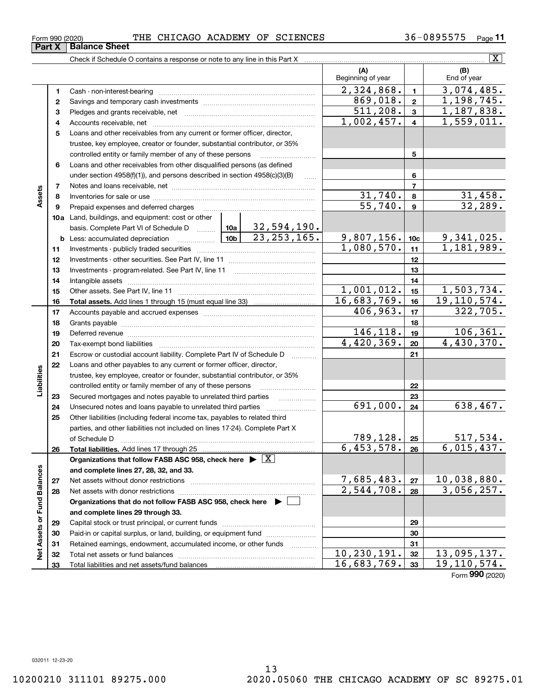$\overline{\phantom{0}}$ 

Form (2020) **990**

 $\overline{\phantom{0}}$ 

#### Form 990 (2020) THE CHICAGO ACADEMY OF SCIENCES 36-0895575 Page **Part X Balance Sheet**

Check if Schedule O contains a response or note to any line in this Part X

|                             |    |                                                                                                                                                                                                                                | (A)<br>Beginning of year |                         | (B)<br>End of year           |
|-----------------------------|----|--------------------------------------------------------------------------------------------------------------------------------------------------------------------------------------------------------------------------------|--------------------------|-------------------------|------------------------------|
|                             | 1  | Cash - non-interest-bearing                                                                                                                                                                                                    | 2,324,868.               | $\mathbf{1}$            | 3,074,485.                   |
|                             | 2  |                                                                                                                                                                                                                                | 869,018.                 | $\overline{2}$          | 1,198,745.                   |
|                             | З  |                                                                                                                                                                                                                                | $\overline{511,208}$ .   | $\mathbf{3}$            | 1,187,838.                   |
|                             | 4  |                                                                                                                                                                                                                                | 1,002,457.               | $\overline{\mathbf{4}}$ | $\overline{1,559,011}.$      |
|                             | 5  | Loans and other receivables from any current or former officer, director,                                                                                                                                                      |                          |                         |                              |
|                             |    | trustee, key employee, creator or founder, substantial contributor, or 35%                                                                                                                                                     |                          |                         |                              |
|                             |    | controlled entity or family member of any of these persons                                                                                                                                                                     |                          | 5                       |                              |
|                             | 6  | Loans and other receivables from other disqualified persons (as defined                                                                                                                                                        |                          |                         |                              |
|                             |    | under section $4958(f)(1)$ , and persons described in section $4958(c)(3)(B)$<br>.                                                                                                                                             |                          | 6                       |                              |
|                             | 7  |                                                                                                                                                                                                                                |                          | $\overline{7}$          |                              |
| Assets                      | 8  |                                                                                                                                                                                                                                | 31,740.                  | 8                       | 31,458.                      |
|                             | 9  | Prepaid expenses and deferred charges                                                                                                                                                                                          | 55,740.                  | $\mathbf{9}$            | 32,289.                      |
|                             |    | 10a Land, buildings, and equipment: cost or other                                                                                                                                                                              |                          |                         |                              |
|                             |    | 32,594,190.<br>basis. Complete Part VI of Schedule D  10a                                                                                                                                                                      |                          |                         |                              |
|                             |    | 23, 253, 165.<br>10 <sub>b</sub><br><b>b</b> Less: accumulated depreciation                                                                                                                                                    | 9,807,156.               | 10 <sub>c</sub>         | 9,341,025.                   |
|                             | 11 |                                                                                                                                                                                                                                | 1,080,570.               | 11                      | 1,181,989.                   |
|                             | 12 |                                                                                                                                                                                                                                |                          | 12                      |                              |
|                             | 13 | Investments - program-related. See Part IV, line 11                                                                                                                                                                            |                          | 13                      |                              |
|                             | 14 |                                                                                                                                                                                                                                |                          | 14                      |                              |
|                             | 15 |                                                                                                                                                                                                                                | 1,001,012.               | 15                      | 1,503,734.                   |
|                             | 16 |                                                                                                                                                                                                                                | 16,683,769.              | 16                      | 19, 110, 574.                |
|                             | 17 |                                                                                                                                                                                                                                | 406,963.                 | 17                      | 322,705.                     |
|                             | 18 |                                                                                                                                                                                                                                | 146,118.                 | 18                      | 106, 361.                    |
|                             | 19 | Deferred revenue manual contracts and contracts are contracted and contract and contract are contracted and contract are contracted and contract are contracted and contract are contracted and contract are contracted and co | 4,420,369.               | 19<br>20                | 4,430,370.                   |
|                             | 20 |                                                                                                                                                                                                                                |                          |                         |                              |
|                             | 21 | Escrow or custodial account liability. Complete Part IV of Schedule D                                                                                                                                                          |                          | 21                      |                              |
| Liabilities                 | 22 | Loans and other payables to any current or former officer, director,<br>trustee, key employee, creator or founder, substantial contributor, or 35%                                                                             |                          |                         |                              |
|                             |    | controlled entity or family member of any of these persons                                                                                                                                                                     |                          | 22                      |                              |
|                             | 23 | Secured mortgages and notes payable to unrelated third parties<br>.                                                                                                                                                            |                          | 23                      |                              |
|                             | 24 | Unsecured notes and loans payable to unrelated third parties                                                                                                                                                                   | 691,000.                 | 24                      | 638,467.                     |
|                             | 25 | Other liabilities (including federal income tax, payables to related third                                                                                                                                                     |                          |                         |                              |
|                             |    | parties, and other liabilities not included on lines 17-24). Complete Part X                                                                                                                                                   |                          |                         |                              |
|                             |    | of Schedule D                                                                                                                                                                                                                  | 789,128.                 | 25                      | 517,534.                     |
|                             | 26 |                                                                                                                                                                                                                                | 6,453,578.               | 26                      | 6,015,437.                   |
|                             |    | Organizations that follow FASB ASC 958, check here $\blacktriangleright \boxed{X}$                                                                                                                                             |                          |                         |                              |
|                             |    | and complete lines 27, 28, 32, and 33.                                                                                                                                                                                         |                          |                         |                              |
|                             | 27 | Net assets without donor restrictions                                                                                                                                                                                          | 7,685,483.               | ${\bf 27}$              | 10,038,880.                  |
|                             | 28 | Net assets with donor restrictions                                                                                                                                                                                             | $\overline{2,544,708}$ . | 28                      | 3,056,257.                   |
|                             |    | Organizations that do not follow FASB ASC 958, check here $\blacktriangleright$                                                                                                                                                |                          |                         |                              |
|                             |    | and complete lines 29 through 33.                                                                                                                                                                                              |                          |                         |                              |
| Net Assets or Fund Balances | 29 |                                                                                                                                                                                                                                |                          | 29                      |                              |
|                             | 30 | Paid-in or capital surplus, or land, building, or equipment fund                                                                                                                                                               |                          | 30                      |                              |
|                             | 31 | Retained earnings, endowment, accumulated income, or other funds<br>1.1.1.1.1.1.1.1.1.1                                                                                                                                        | 10, 230, 191.            | 31                      |                              |
|                             | 32 |                                                                                                                                                                                                                                | 16,683,769.              | 32<br>33                | 13,095,137.<br>19, 110, 574. |
|                             | 33 | Total liabilities and net assets/fund balances                                                                                                                                                                                 |                          |                         |                              |

**33**Total liabilities and net assets/fund balances

 $\boxed{\text{X}}$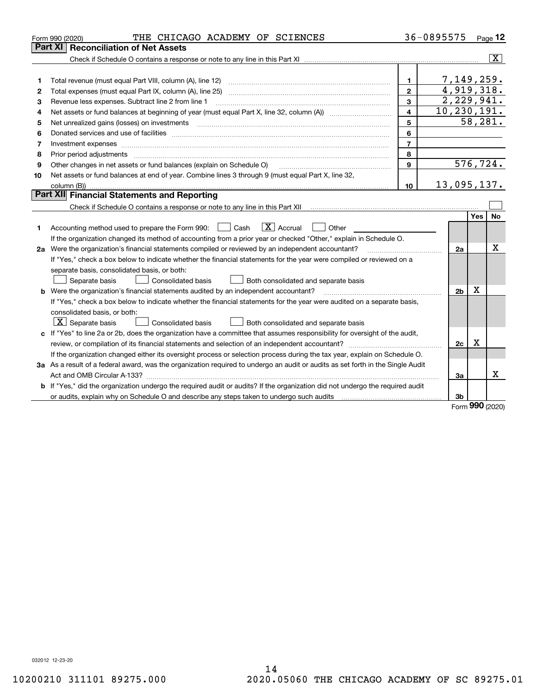| Part XI<br>7,149,259.<br>$\mathbf{1}$<br>1<br>4,919,318.<br>$\overline{2}$<br>2<br>2,229,941.<br>3<br>Revenue less expenses. Subtract line 2 from line 1<br>з<br>10, 230, 191.<br>$\overline{4}$<br>4<br>$\overline{58,281}$ .<br>5<br>5<br>6<br>6<br>$\overline{7}$<br>7<br>8<br>8<br>576,724.<br>$\mathbf{9}$<br>Other changes in net assets or fund balances (explain on Schedule O)<br>9<br>Net assets or fund balances at end of year. Combine lines 3 through 9 (must equal Part X, line 32,<br>10<br>13,095,137.<br>10<br>Part XII Financial Statements and Reporting<br>Yes<br>$\boxed{\text{X}}$ Accrual<br>Accounting method used to prepare the Form 990: <u>June</u> Cash<br>Other<br>$\mathbf{1}$<br>1<br>If the organization changed its method of accounting from a prior year or checked "Other," explain in Schedule O.<br>2a Were the organization's financial statements compiled or reviewed by an independent accountant?<br>2a<br>If "Yes," check a box below to indicate whether the financial statements for the year were compiled or reviewed on a<br>separate basis, consolidated basis, or both:<br>Both consolidated and separate basis<br>Separate basis<br><b>Consolidated basis</b><br>х<br><b>b</b> Were the organization's financial statements audited by an independent accountant?<br>2 <sub>b</sub><br>If "Yes," check a box below to indicate whether the financial statements for the year were audited on a separate basis,<br>consolidated basis, or both:<br>$X$ Separate basis<br><b>Consolidated basis</b><br>Both consolidated and separate basis<br>c If "Yes" to line 2a or 2b, does the organization have a committee that assumes responsibility for oversight of the audit,<br>x<br>2c<br>If the organization changed either its oversight process or selection process during the tax year, explain on Schedule O.<br>3a As a result of a federal award, was the organization required to undergo an audit or audits as set forth in the Single Audit<br>За<br><b>b</b> If "Yes," did the organization undergo the required audit or audits? If the organization did not undergo the required audit | THE CHICAGO ACADEMY OF SCIENCES<br>Form 990 (2020)                                                             | 36-0895575 | Page 12                 |
|---------------------------------------------------------------------------------------------------------------------------------------------------------------------------------------------------------------------------------------------------------------------------------------------------------------------------------------------------------------------------------------------------------------------------------------------------------------------------------------------------------------------------------------------------------------------------------------------------------------------------------------------------------------------------------------------------------------------------------------------------------------------------------------------------------------------------------------------------------------------------------------------------------------------------------------------------------------------------------------------------------------------------------------------------------------------------------------------------------------------------------------------------------------------------------------------------------------------------------------------------------------------------------------------------------------------------------------------------------------------------------------------------------------------------------------------------------------------------------------------------------------------------------------------------------------------------------------------------------------------------------------------------------------------------------------------------------------------------------------------------------------------------------------------------------------------------------------------------------------------------------------------------------------------------------------------------------------------------------------------------------------------------------------------------------------------------------------------------------------------------------------------------------|----------------------------------------------------------------------------------------------------------------|------------|-------------------------|
|                                                                                                                                                                                                                                                                                                                                                                                                                                                                                                                                                                                                                                                                                                                                                                                                                                                                                                                                                                                                                                                                                                                                                                                                                                                                                                                                                                                                                                                                                                                                                                                                                                                                                                                                                                                                                                                                                                                                                                                                                                                                                                                                                         | <b>Reconciliation of Net Assets</b>                                                                            |            |                         |
|                                                                                                                                                                                                                                                                                                                                                                                                                                                                                                                                                                                                                                                                                                                                                                                                                                                                                                                                                                                                                                                                                                                                                                                                                                                                                                                                                                                                                                                                                                                                                                                                                                                                                                                                                                                                                                                                                                                                                                                                                                                                                                                                                         |                                                                                                                |            | $\overline{\mathbf{X}}$ |
|                                                                                                                                                                                                                                                                                                                                                                                                                                                                                                                                                                                                                                                                                                                                                                                                                                                                                                                                                                                                                                                                                                                                                                                                                                                                                                                                                                                                                                                                                                                                                                                                                                                                                                                                                                                                                                                                                                                                                                                                                                                                                                                                                         |                                                                                                                |            |                         |
|                                                                                                                                                                                                                                                                                                                                                                                                                                                                                                                                                                                                                                                                                                                                                                                                                                                                                                                                                                                                                                                                                                                                                                                                                                                                                                                                                                                                                                                                                                                                                                                                                                                                                                                                                                                                                                                                                                                                                                                                                                                                                                                                                         |                                                                                                                |            |                         |
|                                                                                                                                                                                                                                                                                                                                                                                                                                                                                                                                                                                                                                                                                                                                                                                                                                                                                                                                                                                                                                                                                                                                                                                                                                                                                                                                                                                                                                                                                                                                                                                                                                                                                                                                                                                                                                                                                                                                                                                                                                                                                                                                                         |                                                                                                                |            |                         |
|                                                                                                                                                                                                                                                                                                                                                                                                                                                                                                                                                                                                                                                                                                                                                                                                                                                                                                                                                                                                                                                                                                                                                                                                                                                                                                                                                                                                                                                                                                                                                                                                                                                                                                                                                                                                                                                                                                                                                                                                                                                                                                                                                         |                                                                                                                |            |                         |
|                                                                                                                                                                                                                                                                                                                                                                                                                                                                                                                                                                                                                                                                                                                                                                                                                                                                                                                                                                                                                                                                                                                                                                                                                                                                                                                                                                                                                                                                                                                                                                                                                                                                                                                                                                                                                                                                                                                                                                                                                                                                                                                                                         |                                                                                                                |            |                         |
|                                                                                                                                                                                                                                                                                                                                                                                                                                                                                                                                                                                                                                                                                                                                                                                                                                                                                                                                                                                                                                                                                                                                                                                                                                                                                                                                                                                                                                                                                                                                                                                                                                                                                                                                                                                                                                                                                                                                                                                                                                                                                                                                                         |                                                                                                                |            |                         |
|                                                                                                                                                                                                                                                                                                                                                                                                                                                                                                                                                                                                                                                                                                                                                                                                                                                                                                                                                                                                                                                                                                                                                                                                                                                                                                                                                                                                                                                                                                                                                                                                                                                                                                                                                                                                                                                                                                                                                                                                                                                                                                                                                         |                                                                                                                |            |                         |
|                                                                                                                                                                                                                                                                                                                                                                                                                                                                                                                                                                                                                                                                                                                                                                                                                                                                                                                                                                                                                                                                                                                                                                                                                                                                                                                                                                                                                                                                                                                                                                                                                                                                                                                                                                                                                                                                                                                                                                                                                                                                                                                                                         |                                                                                                                |            |                         |
|                                                                                                                                                                                                                                                                                                                                                                                                                                                                                                                                                                                                                                                                                                                                                                                                                                                                                                                                                                                                                                                                                                                                                                                                                                                                                                                                                                                                                                                                                                                                                                                                                                                                                                                                                                                                                                                                                                                                                                                                                                                                                                                                                         |                                                                                                                |            |                         |
|                                                                                                                                                                                                                                                                                                                                                                                                                                                                                                                                                                                                                                                                                                                                                                                                                                                                                                                                                                                                                                                                                                                                                                                                                                                                                                                                                                                                                                                                                                                                                                                                                                                                                                                                                                                                                                                                                                                                                                                                                                                                                                                                                         |                                                                                                                |            |                         |
|                                                                                                                                                                                                                                                                                                                                                                                                                                                                                                                                                                                                                                                                                                                                                                                                                                                                                                                                                                                                                                                                                                                                                                                                                                                                                                                                                                                                                                                                                                                                                                                                                                                                                                                                                                                                                                                                                                                                                                                                                                                                                                                                                         |                                                                                                                |            |                         |
|                                                                                                                                                                                                                                                                                                                                                                                                                                                                                                                                                                                                                                                                                                                                                                                                                                                                                                                                                                                                                                                                                                                                                                                                                                                                                                                                                                                                                                                                                                                                                                                                                                                                                                                                                                                                                                                                                                                                                                                                                                                                                                                                                         |                                                                                                                |            |                         |
|                                                                                                                                                                                                                                                                                                                                                                                                                                                                                                                                                                                                                                                                                                                                                                                                                                                                                                                                                                                                                                                                                                                                                                                                                                                                                                                                                                                                                                                                                                                                                                                                                                                                                                                                                                                                                                                                                                                                                                                                                                                                                                                                                         |                                                                                                                |            |                         |
|                                                                                                                                                                                                                                                                                                                                                                                                                                                                                                                                                                                                                                                                                                                                                                                                                                                                                                                                                                                                                                                                                                                                                                                                                                                                                                                                                                                                                                                                                                                                                                                                                                                                                                                                                                                                                                                                                                                                                                                                                                                                                                                                                         |                                                                                                                |            |                         |
|                                                                                                                                                                                                                                                                                                                                                                                                                                                                                                                                                                                                                                                                                                                                                                                                                                                                                                                                                                                                                                                                                                                                                                                                                                                                                                                                                                                                                                                                                                                                                                                                                                                                                                                                                                                                                                                                                                                                                                                                                                                                                                                                                         |                                                                                                                |            | No                      |
|                                                                                                                                                                                                                                                                                                                                                                                                                                                                                                                                                                                                                                                                                                                                                                                                                                                                                                                                                                                                                                                                                                                                                                                                                                                                                                                                                                                                                                                                                                                                                                                                                                                                                                                                                                                                                                                                                                                                                                                                                                                                                                                                                         |                                                                                                                |            |                         |
|                                                                                                                                                                                                                                                                                                                                                                                                                                                                                                                                                                                                                                                                                                                                                                                                                                                                                                                                                                                                                                                                                                                                                                                                                                                                                                                                                                                                                                                                                                                                                                                                                                                                                                                                                                                                                                                                                                                                                                                                                                                                                                                                                         |                                                                                                                |            |                         |
|                                                                                                                                                                                                                                                                                                                                                                                                                                                                                                                                                                                                                                                                                                                                                                                                                                                                                                                                                                                                                                                                                                                                                                                                                                                                                                                                                                                                                                                                                                                                                                                                                                                                                                                                                                                                                                                                                                                                                                                                                                                                                                                                                         |                                                                                                                |            | X                       |
|                                                                                                                                                                                                                                                                                                                                                                                                                                                                                                                                                                                                                                                                                                                                                                                                                                                                                                                                                                                                                                                                                                                                                                                                                                                                                                                                                                                                                                                                                                                                                                                                                                                                                                                                                                                                                                                                                                                                                                                                                                                                                                                                                         |                                                                                                                |            |                         |
|                                                                                                                                                                                                                                                                                                                                                                                                                                                                                                                                                                                                                                                                                                                                                                                                                                                                                                                                                                                                                                                                                                                                                                                                                                                                                                                                                                                                                                                                                                                                                                                                                                                                                                                                                                                                                                                                                                                                                                                                                                                                                                                                                         |                                                                                                                |            |                         |
|                                                                                                                                                                                                                                                                                                                                                                                                                                                                                                                                                                                                                                                                                                                                                                                                                                                                                                                                                                                                                                                                                                                                                                                                                                                                                                                                                                                                                                                                                                                                                                                                                                                                                                                                                                                                                                                                                                                                                                                                                                                                                                                                                         |                                                                                                                |            |                         |
|                                                                                                                                                                                                                                                                                                                                                                                                                                                                                                                                                                                                                                                                                                                                                                                                                                                                                                                                                                                                                                                                                                                                                                                                                                                                                                                                                                                                                                                                                                                                                                                                                                                                                                                                                                                                                                                                                                                                                                                                                                                                                                                                                         |                                                                                                                |            |                         |
|                                                                                                                                                                                                                                                                                                                                                                                                                                                                                                                                                                                                                                                                                                                                                                                                                                                                                                                                                                                                                                                                                                                                                                                                                                                                                                                                                                                                                                                                                                                                                                                                                                                                                                                                                                                                                                                                                                                                                                                                                                                                                                                                                         |                                                                                                                |            |                         |
|                                                                                                                                                                                                                                                                                                                                                                                                                                                                                                                                                                                                                                                                                                                                                                                                                                                                                                                                                                                                                                                                                                                                                                                                                                                                                                                                                                                                                                                                                                                                                                                                                                                                                                                                                                                                                                                                                                                                                                                                                                                                                                                                                         |                                                                                                                |            |                         |
|                                                                                                                                                                                                                                                                                                                                                                                                                                                                                                                                                                                                                                                                                                                                                                                                                                                                                                                                                                                                                                                                                                                                                                                                                                                                                                                                                                                                                                                                                                                                                                                                                                                                                                                                                                                                                                                                                                                                                                                                                                                                                                                                                         |                                                                                                                |            |                         |
|                                                                                                                                                                                                                                                                                                                                                                                                                                                                                                                                                                                                                                                                                                                                                                                                                                                                                                                                                                                                                                                                                                                                                                                                                                                                                                                                                                                                                                                                                                                                                                                                                                                                                                                                                                                                                                                                                                                                                                                                                                                                                                                                                         |                                                                                                                |            |                         |
|                                                                                                                                                                                                                                                                                                                                                                                                                                                                                                                                                                                                                                                                                                                                                                                                                                                                                                                                                                                                                                                                                                                                                                                                                                                                                                                                                                                                                                                                                                                                                                                                                                                                                                                                                                                                                                                                                                                                                                                                                                                                                                                                                         |                                                                                                                |            |                         |
|                                                                                                                                                                                                                                                                                                                                                                                                                                                                                                                                                                                                                                                                                                                                                                                                                                                                                                                                                                                                                                                                                                                                                                                                                                                                                                                                                                                                                                                                                                                                                                                                                                                                                                                                                                                                                                                                                                                                                                                                                                                                                                                                                         |                                                                                                                |            |                         |
|                                                                                                                                                                                                                                                                                                                                                                                                                                                                                                                                                                                                                                                                                                                                                                                                                                                                                                                                                                                                                                                                                                                                                                                                                                                                                                                                                                                                                                                                                                                                                                                                                                                                                                                                                                                                                                                                                                                                                                                                                                                                                                                                                         |                                                                                                                |            |                         |
|                                                                                                                                                                                                                                                                                                                                                                                                                                                                                                                                                                                                                                                                                                                                                                                                                                                                                                                                                                                                                                                                                                                                                                                                                                                                                                                                                                                                                                                                                                                                                                                                                                                                                                                                                                                                                                                                                                                                                                                                                                                                                                                                                         |                                                                                                                |            | Χ                       |
|                                                                                                                                                                                                                                                                                                                                                                                                                                                                                                                                                                                                                                                                                                                                                                                                                                                                                                                                                                                                                                                                                                                                                                                                                                                                                                                                                                                                                                                                                                                                                                                                                                                                                                                                                                                                                                                                                                                                                                                                                                                                                                                                                         |                                                                                                                |            |                         |
|                                                                                                                                                                                                                                                                                                                                                                                                                                                                                                                                                                                                                                                                                                                                                                                                                                                                                                                                                                                                                                                                                                                                                                                                                                                                                                                                                                                                                                                                                                                                                                                                                                                                                                                                                                                                                                                                                                                                                                                                                                                                                                                                                         | or audits, explain why on Schedule O and describe any steps taken to undergo such audits [11] content to under | 3b         |                         |

Form (2020) **990**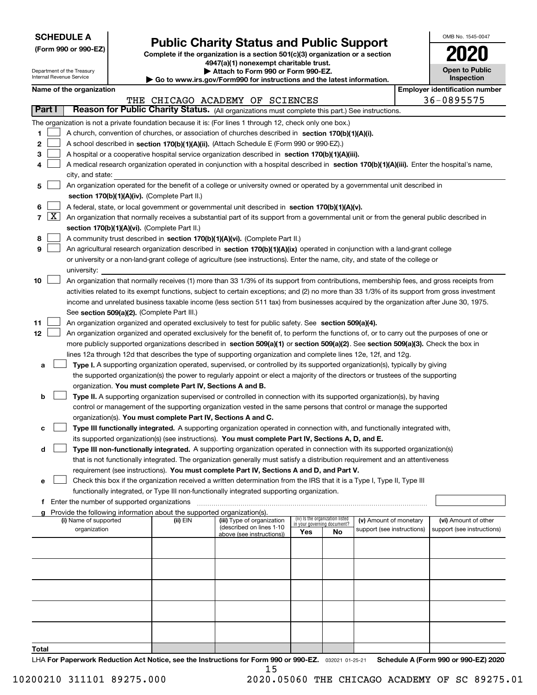| <b>SCHEDULE A</b> |
|-------------------|
|-------------------|

Department of the Treasury Internal Revenue Service

**(Form 990 or 990-EZ)**

# **Public Charity Status and Public Support**

**Complete if the organization is a section 501(c)(3) organization or a section 4947(a)(1) nonexempt charitable trust.**

| Attach to Form 990 or Form 990-EZ.                                       |  |
|--------------------------------------------------------------------------|--|
| ► Go to www.irs.gov/Form990 for instructions and the latest information. |  |

**Open to Public Inspection 2020**

OMB No. 1545-0047

| Name of the organization |  |
|--------------------------|--|
|--------------------------|--|

|        |                       | Name of the organization                                                                                                                     |          |                                 |                             |                                 |                                                      |  | <b>Employer identification number</b>              |
|--------|-----------------------|----------------------------------------------------------------------------------------------------------------------------------------------|----------|---------------------------------|-----------------------------|---------------------------------|------------------------------------------------------|--|----------------------------------------------------|
|        |                       |                                                                                                                                              |          | THE CHICAGO ACADEMY OF SCIENCES |                             |                                 |                                                      |  | 36-0895575                                         |
| Part I |                       | Reason for Public Charity Status. (All organizations must complete this part.) See instructions.                                             |          |                                 |                             |                                 |                                                      |  |                                                    |
|        |                       | The organization is not a private foundation because it is: (For lines 1 through 12, check only one box.)                                    |          |                                 |                             |                                 |                                                      |  |                                                    |
| 1      |                       | A church, convention of churches, or association of churches described in section 170(b)(1)(A)(i).                                           |          |                                 |                             |                                 |                                                      |  |                                                    |
| 2      |                       | A school described in section 170(b)(1)(A)(ii). (Attach Schedule E (Form 990 or 990-EZ).)                                                    |          |                                 |                             |                                 |                                                      |  |                                                    |
| з      |                       | A hospital or a cooperative hospital service organization described in section 170(b)(1)(A)(iii).                                            |          |                                 |                             |                                 |                                                      |  |                                                    |
| 4      |                       | A medical research organization operated in conjunction with a hospital described in section 170(b)(1)(A)(iii). Enter the hospital's name,   |          |                                 |                             |                                 |                                                      |  |                                                    |
|        |                       | city, and state:                                                                                                                             |          |                                 |                             |                                 |                                                      |  |                                                    |
| 5      |                       | An organization operated for the benefit of a college or university owned or operated by a governmental unit described in                    |          |                                 |                             |                                 |                                                      |  |                                                    |
|        |                       | section 170(b)(1)(A)(iv). (Complete Part II.)                                                                                                |          |                                 |                             |                                 |                                                      |  |                                                    |
| 6      |                       | A federal, state, or local government or governmental unit described in section 170(b)(1)(A)(v).                                             |          |                                 |                             |                                 |                                                      |  |                                                    |
|        | 7 $\lfloor x \rfloor$ | An organization that normally receives a substantial part of its support from a governmental unit or from the general public described in    |          |                                 |                             |                                 |                                                      |  |                                                    |
|        |                       | section 170(b)(1)(A)(vi). (Complete Part II.)                                                                                                |          |                                 |                             |                                 |                                                      |  |                                                    |
| 8      |                       | A community trust described in section 170(b)(1)(A)(vi). (Complete Part II.)                                                                 |          |                                 |                             |                                 |                                                      |  |                                                    |
| 9      |                       | An agricultural research organization described in section 170(b)(1)(A)(ix) operated in conjunction with a land-grant college                |          |                                 |                             |                                 |                                                      |  |                                                    |
|        |                       | or university or a non-land-grant college of agriculture (see instructions). Enter the name, city, and state of the college or               |          |                                 |                             |                                 |                                                      |  |                                                    |
|        |                       | university:                                                                                                                                  |          |                                 |                             |                                 |                                                      |  |                                                    |
| 10     |                       | An organization that normally receives (1) more than 33 1/3% of its support from contributions, membership fees, and gross receipts from     |          |                                 |                             |                                 |                                                      |  |                                                    |
|        |                       | activities related to its exempt functions, subject to certain exceptions; and (2) no more than 33 1/3% of its support from gross investment |          |                                 |                             |                                 |                                                      |  |                                                    |
|        |                       | income and unrelated business taxable income (less section 511 tax) from businesses acquired by the organization after June 30, 1975.        |          |                                 |                             |                                 |                                                      |  |                                                    |
|        |                       | See section 509(a)(2). (Complete Part III.)                                                                                                  |          |                                 |                             |                                 |                                                      |  |                                                    |
| 11     |                       | An organization organized and operated exclusively to test for public safety. See section 509(a)(4).                                         |          |                                 |                             |                                 |                                                      |  |                                                    |
| 12     |                       | An organization organized and operated exclusively for the benefit of, to perform the functions of, or to carry out the purposes of one or   |          |                                 |                             |                                 |                                                      |  |                                                    |
|        |                       | more publicly supported organizations described in section 509(a)(1) or section 509(a)(2). See section 509(a)(3). Check the box in           |          |                                 |                             |                                 |                                                      |  |                                                    |
|        |                       | lines 12a through 12d that describes the type of supporting organization and complete lines 12e, 12f, and 12g.                               |          |                                 |                             |                                 |                                                      |  |                                                    |
| а      |                       | Type I. A supporting organization operated, supervised, or controlled by its supported organization(s), typically by giving                  |          |                                 |                             |                                 |                                                      |  |                                                    |
|        |                       | the supported organization(s) the power to regularly appoint or elect a majority of the directors or trustees of the supporting              |          |                                 |                             |                                 |                                                      |  |                                                    |
|        |                       | organization. You must complete Part IV, Sections A and B.                                                                                   |          |                                 |                             |                                 |                                                      |  |                                                    |
| b      |                       | Type II. A supporting organization supervised or controlled in connection with its supported organization(s), by having                      |          |                                 |                             |                                 |                                                      |  |                                                    |
|        |                       | control or management of the supporting organization vested in the same persons that control or manage the supported                         |          |                                 |                             |                                 |                                                      |  |                                                    |
|        |                       | organization(s). You must complete Part IV, Sections A and C.                                                                                |          |                                 |                             |                                 |                                                      |  |                                                    |
| c      |                       | Type III functionally integrated. A supporting organization operated in connection with, and functionally integrated with,                   |          |                                 |                             |                                 |                                                      |  |                                                    |
|        |                       | its supported organization(s) (see instructions). You must complete Part IV, Sections A, D, and E.                                           |          |                                 |                             |                                 |                                                      |  |                                                    |
| d      |                       | Type III non-functionally integrated. A supporting organization operated in connection with its supported organization(s)                    |          |                                 |                             |                                 |                                                      |  |                                                    |
|        |                       | that is not functionally integrated. The organization generally must satisfy a distribution requirement and an attentiveness                 |          |                                 |                             |                                 |                                                      |  |                                                    |
|        |                       | requirement (see instructions). You must complete Part IV, Sections A and D, and Part V.                                                     |          |                                 |                             |                                 |                                                      |  |                                                    |
|        |                       | Check this box if the organization received a written determination from the IRS that it is a Type I, Type II, Type III                      |          |                                 |                             |                                 |                                                      |  |                                                    |
|        |                       | functionally integrated, or Type III non-functionally integrated supporting organization.                                                    |          |                                 |                             |                                 |                                                      |  |                                                    |
|        |                       | f Enter the number of supported organizations                                                                                                |          |                                 |                             |                                 |                                                      |  |                                                    |
|        |                       | g Provide the following information about the supported organization(s).<br>(i) Name of supported                                            |          | (iii) Type of organization      |                             | (iv) Is the organization listed |                                                      |  |                                                    |
|        |                       | organization                                                                                                                                 | (ii) EIN | (described on lines 1-10        | in your governing document? |                                 | (v) Amount of monetary<br>support (see instructions) |  | (vi) Amount of other<br>support (see instructions) |
|        |                       |                                                                                                                                              |          | above (see instructions))       | Yes                         | No                              |                                                      |  |                                                    |
|        |                       |                                                                                                                                              |          |                                 |                             |                                 |                                                      |  |                                                    |
|        |                       |                                                                                                                                              |          |                                 |                             |                                 |                                                      |  |                                                    |
|        |                       |                                                                                                                                              |          |                                 |                             |                                 |                                                      |  |                                                    |
|        |                       |                                                                                                                                              |          |                                 |                             |                                 |                                                      |  |                                                    |
|        |                       |                                                                                                                                              |          |                                 |                             |                                 |                                                      |  |                                                    |
|        |                       |                                                                                                                                              |          |                                 |                             |                                 |                                                      |  |                                                    |
|        |                       |                                                                                                                                              |          |                                 |                             |                                 |                                                      |  |                                                    |
|        |                       |                                                                                                                                              |          |                                 |                             |                                 |                                                      |  |                                                    |
|        |                       |                                                                                                                                              |          |                                 |                             |                                 |                                                      |  |                                                    |
| Total  |                       |                                                                                                                                              |          |                                 |                             |                                 |                                                      |  |                                                    |

LHA For Paperwork Reduction Act Notice, see the Instructions for Form 990 or 990-EZ. <sub>032021</sub> o1-25-21 Schedule A (Form 990 or 990-EZ) 2020 15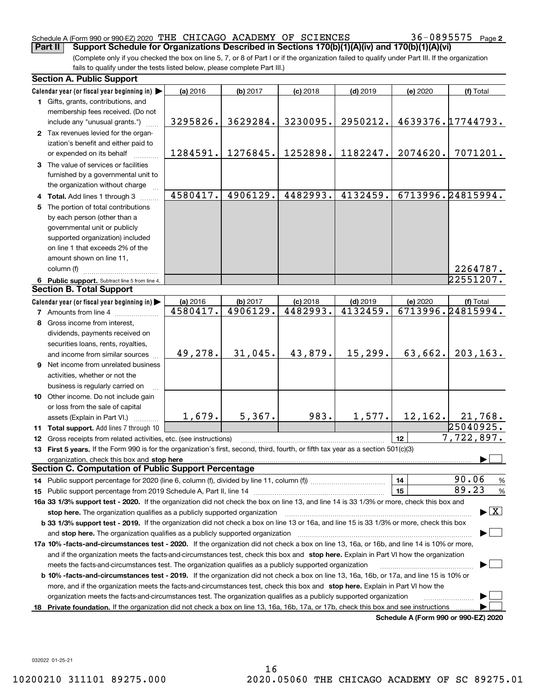#### Schedule A (Form 990 or 990-EZ) 2020 Page THE CHICAGO ACADEMY OF SCIENCES 36-0895575 **Part II** Support Schedule for Organizations Described in Sections 170(b)(1)(A)(iv) and 170(b)(1)(A)(vi)

(Complete only if you checked the box on line 5, 7, or 8 of Part I or if the organization failed to qualify under Part III. If the organization fails to qualify under the tests listed below, please complete Part III.)

|     | <b>Section A. Public Support</b>                                                                                                                                                                                               |          |          |                        |            |          |                                      |
|-----|--------------------------------------------------------------------------------------------------------------------------------------------------------------------------------------------------------------------------------|----------|----------|------------------------|------------|----------|--------------------------------------|
|     | Calendar year (or fiscal year beginning in)                                                                                                                                                                                    | (a) 2016 | (b) 2017 | $(c)$ 2018             | $(d)$ 2019 | (e) 2020 | (f) Total                            |
|     | 1 Gifts, grants, contributions, and                                                                                                                                                                                            |          |          |                        |            |          |                                      |
|     | membership fees received. (Do not                                                                                                                                                                                              |          |          |                        |            |          |                                      |
|     | include any "unusual grants.")                                                                                                                                                                                                 | 3295826. | 3629284. | 3230095.               | 2950212.   |          | 4639376.17744793.                    |
|     | 2 Tax revenues levied for the organ-                                                                                                                                                                                           |          |          |                        |            |          |                                      |
|     | ization's benefit and either paid to                                                                                                                                                                                           |          |          |                        |            |          |                                      |
|     | or expended on its behalf                                                                                                                                                                                                      | 1284591. | 1276845. | 1252898.               | 1182247.   | 2074620. | 7071201.                             |
|     | 3 The value of services or facilities                                                                                                                                                                                          |          |          |                        |            |          |                                      |
|     | furnished by a governmental unit to                                                                                                                                                                                            |          |          |                        |            |          |                                      |
|     | the organization without charge                                                                                                                                                                                                |          |          |                        |            |          |                                      |
|     | 4 Total. Add lines 1 through 3                                                                                                                                                                                                 | 4580417. | 4906129. | 4482993.               | 4132459.   |          | 6713996.24815994.                    |
| 5   | The portion of total contributions                                                                                                                                                                                             |          |          |                        |            |          |                                      |
|     | by each person (other than a                                                                                                                                                                                                   |          |          |                        |            |          |                                      |
|     | governmental unit or publicly                                                                                                                                                                                                  |          |          |                        |            |          |                                      |
|     | supported organization) included                                                                                                                                                                                               |          |          |                        |            |          |                                      |
|     | on line 1 that exceeds 2% of the                                                                                                                                                                                               |          |          |                        |            |          |                                      |
|     | amount shown on line 11,                                                                                                                                                                                                       |          |          |                        |            |          |                                      |
|     | column (f)                                                                                                                                                                                                                     |          |          |                        |            |          | 2264787.                             |
|     | 6 Public support. Subtract line 5 from line 4.                                                                                                                                                                                 |          |          |                        |            |          | 22551207.                            |
|     | <b>Section B. Total Support</b>                                                                                                                                                                                                |          |          |                        |            |          |                                      |
|     | Calendar year (or fiscal year beginning in)                                                                                                                                                                                    | (a) 2016 | (b) 2017 |                        | $(d)$ 2019 | (e) 2020 |                                      |
|     | <b>7</b> Amounts from line 4                                                                                                                                                                                                   | 4580417. | 4906129. | $(c)$ 2018<br>4482993. | 4132459.   |          | (f) Total<br>6713996.24815994.       |
|     |                                                                                                                                                                                                                                |          |          |                        |            |          |                                      |
|     | 8 Gross income from interest,                                                                                                                                                                                                  |          |          |                        |            |          |                                      |
|     | dividends, payments received on                                                                                                                                                                                                |          |          |                        |            |          |                                      |
|     | securities loans, rents, royalties,                                                                                                                                                                                            | 49,278.  | 31,045.  | 43,879.                | 15,299.    | 63,662.  | 203, 163.                            |
|     | and income from similar sources                                                                                                                                                                                                |          |          |                        |            |          |                                      |
|     | 9 Net income from unrelated business                                                                                                                                                                                           |          |          |                        |            |          |                                      |
|     | activities, whether or not the                                                                                                                                                                                                 |          |          |                        |            |          |                                      |
|     | business is regularly carried on                                                                                                                                                                                               |          |          |                        |            |          |                                      |
|     | 10 Other income. Do not include gain                                                                                                                                                                                           |          |          |                        |            |          |                                      |
|     | or loss from the sale of capital                                                                                                                                                                                               |          |          |                        |            |          |                                      |
|     | assets (Explain in Part VI.)                                                                                                                                                                                                   | 1,679.   | 5,367.   | 983.                   | 1,577.     | 12, 162. | 21,768.                              |
|     | 11 Total support. Add lines 7 through 10                                                                                                                                                                                       |          |          |                        |            |          | 25040925.                            |
|     | <b>12</b> Gross receipts from related activities, etc. (see instructions)                                                                                                                                                      |          |          |                        |            | 12       | 7,722,897.                           |
|     | 13 First 5 years. If the Form 990 is for the organization's first, second, third, fourth, or fifth tax year as a section 501(c)(3)                                                                                             |          |          |                        |            |          |                                      |
|     | organization, check this box and stop here manufactured and according to the state of the state of the state of the state of the state of the state of the state of the state of the state of the state of the state of the st |          |          |                        |            |          |                                      |
|     | <b>Section C. Computation of Public Support Percentage</b>                                                                                                                                                                     |          |          |                        |            |          |                                      |
|     |                                                                                                                                                                                                                                |          |          |                        |            | 14       | 90.06<br>$\frac{9}{6}$               |
|     |                                                                                                                                                                                                                                |          |          |                        |            | 15       | 89.23<br>%                           |
|     | 16a 33 1/3% support test - 2020. If the organization did not check the box on line 13, and line 14 is 33 1/3% or more, check this box and                                                                                      |          |          |                        |            |          |                                      |
|     | $\blacktriangleright$ $\boxed{\text{X}}$<br>stop here. The organization qualifies as a publicly supported organization                                                                                                         |          |          |                        |            |          |                                      |
|     | b 33 1/3% support test - 2019. If the organization did not check a box on line 13 or 16a, and line 15 is 33 1/3% or more, check this box                                                                                       |          |          |                        |            |          |                                      |
|     | and stop here. The organization qualifies as a publicly supported organization                                                                                                                                                 |          |          |                        |            |          |                                      |
|     | 17a 10% -facts-and-circumstances test - 2020. If the organization did not check a box on line 13, 16a, or 16b, and line 14 is 10% or more,                                                                                     |          |          |                        |            |          |                                      |
|     | and if the organization meets the facts-and-circumstances test, check this box and stop here. Explain in Part VI how the organization                                                                                          |          |          |                        |            |          |                                      |
|     | meets the facts-and-circumstances test. The organization qualifies as a publicly supported organization                                                                                                                        |          |          |                        |            |          |                                      |
|     | <b>b 10% -facts-and-circumstances test - 2019.</b> If the organization did not check a box on line 13, 16a, 16b, or 17a, and line 15 is 10% or                                                                                 |          |          |                        |            |          |                                      |
|     | more, and if the organization meets the facts-and-circumstances test, check this box and stop here. Explain in Part VI how the                                                                                                 |          |          |                        |            |          |                                      |
|     | organization meets the facts-and-circumstances test. The organization qualifies as a publicly supported organization                                                                                                           |          |          |                        |            |          |                                      |
| 18. | Private foundation. If the organization did not check a box on line 13, 16a, 16b, 17a, or 17b, check this box and see instructions                                                                                             |          |          |                        |            |          |                                      |
|     |                                                                                                                                                                                                                                |          |          |                        |            |          | Schedule A (Form 990 or 990-F7) 2020 |

**Schedule A (Form 990 or 990-EZ) 2020**

032022 01-25-21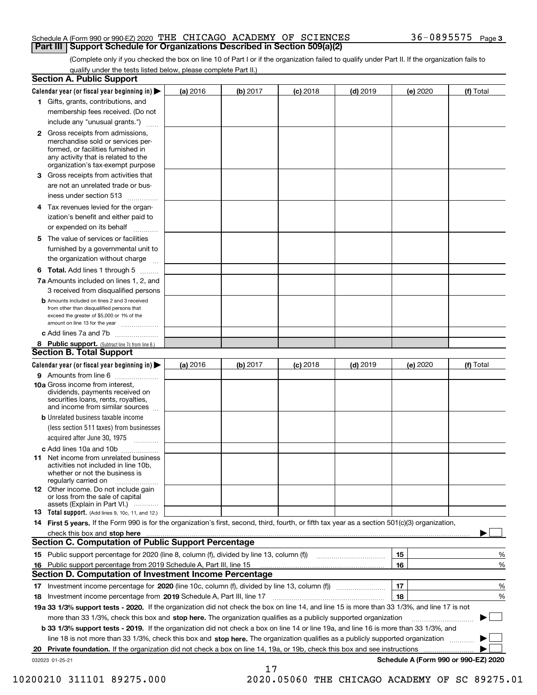#### Schedule A (Form 990 or 990-EZ) 2020 Page THE CHICAGO ACADEMY OF SCIENCES 36-0895575 **Part III Support Schedule for Organizations Described in Section 509(a)(2)**

(Complete only if you checked the box on line 10 of Part I or if the organization failed to qualify under Part II. If the organization fails to qualify under the tests listed below, please complete Part II.)

|    | <b>Section A. Public Support</b>                                                                                                                                                                                               |          |          |            |            |          |                                      |
|----|--------------------------------------------------------------------------------------------------------------------------------------------------------------------------------------------------------------------------------|----------|----------|------------|------------|----------|--------------------------------------|
|    | Calendar year (or fiscal year beginning in) $\blacktriangleright$                                                                                                                                                              | (a) 2016 | (b) 2017 | $(c)$ 2018 | $(d)$ 2019 | (e) 2020 | (f) Total                            |
|    | 1 Gifts, grants, contributions, and                                                                                                                                                                                            |          |          |            |            |          |                                      |
|    | membership fees received. (Do not                                                                                                                                                                                              |          |          |            |            |          |                                      |
|    | include any "unusual grants.")                                                                                                                                                                                                 |          |          |            |            |          |                                      |
|    | 2 Gross receipts from admissions,<br>merchandise sold or services per-<br>formed, or facilities furnished in<br>any activity that is related to the<br>organization's tax-exempt purpose                                       |          |          |            |            |          |                                      |
|    | 3 Gross receipts from activities that<br>are not an unrelated trade or bus-                                                                                                                                                    |          |          |            |            |          |                                      |
|    | iness under section 513                                                                                                                                                                                                        |          |          |            |            |          |                                      |
|    | 4 Tax revenues levied for the organ-                                                                                                                                                                                           |          |          |            |            |          |                                      |
|    | ization's benefit and either paid to<br>or expended on its behalf<br>.                                                                                                                                                         |          |          |            |            |          |                                      |
|    | 5 The value of services or facilities                                                                                                                                                                                          |          |          |            |            |          |                                      |
|    | furnished by a governmental unit to                                                                                                                                                                                            |          |          |            |            |          |                                      |
|    | the organization without charge                                                                                                                                                                                                |          |          |            |            |          |                                      |
|    | <b>6 Total.</b> Add lines 1 through 5                                                                                                                                                                                          |          |          |            |            |          |                                      |
|    | 7a Amounts included on lines 1, 2, and<br>3 received from disqualified persons                                                                                                                                                 |          |          |            |            |          |                                      |
|    | <b>b</b> Amounts included on lines 2 and 3 received<br>from other than disqualified persons that<br>exceed the greater of \$5,000 or 1% of the<br>amount on line 13 for the year                                               |          |          |            |            |          |                                      |
|    | c Add lines 7a and 7b                                                                                                                                                                                                          |          |          |            |            |          |                                      |
|    | 8 Public support. (Subtract line 7c from line 6.)                                                                                                                                                                              |          |          |            |            |          |                                      |
|    | <b>Section B. Total Support</b>                                                                                                                                                                                                |          |          |            |            |          |                                      |
|    | Calendar year (or fiscal year beginning in) $\blacktriangleright$                                                                                                                                                              | (a) 2016 | (b) 2017 | $(c)$ 2018 | $(d)$ 2019 | (e) 2020 | (f) Total                            |
|    | 9 Amounts from line 6                                                                                                                                                                                                          |          |          |            |            |          |                                      |
|    | 10a Gross income from interest,<br>dividends, payments received on<br>securities loans, rents, royalties,<br>and income from similar sources                                                                                   |          |          |            |            |          |                                      |
|    | <b>b</b> Unrelated business taxable income<br>(less section 511 taxes) from businesses                                                                                                                                         |          |          |            |            |          |                                      |
|    | acquired after June 30, 1975                                                                                                                                                                                                   |          |          |            |            |          |                                      |
|    | c Add lines 10a and 10b<br>11 Net income from unrelated business<br>activities not included in line 10b,<br>whether or not the business is                                                                                     |          |          |            |            |          |                                      |
|    | regularly carried on<br>12 Other income. Do not include gain<br>or loss from the sale of capital                                                                                                                               |          |          |            |            |          |                                      |
|    | assets (Explain in Part VI.)<br><b>13</b> Total support. (Add lines 9, 10c, 11, and 12.)                                                                                                                                       |          |          |            |            |          |                                      |
|    | 14 First 5 years. If the Form 990 is for the organization's first, second, third, fourth, or fifth tax year as a section 501(c)(3) organization,                                                                               |          |          |            |            |          |                                      |
|    | check this box and stop here measured and contained a state of the state of the state of the state of the state of the state of the state of the state of the state of the state of the state of the state of the state of the |          |          |            |            |          |                                      |
|    | Section C. Computation of Public Support Percentage                                                                                                                                                                            |          |          |            |            |          |                                      |
|    | 15 Public support percentage for 2020 (line 8, column (f), divided by line 13, column (f))                                                                                                                                     |          |          |            |            | 15       | %                                    |
|    | 16 Public support percentage from 2019 Schedule A, Part III, line 15                                                                                                                                                           |          |          |            |            | 16       | %                                    |
|    | <b>Section D. Computation of Investment Income Percentage</b>                                                                                                                                                                  |          |          |            |            |          |                                      |
|    | 17 Investment income percentage for 2020 (line 10c, column (f), divided by line 13, column (f))                                                                                                                                |          |          |            |            | 17       | %                                    |
|    | <b>18</b> Investment income percentage from <b>2019</b> Schedule A, Part III, line 17                                                                                                                                          |          |          |            |            | 18       | %                                    |
|    | 19a 33 1/3% support tests - 2020. If the organization did not check the box on line 14, and line 15 is more than 33 1/3%, and line 17 is not                                                                                   |          |          |            |            |          |                                      |
|    | more than 33 1/3%, check this box and stop here. The organization qualifies as a publicly supported organization                                                                                                               |          |          |            |            |          | ▶                                    |
|    | b 33 1/3% support tests - 2019. If the organization did not check a box on line 14 or line 19a, and line 16 is more than 33 1/3%, and                                                                                          |          |          |            |            |          |                                      |
|    | line 18 is not more than 33 1/3%, check this box and stop here. The organization qualifies as a publicly supported organization                                                                                                |          |          |            |            |          |                                      |
| 20 | <b>Private foundation.</b> If the organization did not check a box on line 14, 19a, or 19b, check this box and see instructions                                                                                                |          |          |            |            |          |                                      |
|    | 032023 01-25-21                                                                                                                                                                                                                |          | 17       |            |            |          | Schedule A (Form 990 or 990-EZ) 2020 |

10200210 311101 89275.000 2020.05060 THE CHICAGO ACADEMY OF SC 89275.01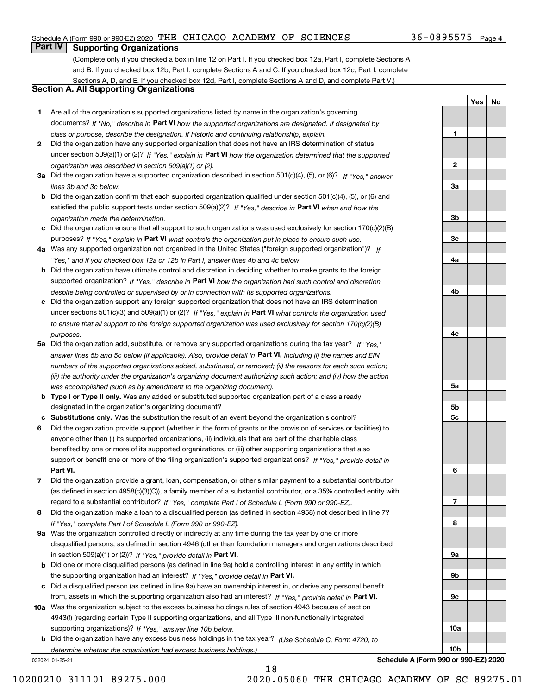## Schedule A (Form 990 or 990-EZ) 2020 Page THE CHICAGO ACADEMY OF SCIENCES 36-0895575

## **Part IV Supporting Organizations**

(Complete only if you checked a box in line 12 on Part I. If you checked box 12a, Part I, complete Sections A and B. If you checked box 12b, Part I, complete Sections A and C. If you checked box 12c, Part I, complete Sections A, D, and E. If you checked box 12d, Part I, complete Sections A and D, and complete Part V.)

## **Section A. All Supporting Organizations**

- **1** Are all of the organization's supported organizations listed by name in the organization's governing documents? If "No," describe in **Part VI** how the supported organizations are designated. If designated by *class or purpose, describe the designation. If historic and continuing relationship, explain.*
- **2** Did the organization have any supported organization that does not have an IRS determination of status under section 509(a)(1) or (2)? If "Yes," explain in Part VI how the organization determined that the supported *organization was described in section 509(a)(1) or (2).*
- **3a** Did the organization have a supported organization described in section 501(c)(4), (5), or (6)? If "Yes," answer *lines 3b and 3c below.*
- **b** Did the organization confirm that each supported organization qualified under section 501(c)(4), (5), or (6) and satisfied the public support tests under section 509(a)(2)? If "Yes," describe in **Part VI** when and how the *organization made the determination.*
- **c**Did the organization ensure that all support to such organizations was used exclusively for section 170(c)(2)(B) purposes? If "Yes," explain in **Part VI** what controls the organization put in place to ensure such use.
- **4a***If* Was any supported organization not organized in the United States ("foreign supported organization")? *"Yes," and if you checked box 12a or 12b in Part I, answer lines 4b and 4c below.*
- **b** Did the organization have ultimate control and discretion in deciding whether to make grants to the foreign supported organization? If "Yes," describe in **Part VI** how the organization had such control and discretion *despite being controlled or supervised by or in connection with its supported organizations.*
- **c** Did the organization support any foreign supported organization that does not have an IRS determination under sections 501(c)(3) and 509(a)(1) or (2)? If "Yes," explain in **Part VI** what controls the organization used *to ensure that all support to the foreign supported organization was used exclusively for section 170(c)(2)(B) purposes.*
- **5a** Did the organization add, substitute, or remove any supported organizations during the tax year? If "Yes," answer lines 5b and 5c below (if applicable). Also, provide detail in **Part VI,** including (i) the names and EIN *numbers of the supported organizations added, substituted, or removed; (ii) the reasons for each such action; (iii) the authority under the organization's organizing document authorizing such action; and (iv) how the action was accomplished (such as by amendment to the organizing document).*
- **b** Type I or Type II only. Was any added or substituted supported organization part of a class already designated in the organization's organizing document?
- **cSubstitutions only.**  Was the substitution the result of an event beyond the organization's control?
- **6** Did the organization provide support (whether in the form of grants or the provision of services or facilities) to **Part VI.** *If "Yes," provide detail in* support or benefit one or more of the filing organization's supported organizations? anyone other than (i) its supported organizations, (ii) individuals that are part of the charitable class benefited by one or more of its supported organizations, or (iii) other supporting organizations that also
- **7**Did the organization provide a grant, loan, compensation, or other similar payment to a substantial contributor *If "Yes," complete Part I of Schedule L (Form 990 or 990-EZ).* regard to a substantial contributor? (as defined in section 4958(c)(3)(C)), a family member of a substantial contributor, or a 35% controlled entity with
- **8** Did the organization make a loan to a disqualified person (as defined in section 4958) not described in line 7? *If "Yes," complete Part I of Schedule L (Form 990 or 990-EZ).*
- **9a** Was the organization controlled directly or indirectly at any time during the tax year by one or more in section 509(a)(1) or (2))? If "Yes," *provide detail in* <code>Part VI.</code> disqualified persons, as defined in section 4946 (other than foundation managers and organizations described
- **b** Did one or more disqualified persons (as defined in line 9a) hold a controlling interest in any entity in which the supporting organization had an interest? If "Yes," provide detail in P**art VI**.
- **c**Did a disqualified person (as defined in line 9a) have an ownership interest in, or derive any personal benefit from, assets in which the supporting organization also had an interest? If "Yes," provide detail in P**art VI.**
- **10a** Was the organization subject to the excess business holdings rules of section 4943 because of section supporting organizations)? If "Yes," answer line 10b below. 4943(f) (regarding certain Type II supporting organizations, and all Type III non-functionally integrated
- **b** Did the organization have any excess business holdings in the tax year? (Use Schedule C, Form 4720, to *determine whether the organization had excess business holdings.)*

032024 01-25-21

**4c5a 5b5c6789a 9b9c10a10b**

**Schedule A (Form 990 or 990-EZ) 2020**

**YesNo**

**1**

**2**

**3a**

**3b**

**3c**

**4a**

**4b**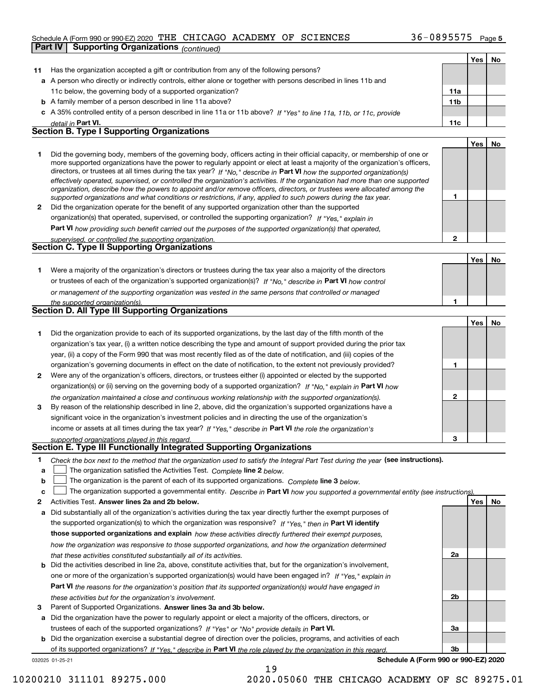## Schedule A (Form 990 or 990-EZ) 2020 Page THE CHICAGO ACADEMY OF SCIENCES 36-0895575 **Part IV Supporting Organizations** *(continued)*

|    |                                                                                                                                                                                                                                                          |                | Yes | No        |
|----|----------------------------------------------------------------------------------------------------------------------------------------------------------------------------------------------------------------------------------------------------------|----------------|-----|-----------|
| 11 | Has the organization accepted a gift or contribution from any of the following persons?                                                                                                                                                                  |                |     |           |
|    | a A person who directly or indirectly controls, either alone or together with persons described in lines 11b and                                                                                                                                         |                |     |           |
|    | 11c below, the governing body of a supported organization?                                                                                                                                                                                               | 11a            |     |           |
|    | <b>b</b> A family member of a person described in line 11a above?                                                                                                                                                                                        | 11b            |     |           |
|    | c A 35% controlled entity of a person described in line 11a or 11b above? If "Yes" to line 11a, 11b, or 11c, provide                                                                                                                                     |                |     |           |
|    | detail in Part VI.                                                                                                                                                                                                                                       | 11c            |     |           |
|    | <b>Section B. Type I Supporting Organizations</b>                                                                                                                                                                                                        |                |     |           |
|    |                                                                                                                                                                                                                                                          |                | Yes | No        |
| 1  | Did the governing body, members of the governing body, officers acting in their official capacity, or membership of one or                                                                                                                               |                |     |           |
|    | more supported organizations have the power to regularly appoint or elect at least a majority of the organization's officers,<br>directors, or trustees at all times during the tax year? If "No," describe in Part VI how the supported organization(s) |                |     |           |
|    | effectively operated, supervised, or controlled the organization's activities. If the organization had more than one supported                                                                                                                           |                |     |           |
|    | organization, describe how the powers to appoint and/or remove officers, directors, or trustees were allocated among the                                                                                                                                 |                |     |           |
|    | supported organizations and what conditions or restrictions, if any, applied to such powers during the tax year.                                                                                                                                         | 1              |     |           |
| 2  | Did the organization operate for the benefit of any supported organization other than the supported                                                                                                                                                      |                |     |           |
|    | organization(s) that operated, supervised, or controlled the supporting organization? If "Yes," explain in                                                                                                                                               |                |     |           |
|    | Part VI how providing such benefit carried out the purposes of the supported organization(s) that operated,                                                                                                                                              |                |     |           |
|    | supervised, or controlled the supporting organization.                                                                                                                                                                                                   | $\mathbf{2}$   |     |           |
|    | Section C. Type II Supporting Organizations                                                                                                                                                                                                              |                |     |           |
|    |                                                                                                                                                                                                                                                          |                | Yes | No        |
| 1  | Were a majority of the organization's directors or trustees during the tax year also a majority of the directors                                                                                                                                         |                |     |           |
|    | or trustees of each of the organization's supported organization(s)? If "No," describe in Part VI how control                                                                                                                                            |                |     |           |
|    | or management of the supporting organization was vested in the same persons that controlled or managed                                                                                                                                                   |                |     |           |
|    | the supported organization(s).<br><b>Section D. All Type III Supporting Organizations</b>                                                                                                                                                                | 1              |     |           |
|    |                                                                                                                                                                                                                                                          |                |     |           |
|    |                                                                                                                                                                                                                                                          |                | Yes | No        |
| 1  | Did the organization provide to each of its supported organizations, by the last day of the fifth month of the                                                                                                                                           |                |     |           |
|    | organization's tax year, (i) a written notice describing the type and amount of support provided during the prior tax                                                                                                                                    |                |     |           |
|    | year, (ii) a copy of the Form 990 that was most recently filed as of the date of notification, and (iii) copies of the                                                                                                                                   |                |     |           |
|    | organization's governing documents in effect on the date of notification, to the extent not previously provided?                                                                                                                                         | 1              |     |           |
| 2  | Were any of the organization's officers, directors, or trustees either (i) appointed or elected by the supported                                                                                                                                         |                |     |           |
|    | organization(s) or (ii) serving on the governing body of a supported organization? If "No," explain in Part VI how                                                                                                                                       | $\mathbf{2}$   |     |           |
| 3  | the organization maintained a close and continuous working relationship with the supported organization(s).                                                                                                                                              |                |     |           |
|    | By reason of the relationship described in line 2, above, did the organization's supported organizations have a<br>significant voice in the organization's investment policies and in directing the use of the organization's                            |                |     |           |
|    | income or assets at all times during the tax year? If "Yes," describe in Part VI the role the organization's                                                                                                                                             |                |     |           |
|    |                                                                                                                                                                                                                                                          | 3              |     |           |
|    | supported organizations played in this regard.<br>Section E. Type III Functionally Integrated Supporting Organizations                                                                                                                                   |                |     |           |
| 1  | Check the box next to the method that the organization used to satisfy the Integral Part Test during the year (see instructions).                                                                                                                        |                |     |           |
| a  | The organization satisfied the Activities Test. Complete line 2 below.                                                                                                                                                                                   |                |     |           |
| b  | The organization is the parent of each of its supported organizations. Complete line 3 below.                                                                                                                                                            |                |     |           |
| c  | The organization supported a governmental entity. Describe in Part VI how you supported a governmental entity (see instructions)                                                                                                                         |                |     |           |
| 2  | Activities Test. Answer lines 2a and 2b below.                                                                                                                                                                                                           |                | Yes | <u>No</u> |
| а  | Did substantially all of the organization's activities during the tax year directly further the exempt purposes of                                                                                                                                       |                |     |           |
|    | the supported organization(s) to which the organization was responsive? If "Yes," then in Part VI identify                                                                                                                                               |                |     |           |
|    | those supported organizations and explain how these activities directly furthered their exempt purposes,                                                                                                                                                 |                |     |           |
|    | how the organization was responsive to those supported organizations, and how the organization determined                                                                                                                                                |                |     |           |
|    | that these activities constituted substantially all of its activities.                                                                                                                                                                                   | 2a             |     |           |
| b  | Did the activities described in line 2a, above, constitute activities that, but for the organization's involvement,                                                                                                                                      |                |     |           |
|    | one or more of the organization's supported organization(s) would have been engaged in? If "Yes," explain in                                                                                                                                             |                |     |           |
|    | <b>Part VI</b> the reasons for the organization's position that its supported organization(s) would have engaged in                                                                                                                                      |                |     |           |
|    | these activities but for the organization's involvement.                                                                                                                                                                                                 | 2 <sub>b</sub> |     |           |
| з  | Parent of Supported Organizations. Answer lines 3a and 3b below.                                                                                                                                                                                         |                |     |           |
| a  | Did the organization have the power to regularly appoint or elect a majority of the officers, directors, or                                                                                                                                              |                |     |           |

trustees of each of the supported organizations? If "Yes" or "No" provide details in **Part VI.** 

**b** Did the organization exercise a substantial degree of direction over the policies, programs, and activities of each of its supported organizations? If "Yes," describe in Part VI the role played by the organization in this regard.

19

032025 01-25-21

**Schedule A (Form 990 or 990-EZ) 2020**

**3a**

**3b**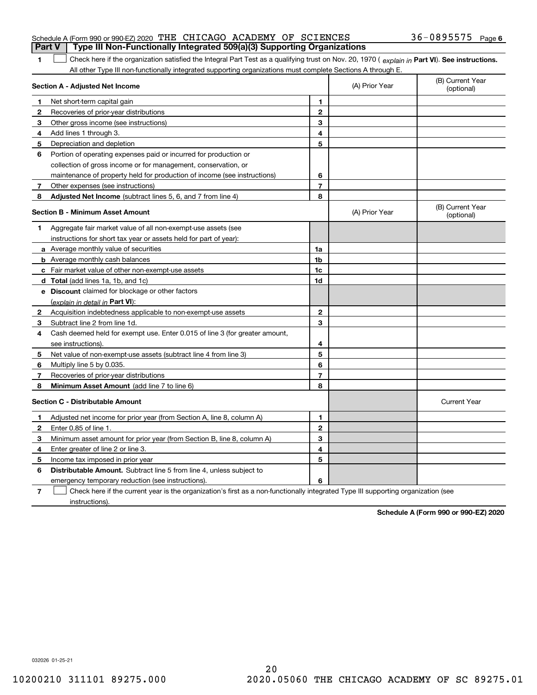| Schedule A (Form 990 or 990-EZ) 2020 THE CHICAGO ACADEMY OF SCIENCES<br>  Part V   Type III Non-Functionally Integrated 509(a)(3) Supporting Organizations |  |  | $36 - 0895575$ Page 6 |  |
|------------------------------------------------------------------------------------------------------------------------------------------------------------|--|--|-----------------------|--|
|                                                                                                                                                            |  |  |                       |  |

1 Check here if the organization satisfied the Integral Part Test as a qualifying trust on Nov. 20, 1970 (explain in Part VI). See instructions. All other Type III non-functionally integrated supporting organizations must complete Sections A through E.

|   | Section A - Adjusted Net Income                                                                                                   |                         | (A) Prior Year | (B) Current Year<br>(optional) |
|---|-----------------------------------------------------------------------------------------------------------------------------------|-------------------------|----------------|--------------------------------|
| 1 | Net short-term capital gain                                                                                                       | 1                       |                |                                |
| 2 | Recoveries of prior-year distributions                                                                                            | $\overline{2}$          |                |                                |
| 3 | Other gross income (see instructions)                                                                                             | 3                       |                |                                |
| 4 | Add lines 1 through 3.                                                                                                            | 4                       |                |                                |
| 5 | Depreciation and depletion                                                                                                        | 5                       |                |                                |
| 6 | Portion of operating expenses paid or incurred for production or                                                                  |                         |                |                                |
|   | collection of gross income or for management, conservation, or                                                                    |                         |                |                                |
|   | maintenance of property held for production of income (see instructions)                                                          | 6                       |                |                                |
| 7 | Other expenses (see instructions)                                                                                                 | $\overline{\mathbf{r}}$ |                |                                |
| 8 | Adjusted Net Income (subtract lines 5, 6, and 7 from line 4)                                                                      | 8                       |                |                                |
|   | <b>Section B - Minimum Asset Amount</b>                                                                                           |                         | (A) Prior Year | (B) Current Year<br>(optional) |
| 1 | Aggregate fair market value of all non-exempt-use assets (see                                                                     |                         |                |                                |
|   | instructions for short tax year or assets held for part of year):                                                                 |                         |                |                                |
|   | <b>a</b> Average monthly value of securities                                                                                      | 1a                      |                |                                |
|   | <b>b</b> Average monthly cash balances                                                                                            | 1b                      |                |                                |
|   | c Fair market value of other non-exempt-use assets                                                                                | 1c                      |                |                                |
|   | <b>d</b> Total (add lines 1a, 1b, and 1c)                                                                                         | 1d                      |                |                                |
|   | e Discount claimed for blockage or other factors                                                                                  |                         |                |                                |
|   | (explain in detail in Part VI):                                                                                                   |                         |                |                                |
| 2 | Acquisition indebtedness applicable to non-exempt-use assets                                                                      | $\mathbf{2}$            |                |                                |
| 3 | Subtract line 2 from line 1d.                                                                                                     | 3                       |                |                                |
| 4 | Cash deemed held for exempt use. Enter 0.015 of line 3 (for greater amount,                                                       |                         |                |                                |
|   | see instructions).                                                                                                                | 4                       |                |                                |
| 5 | Net value of non-exempt-use assets (subtract line 4 from line 3)                                                                  | 5                       |                |                                |
| 6 | Multiply line 5 by 0.035.                                                                                                         | 6                       |                |                                |
| 7 | Recoveries of prior-year distributions                                                                                            | $\overline{7}$          |                |                                |
| 8 | <b>Minimum Asset Amount</b> (add line 7 to line 6)                                                                                | 8                       |                |                                |
|   | <b>Section C - Distributable Amount</b>                                                                                           |                         |                | <b>Current Year</b>            |
| 1 | Adjusted net income for prior year (from Section A, line 8, column A)                                                             | 1                       |                |                                |
| 2 | Enter 0.85 of line 1.                                                                                                             | $\overline{2}$          |                |                                |
| 3 | Minimum asset amount for prior year (from Section B, line 8, column A)                                                            | 3                       |                |                                |
| 4 | Enter greater of line 2 or line 3.                                                                                                | 4                       |                |                                |
| 5 | Income tax imposed in prior year                                                                                                  | 5                       |                |                                |
| 6 | <b>Distributable Amount.</b> Subtract line 5 from line 4, unless subject to                                                       |                         |                |                                |
|   | emergency temporary reduction (see instructions).                                                                                 | 6                       |                |                                |
| 7 | Check here if the current year is the organization's first as a non-functionally integrated Type III supporting organization (see |                         |                |                                |

instructions).

**1**

**Schedule A (Form 990 or 990-EZ) 2020**

032026 01-25-21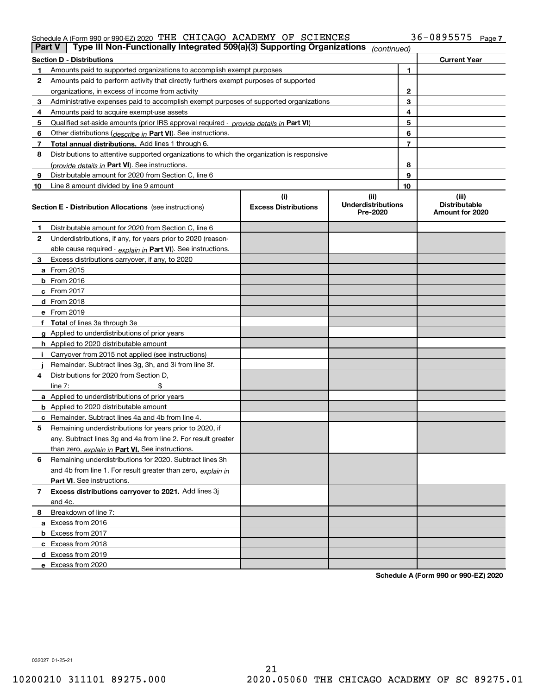## Schedule A (Form 990 or 990-EZ) 2020 Page THE CHICAGO ACADEMY OF SCIENCES 36-0895575

| Part V | Type III Non-Functionally Integrated 509(a)(3) Supporting Organizations                    |                             | (continued)                           |                |                                         |
|--------|--------------------------------------------------------------------------------------------|-----------------------------|---------------------------------------|----------------|-----------------------------------------|
|        | <b>Section D - Distributions</b>                                                           |                             |                                       |                | <b>Current Year</b>                     |
|        | Amounts paid to supported organizations to accomplish exempt purposes                      |                             |                                       | 1              |                                         |
| 2      | Amounts paid to perform activity that directly furthers exempt purposes of supported       |                             |                                       |                |                                         |
|        | organizations, in excess of income from activity                                           |                             |                                       | $\mathbf{2}$   |                                         |
| 3      | Administrative expenses paid to accomplish exempt purposes of supported organizations      |                             |                                       | 3              |                                         |
| 4      | Amounts paid to acquire exempt-use assets                                                  |                             |                                       | 4              |                                         |
| 5      | Qualified set aside amounts (prior IRS approval required - provide details in Part VI)     |                             |                                       | 5              |                                         |
| 6      | Other distributions ( <i>describe in</i> Part VI). See instructions.                       |                             |                                       | 6              |                                         |
| 7      | Total annual distributions. Add lines 1 through 6.                                         |                             |                                       | $\overline{7}$ |                                         |
| 8      | Distributions to attentive supported organizations to which the organization is responsive |                             |                                       |                |                                         |
|        | (provide details in Part VI). See instructions.                                            |                             |                                       | 8              |                                         |
| 9      | Distributable amount for 2020 from Section C, line 6                                       |                             |                                       | 9              |                                         |
| 10     | Line 8 amount divided by line 9 amount                                                     |                             |                                       | 10             |                                         |
|        |                                                                                            | (i)                         | (ii)                                  |                | (iii)                                   |
|        | <b>Section E - Distribution Allocations</b> (see instructions)                             | <b>Excess Distributions</b> | <b>Underdistributions</b><br>Pre-2020 |                | <b>Distributable</b><br>Amount for 2020 |
| 1      | Distributable amount for 2020 from Section C, line 6                                       |                             |                                       |                |                                         |
| 2      | Underdistributions, if any, for years prior to 2020 (reason-                               |                             |                                       |                |                                         |
|        | able cause required - explain in Part VI). See instructions.                               |                             |                                       |                |                                         |
| 3      | Excess distributions carryover, if any, to 2020                                            |                             |                                       |                |                                         |
|        | a From 2015                                                                                |                             |                                       |                |                                         |
|        | $b$ From 2016                                                                              |                             |                                       |                |                                         |
|        | c From $2017$                                                                              |                             |                                       |                |                                         |
|        | <b>d</b> From 2018                                                                         |                             |                                       |                |                                         |
|        | e From 2019                                                                                |                             |                                       |                |                                         |
|        | f Total of lines 3a through 3e                                                             |                             |                                       |                |                                         |
|        | g Applied to underdistributions of prior years                                             |                             |                                       |                |                                         |
|        | <b>h</b> Applied to 2020 distributable amount                                              |                             |                                       |                |                                         |
|        | Carryover from 2015 not applied (see instructions)                                         |                             |                                       |                |                                         |
|        | Remainder. Subtract lines 3g, 3h, and 3i from line 3f.                                     |                             |                                       |                |                                         |
| 4      | Distributions for 2020 from Section D.                                                     |                             |                                       |                |                                         |
|        | line $7:$                                                                                  |                             |                                       |                |                                         |
|        | a Applied to underdistributions of prior years                                             |                             |                                       |                |                                         |
|        | <b>b</b> Applied to 2020 distributable amount                                              |                             |                                       |                |                                         |
|        | c Remainder. Subtract lines 4a and 4b from line 4.                                         |                             |                                       |                |                                         |
| 5      | Remaining underdistributions for years prior to 2020, if                                   |                             |                                       |                |                                         |
|        | any. Subtract lines 3g and 4a from line 2. For result greater                              |                             |                                       |                |                                         |
|        | than zero, explain in Part VI. See instructions.                                           |                             |                                       |                |                                         |
| 6      | Remaining underdistributions for 2020. Subtract lines 3h                                   |                             |                                       |                |                                         |
|        | and 4b from line 1. For result greater than zero, explain in                               |                             |                                       |                |                                         |
|        | <b>Part VI.</b> See instructions.                                                          |                             |                                       |                |                                         |
| 7      | Excess distributions carryover to 2021. Add lines 3j                                       |                             |                                       |                |                                         |
|        | and 4c.                                                                                    |                             |                                       |                |                                         |
| 8      | Breakdown of line 7:                                                                       |                             |                                       |                |                                         |
|        | a Excess from 2016                                                                         |                             |                                       |                |                                         |
|        | <b>b</b> Excess from 2017                                                                  |                             |                                       |                |                                         |
|        | c Excess from 2018                                                                         |                             |                                       |                |                                         |
|        | d Excess from 2019                                                                         |                             |                                       |                |                                         |
|        | e Excess from 2020                                                                         |                             |                                       |                |                                         |
|        |                                                                                            |                             |                                       |                |                                         |

**Schedule A (Form 990 or 990-EZ) 2020**

032027 01-25-21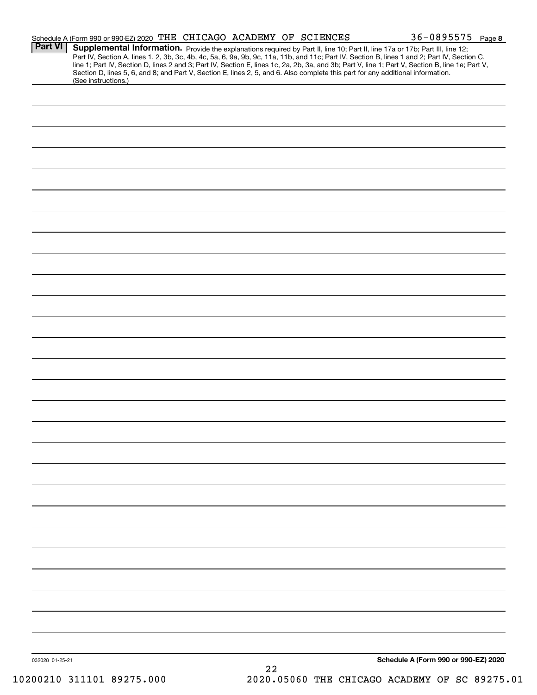|                 | Schedule A (Form 990 or 990-EZ) 2020 THE CHICAGO ACADEMY OF SCIENCES                                                                                                                                                                                                                                                                                                                                                              |    |  | 36-0895575 Page 8                    |  |
|-----------------|-----------------------------------------------------------------------------------------------------------------------------------------------------------------------------------------------------------------------------------------------------------------------------------------------------------------------------------------------------------------------------------------------------------------------------------|----|--|--------------------------------------|--|
| <b>Part VI</b>  | Supplemental Information. Provide the explanations required by Part II, line 10; Part II, line 17a or 17b; Part III, line 12;<br>Part IV, Section A, lines 1, 2, 3b, 3c, 4b, 4c, 5a, 6, 9a, 9b, 9c, 11a, 11b, and 11c; Part IV, Section B, lines 1 and 2; Part IV, Section C,<br>line 1; Part IV, Section D, lines 2 and 3; Part IV, Section E, lines 1c, 2a, 2b, 3a, and 3b; Part V, line 1; Part V, Section B, line 1e; Part V, |    |  |                                      |  |
|                 | Section D, lines 5, 6, and 8; and Part V, Section E, lines 2, 5, and 6. Also complete this part for any additional information.<br>(See instructions.)                                                                                                                                                                                                                                                                            |    |  |                                      |  |
|                 |                                                                                                                                                                                                                                                                                                                                                                                                                                   |    |  |                                      |  |
|                 |                                                                                                                                                                                                                                                                                                                                                                                                                                   |    |  |                                      |  |
|                 |                                                                                                                                                                                                                                                                                                                                                                                                                                   |    |  |                                      |  |
|                 |                                                                                                                                                                                                                                                                                                                                                                                                                                   |    |  |                                      |  |
|                 |                                                                                                                                                                                                                                                                                                                                                                                                                                   |    |  |                                      |  |
|                 |                                                                                                                                                                                                                                                                                                                                                                                                                                   |    |  |                                      |  |
|                 |                                                                                                                                                                                                                                                                                                                                                                                                                                   |    |  |                                      |  |
|                 |                                                                                                                                                                                                                                                                                                                                                                                                                                   |    |  |                                      |  |
|                 |                                                                                                                                                                                                                                                                                                                                                                                                                                   |    |  |                                      |  |
|                 |                                                                                                                                                                                                                                                                                                                                                                                                                                   |    |  |                                      |  |
|                 |                                                                                                                                                                                                                                                                                                                                                                                                                                   |    |  |                                      |  |
|                 |                                                                                                                                                                                                                                                                                                                                                                                                                                   |    |  |                                      |  |
|                 |                                                                                                                                                                                                                                                                                                                                                                                                                                   |    |  |                                      |  |
|                 |                                                                                                                                                                                                                                                                                                                                                                                                                                   |    |  |                                      |  |
|                 |                                                                                                                                                                                                                                                                                                                                                                                                                                   |    |  |                                      |  |
|                 |                                                                                                                                                                                                                                                                                                                                                                                                                                   |    |  |                                      |  |
|                 |                                                                                                                                                                                                                                                                                                                                                                                                                                   |    |  |                                      |  |
|                 |                                                                                                                                                                                                                                                                                                                                                                                                                                   |    |  |                                      |  |
|                 |                                                                                                                                                                                                                                                                                                                                                                                                                                   |    |  |                                      |  |
|                 |                                                                                                                                                                                                                                                                                                                                                                                                                                   |    |  |                                      |  |
|                 |                                                                                                                                                                                                                                                                                                                                                                                                                                   |    |  |                                      |  |
|                 |                                                                                                                                                                                                                                                                                                                                                                                                                                   |    |  |                                      |  |
|                 |                                                                                                                                                                                                                                                                                                                                                                                                                                   |    |  |                                      |  |
|                 |                                                                                                                                                                                                                                                                                                                                                                                                                                   |    |  |                                      |  |
|                 |                                                                                                                                                                                                                                                                                                                                                                                                                                   |    |  |                                      |  |
|                 |                                                                                                                                                                                                                                                                                                                                                                                                                                   |    |  |                                      |  |
|                 |                                                                                                                                                                                                                                                                                                                                                                                                                                   |    |  |                                      |  |
|                 |                                                                                                                                                                                                                                                                                                                                                                                                                                   |    |  |                                      |  |
|                 |                                                                                                                                                                                                                                                                                                                                                                                                                                   |    |  |                                      |  |
|                 |                                                                                                                                                                                                                                                                                                                                                                                                                                   |    |  |                                      |  |
|                 |                                                                                                                                                                                                                                                                                                                                                                                                                                   |    |  |                                      |  |
|                 |                                                                                                                                                                                                                                                                                                                                                                                                                                   |    |  |                                      |  |
|                 |                                                                                                                                                                                                                                                                                                                                                                                                                                   |    |  |                                      |  |
|                 |                                                                                                                                                                                                                                                                                                                                                                                                                                   |    |  |                                      |  |
|                 |                                                                                                                                                                                                                                                                                                                                                                                                                                   |    |  |                                      |  |
|                 |                                                                                                                                                                                                                                                                                                                                                                                                                                   |    |  |                                      |  |
| 032028 01-25-21 |                                                                                                                                                                                                                                                                                                                                                                                                                                   | 22 |  | Schedule A (Form 990 or 990-EZ) 2020 |  |
|                 |                                                                                                                                                                                                                                                                                                                                                                                                                                   |    |  |                                      |  |

10200210 311101 89275.000 2020.05060 THE CHICAGO ACADEMY OF SC 89275.01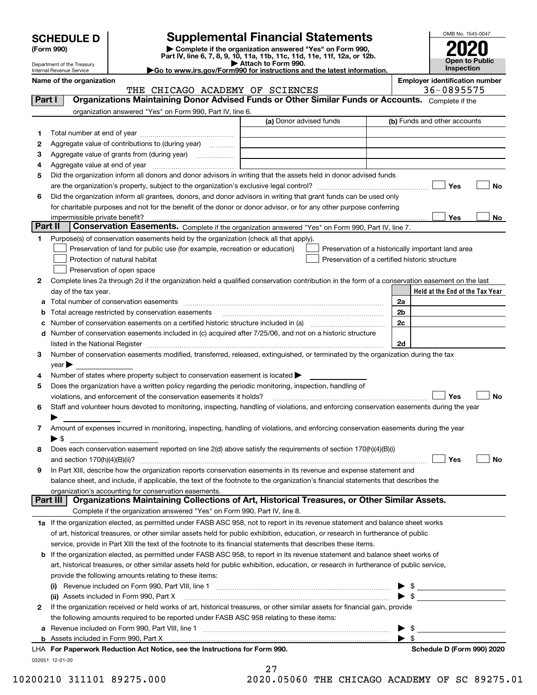| <b>SCHEDULE D</b> |  |
|-------------------|--|
|-------------------|--|

| (Form 990) |  |
|------------|--|
|------------|--|

# **SCHEDULE D Supplemental Financial Statements**

(Form 990)<br>
Pepartment of the Treasury<br>
Department of the Treasury<br>
Department of the Treasury<br>
Department of the Treasury<br> **Co to www.irs.gov/Form990 for instructions and the latest information.**<br> **Co to www.irs.gov/Form9** 



Department of the Treasury Internal Revenue Service

**Name of the organization Employer identification number**

## THE CHICAGO ACADEMY OF SCIENCES | 36-0895575

| Part I   | Organizations Maintaining Donor Advised Funds or Other Similar Funds or Accounts. Complete if the                                              |                         |                                                    |
|----------|------------------------------------------------------------------------------------------------------------------------------------------------|-------------------------|----------------------------------------------------|
|          | organization answered "Yes" on Form 990, Part IV, line 6.                                                                                      |                         |                                                    |
|          |                                                                                                                                                | (a) Donor advised funds | (b) Funds and other accounts                       |
| 1        |                                                                                                                                                |                         |                                                    |
| 2        | Aggregate value of contributions to (during year)                                                                                              |                         |                                                    |
| 3        | Aggregate value of grants from (during year)                                                                                                   |                         |                                                    |
| 4        |                                                                                                                                                |                         |                                                    |
| 5        | Did the organization inform all donors and donor advisors in writing that the assets held in donor advised funds                               |                         |                                                    |
|          |                                                                                                                                                |                         | Yes<br>No                                          |
| 6        | Did the organization inform all grantees, donors, and donor advisors in writing that grant funds can be used only                              |                         |                                                    |
|          | for charitable purposes and not for the benefit of the donor or donor advisor, or for any other purpose conferring                             |                         |                                                    |
|          | impermissible private benefit? использовании положительно положительно положительно положительно положительно                                  |                         | Yes<br>No                                          |
| Part II  | Conservation Easements. Complete if the organization answered "Yes" on Form 990, Part IV, line 7.                                              |                         |                                                    |
| 1.       | Purpose(s) of conservation easements held by the organization (check all that apply).                                                          |                         |                                                    |
|          | Preservation of land for public use (for example, recreation or education)                                                                     |                         | Preservation of a historically important land area |
|          | Protection of natural habitat                                                                                                                  |                         | Preservation of a certified historic structure     |
|          | Preservation of open space                                                                                                                     |                         |                                                    |
| 2        | Complete lines 2a through 2d if the organization held a qualified conservation contribution in the form of a conservation easement on the last |                         |                                                    |
|          | day of the tax year.                                                                                                                           |                         | Held at the End of the Tax Year                    |
| а        | Total number of conservation easements                                                                                                         |                         | 2a                                                 |
| b        | Total acreage restricted by conservation easements                                                                                             |                         | 2b                                                 |
|          |                                                                                                                                                |                         | 2c                                                 |
|          | d Number of conservation easements included in (c) acquired after 7/25/06, and not on a historic structure                                     |                         |                                                    |
|          |                                                                                                                                                |                         | 2d                                                 |
| 3        | Number of conservation easements modified, transferred, released, extinguished, or terminated by the organization during the tax               |                         |                                                    |
|          | year                                                                                                                                           |                         |                                                    |
| 4        | Number of states where property subject to conservation easement is located >                                                                  |                         |                                                    |
| 5        | Does the organization have a written policy regarding the periodic monitoring, inspection, handling of                                         |                         |                                                    |
|          | violations, and enforcement of the conservation easements it holds?                                                                            |                         | Yes<br>No                                          |
| 6        | Staff and volunteer hours devoted to monitoring, inspecting, handling of violations, and enforcing conservation easements during the year      |                         |                                                    |
|          |                                                                                                                                                |                         |                                                    |
| 7        | Amount of expenses incurred in monitoring, inspecting, handling of violations, and enforcing conservation easements during the year            |                         |                                                    |
|          | $\blacktriangleright$ S                                                                                                                        |                         |                                                    |
| 8        | Does each conservation easement reported on line 2(d) above satisfy the requirements of section 170(h)(4)(B)(i)                                |                         |                                                    |
|          |                                                                                                                                                |                         | Yes<br>No                                          |
| 9        | In Part XIII, describe how the organization reports conservation easements in its revenue and expense statement and                            |                         |                                                    |
|          | balance sheet, and include, if applicable, the text of the footnote to the organization's financial statements that describes the              |                         |                                                    |
|          | organization's accounting for conservation easements.                                                                                          |                         |                                                    |
| Part III | Organizations Maintaining Collections of Art, Historical Treasures, or Other Similar Assets.                                                   |                         |                                                    |
|          | Complete if the organization answered "Yes" on Form 990, Part IV, line 8.                                                                      |                         |                                                    |
|          | 1a If the organization elected, as permitted under FASB ASC 958, not to report in its revenue statement and balance sheet works                |                         |                                                    |
|          | of art, historical treasures, or other similar assets held for public exhibition, education, or research in furtherance of public              |                         |                                                    |
|          | service, provide in Part XIII the text of the footnote to its financial statements that describes these items.                                 |                         |                                                    |
|          | <b>b</b> If the organization elected, as permitted under FASB ASC 958, to report in its revenue statement and balance sheet works of           |                         |                                                    |
|          | art, historical treasures, or other similar assets held for public exhibition, education, or research in furtherance of public service,        |                         |                                                    |
|          | provide the following amounts relating to these items:                                                                                         |                         |                                                    |
|          | (i)                                                                                                                                            |                         | $\frac{1}{2}$                                      |
|          | (ii) Assets included in Form 990, Part X                                                                                                       |                         | $\blacktriangleright$ \$                           |
| 2        | If the organization received or held works of art, historical treasures, or other similar assets for financial gain, provide                   |                         |                                                    |
|          | the following amounts required to be reported under FASB ASC 958 relating to these items:                                                      |                         |                                                    |
| а        |                                                                                                                                                |                         | \$                                                 |
|          |                                                                                                                                                |                         | $\blacktriangleright$ s                            |
|          | LHA For Paperwork Reduction Act Notice, see the Instructions for Form 990.                                                                     |                         | Schedule D (Form 990) 2020                         |
|          | 032051 12-01-20                                                                                                                                |                         |                                                    |
|          |                                                                                                                                                | 27                      |                                                    |

| s 1 |  |                         |
|-----|--|-------------------------|
|     |  | הממשדות משורה המוחדרי ה |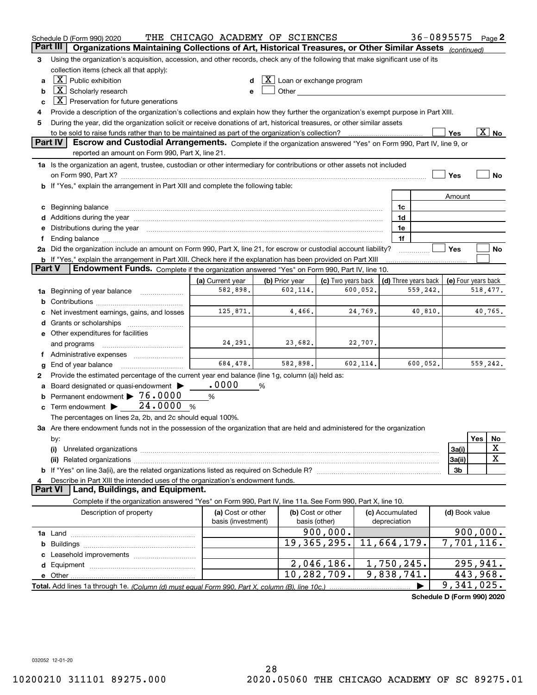|        | Schedule D (Form 990) 2020                                                                                                                                                                                                          | THE CHICAGO ACADEMY OF SCIENCES |   |                                                                                                                                                                                                                                |                    |          |                 | 36-0895575                 |                     |          | Page 2                   |
|--------|-------------------------------------------------------------------------------------------------------------------------------------------------------------------------------------------------------------------------------------|---------------------------------|---|--------------------------------------------------------------------------------------------------------------------------------------------------------------------------------------------------------------------------------|--------------------|----------|-----------------|----------------------------|---------------------|----------|--------------------------|
|        | Organizations Maintaining Collections of Art, Historical Treasures, or Other Similar Assets (continued)<br>Part III                                                                                                                 |                                 |   |                                                                                                                                                                                                                                |                    |          |                 |                            |                     |          |                          |
| 3      | Using the organization's acquisition, accession, and other records, check any of the following that make significant use of its                                                                                                     |                                 |   |                                                                                                                                                                                                                                |                    |          |                 |                            |                     |          |                          |
|        | collection items (check all that apply):<br>$\boxed{\text{X}}$ Public exhibition                                                                                                                                                    |                                 |   |                                                                                                                                                                                                                                |                    |          |                 |                            |                     |          |                          |
| a      |                                                                                                                                                                                                                                     |                                 |   | $ \mathbf{X} $ Loan or exchange program                                                                                                                                                                                        |                    |          |                 |                            |                     |          |                          |
| b      | $\lfloor \mathbf{X} \rfloor$ Scholarly research                                                                                                                                                                                     |                                 |   | Other and the control of the control of the control of the control of the control of the control of the control of the control of the control of the control of the control of the control of the control of the control of th |                    |          |                 |                            |                     |          |                          |
| c      | $\lfloor \mathbf{X} \rfloor$ Preservation for future generations                                                                                                                                                                    |                                 |   |                                                                                                                                                                                                                                |                    |          |                 |                            |                     |          |                          |
| 4      | Provide a description of the organization's collections and explain how they further the organization's exempt purpose in Part XIII.                                                                                                |                                 |   |                                                                                                                                                                                                                                |                    |          |                 |                            |                     |          |                          |
| 5      | During the year, did the organization solicit or receive donations of art, historical treasures, or other similar assets                                                                                                            |                                 |   |                                                                                                                                                                                                                                |                    |          |                 |                            |                     |          |                          |
|        | to be sold to raise funds rather than to be maintained as part of the organization's collection?<br><b>Part IV</b>                                                                                                                  |                                 |   |                                                                                                                                                                                                                                |                    |          |                 |                            | Yes                 |          | $\overline{\text{X}}$ No |
|        | Escrow and Custodial Arrangements. Complete if the organization answered "Yes" on Form 990, Part IV, line 9, or<br>reported an amount on Form 990, Part X, line 21.                                                                 |                                 |   |                                                                                                                                                                                                                                |                    |          |                 |                            |                     |          |                          |
|        | 1a Is the organization an agent, trustee, custodian or other intermediary for contributions or other assets not included                                                                                                            |                                 |   |                                                                                                                                                                                                                                |                    |          |                 |                            |                     |          |                          |
|        |                                                                                                                                                                                                                                     |                                 |   |                                                                                                                                                                                                                                |                    |          |                 |                            | Yes                 |          | No                       |
|        | <b>b</b> If "Yes," explain the arrangement in Part XIII and complete the following table:                                                                                                                                           |                                 |   |                                                                                                                                                                                                                                |                    |          |                 |                            |                     |          |                          |
|        |                                                                                                                                                                                                                                     |                                 |   |                                                                                                                                                                                                                                |                    |          |                 |                            | Amount              |          |                          |
| c      |                                                                                                                                                                                                                                     |                                 |   |                                                                                                                                                                                                                                |                    |          | 1c              |                            |                     |          |                          |
|        |                                                                                                                                                                                                                                     |                                 |   |                                                                                                                                                                                                                                |                    |          | 1d              |                            |                     |          |                          |
| е      | Distributions during the year manufactured and an account of the year manufactured and the year manufactured and the year manufactured and the year manufactured and the year manufactured and the year manufactured and the y      |                                 |   |                                                                                                                                                                                                                                |                    |          | 1e              |                            |                     |          |                          |
| f      |                                                                                                                                                                                                                                     |                                 |   |                                                                                                                                                                                                                                |                    |          | 1f              |                            |                     |          |                          |
|        | 2a Did the organization include an amount on Form 990, Part X, line 21, for escrow or custodial account liability?                                                                                                                  |                                 |   |                                                                                                                                                                                                                                |                    |          |                 |                            | Yes                 |          | No                       |
|        | <b>b</b> If "Yes," explain the arrangement in Part XIII. Check here if the explanation has been provided on Part XIII                                                                                                               |                                 |   |                                                                                                                                                                                                                                |                    |          |                 |                            |                     |          |                          |
| Part V | Endowment Funds. Complete if the organization answered "Yes" on Form 990, Part IV, line 10.                                                                                                                                         |                                 |   |                                                                                                                                                                                                                                |                    |          |                 |                            |                     |          |                          |
|        |                                                                                                                                                                                                                                     | (a) Current year                |   | (b) Prior year                                                                                                                                                                                                                 | (c) Two years back |          |                 | (d) Three years back       | (e) Four years back |          |                          |
|        | 1a Beginning of year balance                                                                                                                                                                                                        | 582,898.                        |   | 602, 114.                                                                                                                                                                                                                      |                    | 600,052. |                 | 559,242.                   |                     |          | 518,477.                 |
| b      |                                                                                                                                                                                                                                     |                                 |   |                                                                                                                                                                                                                                |                    |          |                 |                            |                     |          |                          |
|        | Net investment earnings, gains, and losses                                                                                                                                                                                          | 125,871.                        |   | 4,466.                                                                                                                                                                                                                         |                    | 24,769.  |                 | 40,810.                    |                     |          | 40,765.                  |
| d      |                                                                                                                                                                                                                                     |                                 |   |                                                                                                                                                                                                                                |                    |          |                 |                            |                     |          |                          |
|        | e Other expenditures for facilities                                                                                                                                                                                                 |                                 |   |                                                                                                                                                                                                                                |                    |          |                 |                            |                     |          |                          |
|        | and programs                                                                                                                                                                                                                        | 24, 291.                        |   | 23,682.                                                                                                                                                                                                                        |                    | 22,707.  |                 |                            |                     |          |                          |
|        | f Administrative expenses                                                                                                                                                                                                           |                                 |   |                                                                                                                                                                                                                                |                    |          |                 |                            |                     |          |                          |
| g      | End of year balance                                                                                                                                                                                                                 | 684,478.                        |   | 582,898.                                                                                                                                                                                                                       |                    | 602,114. |                 | 600,052.                   |                     |          | 559,242.                 |
| 2      | Provide the estimated percentage of the current year end balance (line 1g, column (a)) held as:                                                                                                                                     |                                 |   |                                                                                                                                                                                                                                |                    |          |                 |                            |                     |          |                          |
| a      | Board designated or quasi-endowment                                                                                                                                                                                                 | .0000                           | % |                                                                                                                                                                                                                                |                    |          |                 |                            |                     |          |                          |
| b      | Permanent endowment > 76.0000                                                                                                                                                                                                       | %                               |   |                                                                                                                                                                                                                                |                    |          |                 |                            |                     |          |                          |
| с      | 24.0000<br>Term endowment $\blacktriangleright$                                                                                                                                                                                     | %                               |   |                                                                                                                                                                                                                                |                    |          |                 |                            |                     |          |                          |
|        | The percentages on lines 2a, 2b, and 2c should equal 100%.                                                                                                                                                                          |                                 |   |                                                                                                                                                                                                                                |                    |          |                 |                            |                     |          |                          |
|        | 3a Are there endowment funds not in the possession of the organization that are held and administered for the organization                                                                                                          |                                 |   |                                                                                                                                                                                                                                |                    |          |                 |                            |                     |          |                          |
|        | by:                                                                                                                                                                                                                                 |                                 |   |                                                                                                                                                                                                                                |                    |          |                 |                            |                     | Yes      | No                       |
|        | (i)                                                                                                                                                                                                                                 |                                 |   |                                                                                                                                                                                                                                |                    |          |                 |                            | 3a(i)               |          | X                        |
|        |                                                                                                                                                                                                                                     |                                 |   |                                                                                                                                                                                                                                |                    |          |                 |                            | 3a(ii)              |          | X                        |
|        | (ii) Related organizations <b>constructions</b> and construction of the construction of the construction of the construction of the construction of the construction of the construction of the construction of the construction of |                                 |   |                                                                                                                                                                                                                                |                    |          |                 |                            | 3b                  |          |                          |
| 4      | Describe in Part XIII the intended uses of the organization's endowment funds.                                                                                                                                                      |                                 |   |                                                                                                                                                                                                                                |                    |          |                 |                            |                     |          |                          |
|        | Land, Buildings, and Equipment.<br><b>Part VI</b>                                                                                                                                                                                   |                                 |   |                                                                                                                                                                                                                                |                    |          |                 |                            |                     |          |                          |
|        | Complete if the organization answered "Yes" on Form 990, Part IV, line 11a. See Form 990, Part X, line 10.                                                                                                                          |                                 |   |                                                                                                                                                                                                                                |                    |          |                 |                            |                     |          |                          |
|        | Description of property                                                                                                                                                                                                             | (a) Cost or other               |   | (b) Cost or other                                                                                                                                                                                                              |                    |          | (c) Accumulated |                            | (d) Book value      |          |                          |
|        |                                                                                                                                                                                                                                     | basis (investment)              |   | basis (other)                                                                                                                                                                                                                  |                    |          | depreciation    |                            |                     |          |                          |
|        |                                                                                                                                                                                                                                     |                                 |   |                                                                                                                                                                                                                                | 900,000.           |          |                 |                            |                     |          | 900,000.                 |
|        |                                                                                                                                                                                                                                     |                                 |   |                                                                                                                                                                                                                                | 19, 365, 295.      |          | 11,664,179.     |                            | 7,701,116.          |          |                          |
| b      |                                                                                                                                                                                                                                     |                                 |   |                                                                                                                                                                                                                                |                    |          |                 |                            |                     |          |                          |
| c      |                                                                                                                                                                                                                                     |                                 |   |                                                                                                                                                                                                                                | 2,046,186.         |          | 1,750,245.      |                            |                     | 295,941. |                          |
| d      |                                                                                                                                                                                                                                     |                                 |   |                                                                                                                                                                                                                                | 10, 282, 709.      |          | 9,838,741.      |                            |                     | 443,968. |                          |
|        |                                                                                                                                                                                                                                     |                                 |   |                                                                                                                                                                                                                                |                    |          |                 |                            | 9,341,025.          |          |                          |
|        |                                                                                                                                                                                                                                     |                                 |   |                                                                                                                                                                                                                                |                    |          |                 |                            |                     |          |                          |
|        |                                                                                                                                                                                                                                     |                                 |   |                                                                                                                                                                                                                                |                    |          |                 | Schedule D (Form 990) 2020 |                     |          |                          |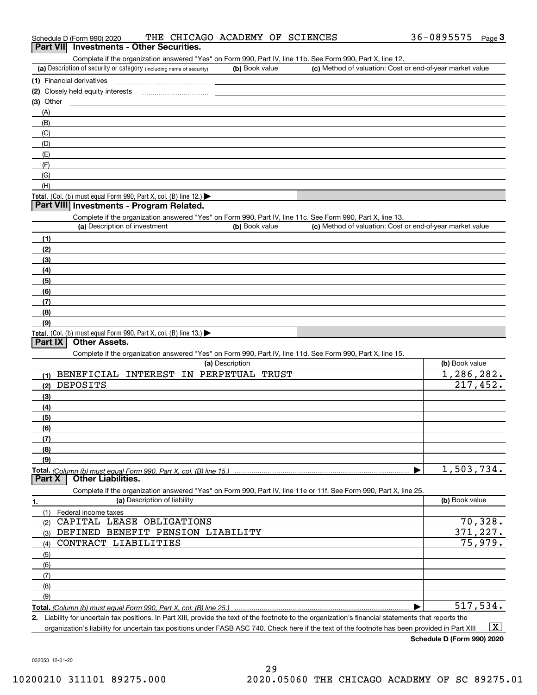| Part VII Investments - Other Securities.<br>Complete if the organization answered "Yes" on Form 990, Part IV, line 11b. See Form 990, Part X, line 12. |                 |                                                           |                |
|--------------------------------------------------------------------------------------------------------------------------------------------------------|-----------------|-----------------------------------------------------------|----------------|
| (a) Description of security or category (including name of security)                                                                                   | (b) Book value  | (c) Method of valuation: Cost or end-of-year market value |                |
| (1) Financial derivatives                                                                                                                              |                 |                                                           |                |
|                                                                                                                                                        |                 |                                                           |                |
| $(3)$ Other                                                                                                                                            |                 |                                                           |                |
| (A)                                                                                                                                                    |                 |                                                           |                |
| (B)                                                                                                                                                    |                 |                                                           |                |
| (C)                                                                                                                                                    |                 |                                                           |                |
| (D)                                                                                                                                                    |                 |                                                           |                |
| (E)                                                                                                                                                    |                 |                                                           |                |
| (F)                                                                                                                                                    |                 |                                                           |                |
| (G)                                                                                                                                                    |                 |                                                           |                |
| (H)                                                                                                                                                    |                 |                                                           |                |
| Total. (Col. (b) must equal Form 990, Part X, col. (B) line 12.) $\blacktriangleright$                                                                 |                 |                                                           |                |
| Part VIII Investments - Program Related.                                                                                                               |                 |                                                           |                |
| Complete if the organization answered "Yes" on Form 990, Part IV, line 11c. See Form 990, Part X, line 13.                                             |                 |                                                           |                |
| (a) Description of investment                                                                                                                          | (b) Book value  | (c) Method of valuation: Cost or end-of-year market value |                |
| (1)                                                                                                                                                    |                 |                                                           |                |
| (2)                                                                                                                                                    |                 |                                                           |                |
| (3)                                                                                                                                                    |                 |                                                           |                |
| (4)                                                                                                                                                    |                 |                                                           |                |
| (5)                                                                                                                                                    |                 |                                                           |                |
| (6)                                                                                                                                                    |                 |                                                           |                |
| (7)                                                                                                                                                    |                 |                                                           |                |
| (8)                                                                                                                                                    |                 |                                                           |                |
| (9)                                                                                                                                                    |                 |                                                           |                |
| Total. (Col. (b) must equal Form 990, Part X, col. (B) line 13.)<br>Part IX<br><b>Other Assets.</b>                                                    |                 |                                                           |                |
|                                                                                                                                                        |                 |                                                           |                |
| Complete if the organization answered "Yes" on Form 990, Part IV, line 11d. See Form 990, Part X, line 15.                                             | (a) Description |                                                           | (b) Book value |
| BENEFICIAL INTEREST IN PERPETUAL TRUST                                                                                                                 |                 |                                                           | 1,286,282.     |
| (1)<br>DEPOSITS                                                                                                                                        |                 |                                                           | 217,452.       |
| (2)                                                                                                                                                    |                 |                                                           |                |
| (3)                                                                                                                                                    |                 |                                                           |                |
| (4)                                                                                                                                                    |                 |                                                           |                |
| (5)                                                                                                                                                    |                 |                                                           |                |
| (6)                                                                                                                                                    |                 |                                                           |                |
| (7)<br>(8)                                                                                                                                             |                 |                                                           |                |
|                                                                                                                                                        |                 |                                                           |                |
| (9)                                                                                                                                                    |                 |                                                           |                |

| (a) Description of liability<br>1.       | (b) Book value |
|------------------------------------------|----------------|
| Federal income taxes                     |                |
| CAPITAL LEASE OBLIGATIONS<br>(2)         | 70,328.        |
| DEFINED BENEFIT PENSION LIABILITY<br>(3) | 371,227.       |
| CONTRACT LIABILITIES<br>(4)              | 75,979.        |
| (5)                                      |                |
| (6)                                      |                |
| (7)                                      |                |
| (8)                                      |                |
| (9)                                      |                |
|                                          | 517,534.       |

**2.** Liability for uncertain tax positions. In Part XIII, provide the text of the footnote to the organization's financial statements that reports the organization's liability for uncertain tax positions under FASB ASC 740. Check here if the text of the footnote has been provided in Part XIII  $\boxed{\text{X}}$ 

**Schedule D (Form 990) 2020**

032053 12-01-20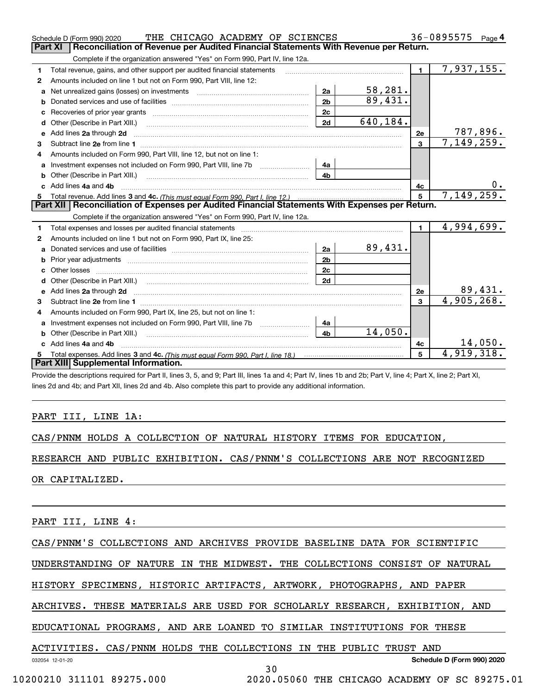|   | THE CHICAGO ACADEMY OF SCIENCES<br>Schedule D (Form 990) 2020                                         |                |          |                | 36-0895575<br>Page 4       |
|---|-------------------------------------------------------------------------------------------------------|----------------|----------|----------------|----------------------------|
|   | <b>Part XI</b><br>Reconciliation of Revenue per Audited Financial Statements With Revenue per Return. |                |          |                |                            |
|   | Complete if the organization answered "Yes" on Form 990, Part IV, line 12a.                           |                |          |                |                            |
| 1 | Total revenue, gains, and other support per audited financial statements                              |                |          | $\blacksquare$ | 7,937,155.                 |
| 2 | Amounts included on line 1 but not on Form 990, Part VIII, line 12:                                   |                |          |                |                            |
| a |                                                                                                       | 2a             | 58,281.  |                |                            |
| b |                                                                                                       | 2 <sub>b</sub> | 89,431.  |                |                            |
|   |                                                                                                       | 2c             |          |                |                            |
| d |                                                                                                       | 2d             | 640,184. |                |                            |
| е | Add lines 2a through 2d                                                                               |                |          | <b>2e</b>      | <u>787,896.</u>            |
| 3 |                                                                                                       |                |          | 3              | 7,149,259.                 |
| 4 | Amounts included on Form 990, Part VIII, line 12, but not on line 1:                                  |                |          |                |                            |
|   |                                                                                                       | 4a             |          |                |                            |
|   |                                                                                                       | 4 <sub>b</sub> |          |                |                            |
|   | c Add lines 4a and 4b                                                                                 |                |          | 4с             |                            |
|   |                                                                                                       |                |          | 5              | 7,149,259.                 |
|   |                                                                                                       |                |          |                |                            |
|   | Part XII   Reconciliation of Expenses per Audited Financial Statements With Expenses per Return.      |                |          |                |                            |
|   | Complete if the organization answered "Yes" on Form 990, Part IV, line 12a.                           |                |          |                |                            |
| 1 |                                                                                                       |                |          | $\blacksquare$ | 4,994,699.                 |
| 2 | Amounts included on line 1 but not on Form 990, Part IX, line 25:                                     |                |          |                |                            |
| a |                                                                                                       | 2a             | 89,431.  |                |                            |
| b |                                                                                                       | 2 <sub>b</sub> |          |                |                            |
|   | Other losses                                                                                          | 2c             |          |                |                            |
| d |                                                                                                       | 2d             |          |                |                            |
| е | Add lines 2a through 2d                                                                               |                |          | 2e             |                            |
| 3 |                                                                                                       |                |          | 3              | $\frac{89,431}{4,905,268}$ |
| 4 | Amounts included on Form 990, Part IX, line 25, but not on line 1:                                    |                |          |                |                            |
| a |                                                                                                       | 4a             |          |                |                            |
|   | Other (Describe in Part XIII.)                                                                        | 4 <sub>b</sub> | 14,050.  |                |                            |
|   | c Add lines 4a and 4b                                                                                 |                |          | 4c             | 14,050.                    |
|   | Part XIII Supplemental Information.                                                                   |                |          | 5              | 4,919,318.                 |

Provide the descriptions required for Part II, lines 3, 5, and 9; Part III, lines 1a and 4; Part IV, lines 1b and 2b; Part V, line 4; Part X, line 2; Part XI, lines 2d and 4b; and Part XII, lines 2d and 4b. Also complete this part to provide any additional information.

## PART III, LINE 1A:

CAS/PNNM HOLDS A COLLECTION OF NATURAL HISTORY ITEMS FOR EDUCATION,

RESEARCH AND PUBLIC EXHIBITION. CAS/PNNM'S COLLECTIONS ARE NOT RECOGNIZED

OR CAPITALIZED.

PART III, LINE 4:

CAS/PNNM'S COLLECTIONS AND ARCHIVES PROVIDE BASELINE DATA FOR SCIENTIFIC

UNDERSTANDING OF NATURE IN THE MIDWEST. THE COLLECTIONS CONSIST OF NATURAL

HISTORY SPECIMENS, HISTORIC ARTIFACTS, ARTWORK, PHOTOGRAPHS, AND PAPER

ARCHIVES. THESE MATERIALS ARE USED FOR SCHOLARLY RESEARCH, EXHIBITION, AND

EDUCATIONAL PROGRAMS, AND ARE LOANED TO SIMILAR INSTITUTIONS FOR THESE

| ACTIVITIES. CAS/PNNM HOLDS THE COLLECTIONS IN THE PUBLIC TRUST AND |  |  |  |  |  |
|--------------------------------------------------------------------|--|--|--|--|--|
|                                                                    |  |  |  |  |  |

**Schedule D (Form 990) 2020**

032054 12-01-20

30

10200210 311101 89275.000 2020.05060 THE CHICAGO ACADEMY OF SC 89275.01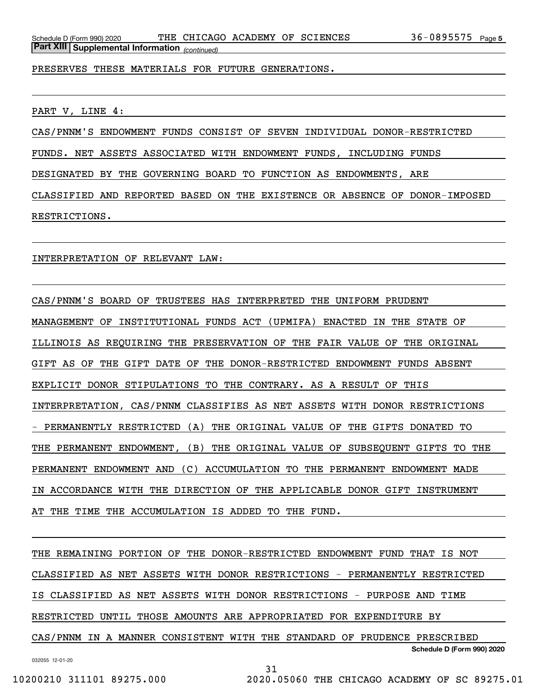PRESERVES THESE MATERIALS FOR FUTURE GENERATIONS.

PART V, LINE 4:

CAS/PNNM'S ENDOWMENT FUNDS CONSIST OF SEVEN INDIVIDUAL DONOR-RESTRICTED

FUNDS. NET ASSETS ASSOCIATED WITH ENDOWMENT FUNDS, INCLUDING FUNDS

DESIGNATED BY THE GOVERNING BOARD TO FUNCTION AS ENDOWMENTS, ARE

CLASSIFIED AND REPORTED BASED ON THE EXISTENCE OR ABSENCE OF DONOR-IMPOSED RESTRICTIONS.

INTERPRETATION OF RELEVANT LAW:

CAS/PNNM'S BOARD OF TRUSTEES HAS INTERPRETED THE UNIFORM PRUDENT MANAGEMENT OF INSTITUTIONAL FUNDS ACT (UPMIFA) ENACTED IN THE STATE OF ILLINOIS AS REQUIRING THE PRESERVATION OF THE FAIR VALUE OF THE ORIGINAL GIFT AS OF THE GIFT DATE OF THE DONOR-RESTRICTED ENDOWMENT FUNDS ABSENT EXPLICIT DONOR STIPULATIONS TO THE CONTRARY. AS A RESULT OF THIS INTERPRETATION, CAS/PNNM CLASSIFIES AS NET ASSETS WITH DONOR RESTRICTIONS - PERMANENTLY RESTRICTED (A) THE ORIGINAL VALUE OF THE GIFTS DONATED TO THE PERMANENT ENDOWMENT, (B) THE ORIGINAL VALUE OF SUBSEQUENT GIFTS TO THE PERMANENT ENDOWMENT AND (C) ACCUMULATION TO THE PERMANENT ENDOWMENT MADE IN ACCORDANCE WITH THE DIRECTION OF THE APPLICABLE DONOR GIFT INSTRUMENT AT THE TIME THE ACCUMULATION IS ADDED TO THE FUND.

**Schedule D (Form 990) 2020** THE REMAINING PORTION OF THE DONOR-RESTRICTED ENDOWMENT FUND THAT IS NOT CLASSIFIED AS NET ASSETS WITH DONOR RESTRICTIONS - PERMANENTLY RESTRICTED IS CLASSIFIED AS NET ASSETS WITH DONOR RESTRICTIONS - PURPOSE AND TIME RESTRICTED UNTIL THOSE AMOUNTS ARE APPROPRIATED FOR EXPENDITURE BY CAS/PNNM IN A MANNER CONSISTENT WITH THE STANDARD OF PRUDENCE PRESCRIBED

032055 12-01-20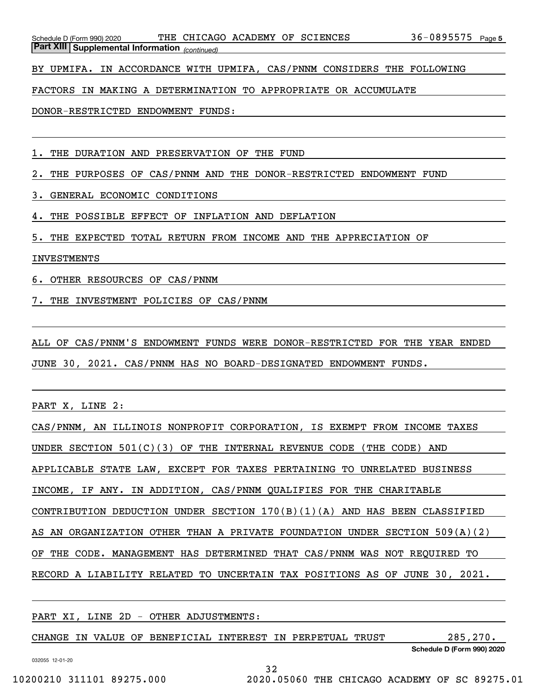*(continued)* **Part XIII Supplemental Information** 

BY UPMIFA. IN ACCORDANCE WITH UPMIFA, CAS/PNNM CONSIDERS THE FOLLOWING

FACTORS IN MAKING A DETERMINATION TO APPROPRIATE OR ACCUMULATE

DONOR-RESTRICTED ENDOWMENT FUNDS:

1. THE DURATION AND PRESERVATION OF THE FUND

2. THE PURPOSES OF CAS/PNNM AND THE DONOR-RESTRICTED ENDOWMENT FUND

3. GENERAL ECONOMIC CONDITIONS

4. THE POSSIBLE EFFECT OF INFLATION AND DEFLATION

5. THE EXPECTED TOTAL RETURN FROM INCOME AND THE APPRECIATION OF

INVESTMENTS

6. OTHER RESOURCES OF CAS/PNNM

7. THE INVESTMENT POLICIES OF CAS/PNNM

ALL OF CAS/PNNM'S ENDOWMENT FUNDS WERE DONOR-RESTRICTED FOR THE YEAR ENDED JUNE 30, 2021. CAS/PNNM HAS NO BOARD-DESIGNATED ENDOWMENT FUNDS.

PART X, LINE 2:

CAS/PNNM, AN ILLINOIS NONPROFIT CORPORATION, IS EXEMPT FROM INCOME TAXES UNDER SECTION 501(C)(3) OF THE INTERNAL REVENUE CODE (THE CODE) AND APPLICABLE STATE LAW, EXCEPT FOR TAXES PERTAINING TO UNRELATED BUSINESS INCOME, IF ANY. IN ADDITION, CAS/PNNM QUALIFIES FOR THE CHARITABLE CONTRIBUTION DEDUCTION UNDER SECTION 170(B)(1)(A) AND HAS BEEN CLASSIFIED AS AN ORGANIZATION OTHER THAN A PRIVATE FOUNDATION UNDER SECTION 509(A)(2) OF THE CODE. MANAGEMENT HAS DETERMINED THAT CAS/PNNM WAS NOT REQUIRED TO RECORD A LIABILITY RELATED TO UNCERTAIN TAX POSITIONS AS OF JUNE 30, 2021.

PART XI, LINE 2D - OTHER ADJUSTMENTS:

CHANGE IN VALUE OF BENEFICIAL INTEREST IN PERPETUAL TRUST 285,270.

032055 12-01-20

**Schedule D (Form 990) 2020**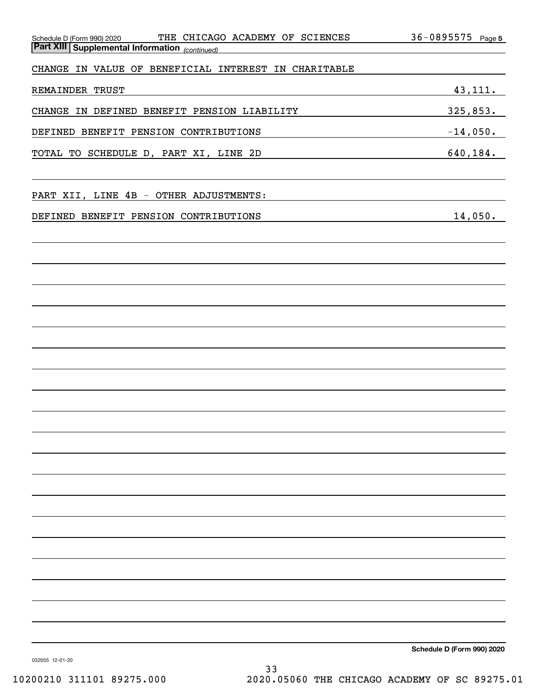| THE CHICAGO ACADEMY OF SCIENCES<br>Schedule D (Form 990) 2020 | $36 - 0895575$<br>Page 5   |
|---------------------------------------------------------------|----------------------------|
| Part XIII Supplemental Information (continued)                |                            |
| CHANGE IN VALUE OF BENEFICIAL INTEREST IN CHARITABLE          |                            |
| REMAINDER TRUST                                               | 43, 111.                   |
| CHANGE IN DEFINED BENEFIT PENSION LIABILITY                   | 325,853.                   |
| DEFINED BENEFIT PENSION CONTRIBUTIONS                         | $-14,050.$                 |
| TOTAL TO SCHEDULE D, PART XI, LINE 2D                         | 640,184.                   |
|                                                               |                            |
| PART XII, LINE 4B - OTHER ADJUSTMENTS:                        |                            |
| DEFINED BENEFIT PENSION CONTRIBUTIONS                         | 14,050.                    |
|                                                               |                            |
|                                                               |                            |
|                                                               |                            |
|                                                               |                            |
|                                                               |                            |
|                                                               |                            |
|                                                               |                            |
|                                                               |                            |
|                                                               |                            |
|                                                               |                            |
|                                                               |                            |
|                                                               |                            |
|                                                               |                            |
|                                                               |                            |
|                                                               |                            |
|                                                               |                            |
|                                                               |                            |
|                                                               |                            |
|                                                               |                            |
| 032055 12-01-20                                               | Schedule D (Form 990) 2020 |

33

10200210 311101 89275.000 2020.05060 THE CHICAGO ACADEMY OF SC 89275.01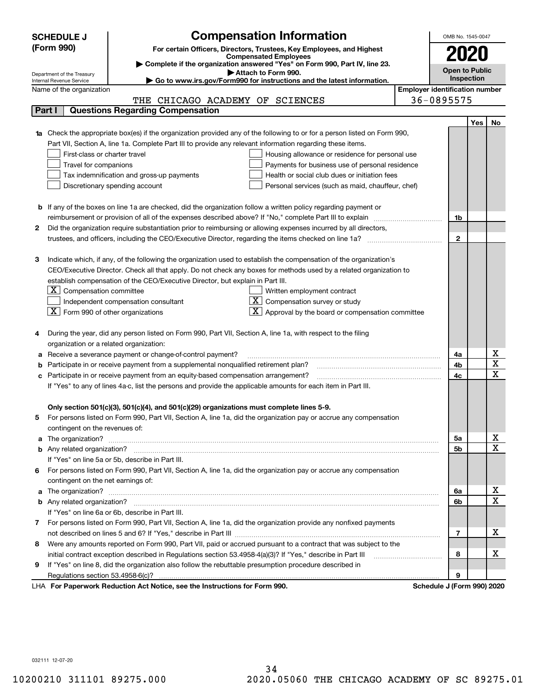|    | <b>SCHEDULE J</b>                                    | <b>Compensation Information</b>                                                                                                                                                                                                     |                                       | OMB No. 1545-0047     |     |                                     |  |  |  |
|----|------------------------------------------------------|-------------------------------------------------------------------------------------------------------------------------------------------------------------------------------------------------------------------------------------|---------------------------------------|-----------------------|-----|-------------------------------------|--|--|--|
|    | (Form 990)                                           | For certain Officers, Directors, Trustees, Key Employees, and Highest                                                                                                                                                               |                                       |                       |     |                                     |  |  |  |
|    |                                                      | <b>Compensated Employees</b>                                                                                                                                                                                                        |                                       |                       |     |                                     |  |  |  |
|    | Department of the Treasury                           | Complete if the organization answered "Yes" on Form 990, Part IV, line 23.<br>Attach to Form 990.                                                                                                                                   |                                       | <b>Open to Public</b> |     |                                     |  |  |  |
|    | Internal Revenue Service                             | Go to www.irs.gov/Form990 for instructions and the latest information.                                                                                                                                                              |                                       | Inspection            |     |                                     |  |  |  |
|    | Name of the organization                             |                                                                                                                                                                                                                                     | <b>Employer identification number</b> |                       |     |                                     |  |  |  |
|    |                                                      | THE CHICAGO ACADEMY OF SCIENCES                                                                                                                                                                                                     |                                       | 36-0895575            |     |                                     |  |  |  |
|    | Part I                                               | <b>Questions Regarding Compensation</b>                                                                                                                                                                                             |                                       |                       |     |                                     |  |  |  |
|    |                                                      |                                                                                                                                                                                                                                     |                                       |                       | Yes | No                                  |  |  |  |
|    |                                                      | 1a Check the appropriate box(es) if the organization provided any of the following to or for a person listed on Form 990,                                                                                                           |                                       |                       |     |                                     |  |  |  |
|    |                                                      | Part VII, Section A, line 1a. Complete Part III to provide any relevant information regarding these items.                                                                                                                          |                                       |                       |     |                                     |  |  |  |
|    | First-class or charter travel                        | Housing allowance or residence for personal use                                                                                                                                                                                     |                                       |                       |     |                                     |  |  |  |
|    | Travel for companions                                | Payments for business use of personal residence                                                                                                                                                                                     |                                       |                       |     |                                     |  |  |  |
|    |                                                      | Tax indemnification and gross-up payments<br>Health or social club dues or initiation fees                                                                                                                                          |                                       |                       |     |                                     |  |  |  |
|    |                                                      | Discretionary spending account<br>Personal services (such as maid, chauffeur, chef)                                                                                                                                                 |                                       |                       |     |                                     |  |  |  |
|    |                                                      |                                                                                                                                                                                                                                     |                                       |                       |     |                                     |  |  |  |
|    |                                                      | <b>b</b> If any of the boxes on line 1a are checked, did the organization follow a written policy regarding payment or<br>reimbursement or provision of all of the expenses described above? If "No," complete Part III to explain  |                                       | 1b                    |     |                                     |  |  |  |
| 2  |                                                      | Did the organization require substantiation prior to reimbursing or allowing expenses incurred by all directors,                                                                                                                    |                                       |                       |     |                                     |  |  |  |
|    |                                                      |                                                                                                                                                                                                                                     |                                       | $\mathbf 2$           |     |                                     |  |  |  |
|    |                                                      |                                                                                                                                                                                                                                     |                                       |                       |     |                                     |  |  |  |
| з  |                                                      | Indicate which, if any, of the following the organization used to establish the compensation of the organization's                                                                                                                  |                                       |                       |     |                                     |  |  |  |
|    |                                                      | CEO/Executive Director. Check all that apply. Do not check any boxes for methods used by a related organization to                                                                                                                  |                                       |                       |     |                                     |  |  |  |
|    |                                                      | establish compensation of the CEO/Executive Director, but explain in Part III.                                                                                                                                                      |                                       |                       |     |                                     |  |  |  |
|    | - X I<br>Compensation committee                      | Written employment contract                                                                                                                                                                                                         |                                       |                       |     |                                     |  |  |  |
|    |                                                      | ΧI<br>Compensation survey or study<br>Independent compensation consultant                                                                                                                                                           |                                       |                       |     |                                     |  |  |  |
|    | $\boxed{\textbf{X}}$ Form 990 of other organizations | Approval by the board or compensation committee                                                                                                                                                                                     |                                       |                       |     |                                     |  |  |  |
|    |                                                      |                                                                                                                                                                                                                                     |                                       |                       |     |                                     |  |  |  |
|    |                                                      | During the year, did any person listed on Form 990, Part VII, Section A, line 1a, with respect to the filing                                                                                                                        |                                       |                       |     |                                     |  |  |  |
|    | organization or a related organization:              |                                                                                                                                                                                                                                     |                                       |                       |     |                                     |  |  |  |
|    |                                                      | Receive a severance payment or change-of-control payment?                                                                                                                                                                           |                                       | 4a                    |     | x                                   |  |  |  |
|    |                                                      | Participate in or receive payment from a supplemental nonqualified retirement plan?                                                                                                                                                 |                                       | 4b                    |     | $\overline{\mathtt{x}}$             |  |  |  |
| c  |                                                      | Participate in or receive payment from an equity-based compensation arrangement?                                                                                                                                                    |                                       | 4c                    |     | $\overline{\mathbf{x}}$             |  |  |  |
|    |                                                      | If "Yes" to any of lines 4a-c, list the persons and provide the applicable amounts for each item in Part III.                                                                                                                       |                                       |                       |     |                                     |  |  |  |
|    |                                                      |                                                                                                                                                                                                                                     |                                       |                       |     |                                     |  |  |  |
|    |                                                      | Only section 501(c)(3), 501(c)(4), and 501(c)(29) organizations must complete lines 5-9.                                                                                                                                            |                                       |                       |     |                                     |  |  |  |
| 5  |                                                      | For persons listed on Form 990, Part VII, Section A, line 1a, did the organization pay or accrue any compensation                                                                                                                   |                                       |                       |     |                                     |  |  |  |
|    | contingent on the revenues of:                       |                                                                                                                                                                                                                                     |                                       |                       |     |                                     |  |  |  |
|    |                                                      | a The organization? <b>Entitation</b> 2008 Communication of the contract of the contract of the contract of the contract of the contract of the contract of the contract of the contract of the contract of the contract of the con |                                       | 5а                    |     | <u>x</u><br>$\overline{\mathbf{x}}$ |  |  |  |
|    |                                                      |                                                                                                                                                                                                                                     |                                       | 5b                    |     |                                     |  |  |  |
|    |                                                      | If "Yes" on line 5a or 5b, describe in Part III.                                                                                                                                                                                    |                                       |                       |     |                                     |  |  |  |
| 6. |                                                      | For persons listed on Form 990, Part VII, Section A, line 1a, did the organization pay or accrue any compensation                                                                                                                   |                                       |                       |     |                                     |  |  |  |
|    | contingent on the net earnings of:                   |                                                                                                                                                                                                                                     |                                       | 6а                    |     | <u>x</u>                            |  |  |  |
|    |                                                      |                                                                                                                                                                                                                                     |                                       | 6b                    |     | $\overline{\textbf{x}}$             |  |  |  |
|    |                                                      | If "Yes" on line 6a or 6b, describe in Part III.                                                                                                                                                                                    |                                       |                       |     |                                     |  |  |  |
|    |                                                      | 7 For persons listed on Form 990, Part VII, Section A, line 1a, did the organization provide any nonfixed payments                                                                                                                  |                                       |                       |     |                                     |  |  |  |
|    |                                                      |                                                                                                                                                                                                                                     |                                       | 7                     |     | х                                   |  |  |  |
| 8  |                                                      | Were any amounts reported on Form 990, Part VII, paid or accrued pursuant to a contract that was subject to the                                                                                                                     |                                       |                       |     |                                     |  |  |  |
|    |                                                      | initial contract exception described in Regulations section 53.4958-4(a)(3)? If "Yes," describe in Part III                                                                                                                         |                                       | 8                     |     | х                                   |  |  |  |
| 9  |                                                      | If "Yes" on line 8, did the organization also follow the rebuttable presumption procedure described in                                                                                                                              |                                       |                       |     |                                     |  |  |  |
|    |                                                      |                                                                                                                                                                                                                                     |                                       | 9                     |     |                                     |  |  |  |
|    |                                                      | duction Act Notice, and the Instructions for Form 000                                                                                                                                                                               |                                       |                       |     |                                     |  |  |  |

LHA For Paperwork Reduction Act Notice, see the Instructions for Form 990. Schedule J (Form 990) 2020

032111 12-07-20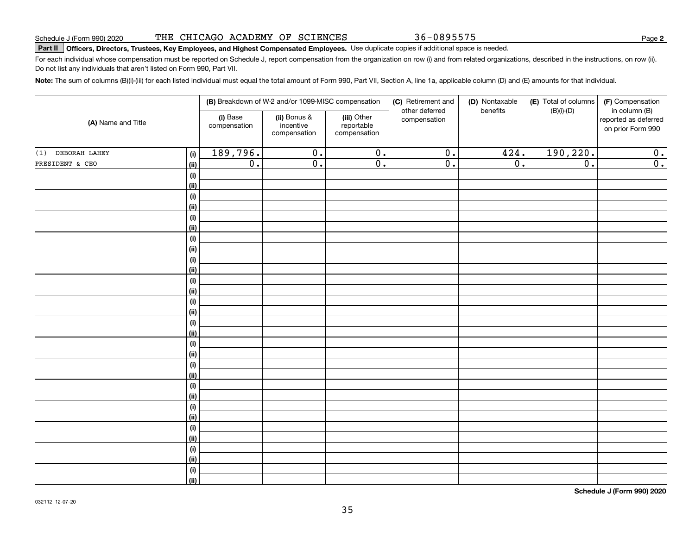|  | 90) 2020 |  |  |  |  | THE CHICAGO ACADEMY OF SCIENCES |  |
|--|----------|--|--|--|--|---------------------------------|--|
|--|----------|--|--|--|--|---------------------------------|--|

**Part II Officers, Directors, Trustees, Key Employees, and Highest Compensated Employees.**  Schedule J (Form 990) 2020 Page Use duplicate copies if additional space is needed.

For each individual whose compensation must be reported on Schedule J, report compensation from the organization on row (i) and from related organizations, described in the instructions, on row (ii). Do not list any individuals that aren't listed on Form 990, Part VII.

**Note:**  The sum of columns (B)(i)-(iii) for each listed individual must equal the total amount of Form 990, Part VII, Section A, line 1a, applicable column (D) and (E) amounts for that individual.

| (i) Base<br>(iii) Other<br>(ii) Bonus &<br>compensation<br>reported as deferred<br>(A) Name and Title<br>incentive<br>compensation<br>reportable<br>on prior Form 990<br>compensation<br>compensation<br>190, 220.<br>189,796.<br>424.<br>$\overline{0}$ .<br>$\overline{0}$ .<br>$\overline{0}$ .<br>$\overline{\mathbf{0}}$ .<br>(i)<br>$\overline{0}$ .<br>$\overline{0}$ .<br>$\overline{0}$ .<br>$\overline{0}$ .<br>$\overline{0}$ .<br>$\overline{0}$ .<br>$\overline{0}$ .<br>(ii)<br>(i)<br>(ii)<br>(i)<br>(ii)<br>(i)<br>(ii)<br>(i)<br>(ii)<br>(i)<br>(ii)<br>(i)<br>(ii)<br>$(\sf{i})$<br>(ii)<br>$(\sf{i})$<br>(ii)<br>$(\sf{i})$<br>(ii)<br>(i)<br>(ii)<br>$\qquad \qquad \textbf{(i)}$<br>(ii)<br>$\qquad \qquad \textbf{(i)}$<br>(ii)<br>$(\sf{i})$<br>(ii)<br>$(\sf{i})$<br>(ii)<br>$(\sf{i})$<br>(ii) |                   |  | (B) Breakdown of W-2 and/or 1099-MISC compensation | (C) Retirement and | (D) Nontaxable | (E) Total of columns | (F) Compensation |
|-------------------------------------------------------------------------------------------------------------------------------------------------------------------------------------------------------------------------------------------------------------------------------------------------------------------------------------------------------------------------------------------------------------------------------------------------------------------------------------------------------------------------------------------------------------------------------------------------------------------------------------------------------------------------------------------------------------------------------------------------------------------------------------------------------------------------|-------------------|--|----------------------------------------------------|--------------------|----------------|----------------------|------------------|
|                                                                                                                                                                                                                                                                                                                                                                                                                                                                                                                                                                                                                                                                                                                                                                                                                         |                   |  |                                                    | other deferred     | benefits       | $(B)(i)-(D)$         | in column (B)    |
|                                                                                                                                                                                                                                                                                                                                                                                                                                                                                                                                                                                                                                                                                                                                                                                                                         | (1) DEBORAH LAHEY |  |                                                    |                    |                |                      |                  |
|                                                                                                                                                                                                                                                                                                                                                                                                                                                                                                                                                                                                                                                                                                                                                                                                                         | PRESIDENT & CEO   |  |                                                    |                    |                |                      |                  |
|                                                                                                                                                                                                                                                                                                                                                                                                                                                                                                                                                                                                                                                                                                                                                                                                                         |                   |  |                                                    |                    |                |                      |                  |
|                                                                                                                                                                                                                                                                                                                                                                                                                                                                                                                                                                                                                                                                                                                                                                                                                         |                   |  |                                                    |                    |                |                      |                  |
|                                                                                                                                                                                                                                                                                                                                                                                                                                                                                                                                                                                                                                                                                                                                                                                                                         |                   |  |                                                    |                    |                |                      |                  |
|                                                                                                                                                                                                                                                                                                                                                                                                                                                                                                                                                                                                                                                                                                                                                                                                                         |                   |  |                                                    |                    |                |                      |                  |
|                                                                                                                                                                                                                                                                                                                                                                                                                                                                                                                                                                                                                                                                                                                                                                                                                         |                   |  |                                                    |                    |                |                      |                  |
|                                                                                                                                                                                                                                                                                                                                                                                                                                                                                                                                                                                                                                                                                                                                                                                                                         |                   |  |                                                    |                    |                |                      |                  |
|                                                                                                                                                                                                                                                                                                                                                                                                                                                                                                                                                                                                                                                                                                                                                                                                                         |                   |  |                                                    |                    |                |                      |                  |
|                                                                                                                                                                                                                                                                                                                                                                                                                                                                                                                                                                                                                                                                                                                                                                                                                         |                   |  |                                                    |                    |                |                      |                  |
|                                                                                                                                                                                                                                                                                                                                                                                                                                                                                                                                                                                                                                                                                                                                                                                                                         |                   |  |                                                    |                    |                |                      |                  |
|                                                                                                                                                                                                                                                                                                                                                                                                                                                                                                                                                                                                                                                                                                                                                                                                                         |                   |  |                                                    |                    |                |                      |                  |
|                                                                                                                                                                                                                                                                                                                                                                                                                                                                                                                                                                                                                                                                                                                                                                                                                         |                   |  |                                                    |                    |                |                      |                  |
|                                                                                                                                                                                                                                                                                                                                                                                                                                                                                                                                                                                                                                                                                                                                                                                                                         |                   |  |                                                    |                    |                |                      |                  |
|                                                                                                                                                                                                                                                                                                                                                                                                                                                                                                                                                                                                                                                                                                                                                                                                                         |                   |  |                                                    |                    |                |                      |                  |
|                                                                                                                                                                                                                                                                                                                                                                                                                                                                                                                                                                                                                                                                                                                                                                                                                         |                   |  |                                                    |                    |                |                      |                  |
|                                                                                                                                                                                                                                                                                                                                                                                                                                                                                                                                                                                                                                                                                                                                                                                                                         |                   |  |                                                    |                    |                |                      |                  |
|                                                                                                                                                                                                                                                                                                                                                                                                                                                                                                                                                                                                                                                                                                                                                                                                                         |                   |  |                                                    |                    |                |                      |                  |
|                                                                                                                                                                                                                                                                                                                                                                                                                                                                                                                                                                                                                                                                                                                                                                                                                         |                   |  |                                                    |                    |                |                      |                  |
|                                                                                                                                                                                                                                                                                                                                                                                                                                                                                                                                                                                                                                                                                                                                                                                                                         |                   |  |                                                    |                    |                |                      |                  |
|                                                                                                                                                                                                                                                                                                                                                                                                                                                                                                                                                                                                                                                                                                                                                                                                                         |                   |  |                                                    |                    |                |                      |                  |
|                                                                                                                                                                                                                                                                                                                                                                                                                                                                                                                                                                                                                                                                                                                                                                                                                         |                   |  |                                                    |                    |                |                      |                  |
|                                                                                                                                                                                                                                                                                                                                                                                                                                                                                                                                                                                                                                                                                                                                                                                                                         |                   |  |                                                    |                    |                |                      |                  |
|                                                                                                                                                                                                                                                                                                                                                                                                                                                                                                                                                                                                                                                                                                                                                                                                                         |                   |  |                                                    |                    |                |                      |                  |
|                                                                                                                                                                                                                                                                                                                                                                                                                                                                                                                                                                                                                                                                                                                                                                                                                         |                   |  |                                                    |                    |                |                      |                  |
|                                                                                                                                                                                                                                                                                                                                                                                                                                                                                                                                                                                                                                                                                                                                                                                                                         |                   |  |                                                    |                    |                |                      |                  |
|                                                                                                                                                                                                                                                                                                                                                                                                                                                                                                                                                                                                                                                                                                                                                                                                                         |                   |  |                                                    |                    |                |                      |                  |
|                                                                                                                                                                                                                                                                                                                                                                                                                                                                                                                                                                                                                                                                                                                                                                                                                         |                   |  |                                                    |                    |                |                      |                  |
|                                                                                                                                                                                                                                                                                                                                                                                                                                                                                                                                                                                                                                                                                                                                                                                                                         |                   |  |                                                    |                    |                |                      |                  |
|                                                                                                                                                                                                                                                                                                                                                                                                                                                                                                                                                                                                                                                                                                                                                                                                                         |                   |  |                                                    |                    |                |                      |                  |
|                                                                                                                                                                                                                                                                                                                                                                                                                                                                                                                                                                                                                                                                                                                                                                                                                         |                   |  |                                                    |                    |                |                      |                  |

**Schedule J (Form 990) 2020**

36-0895575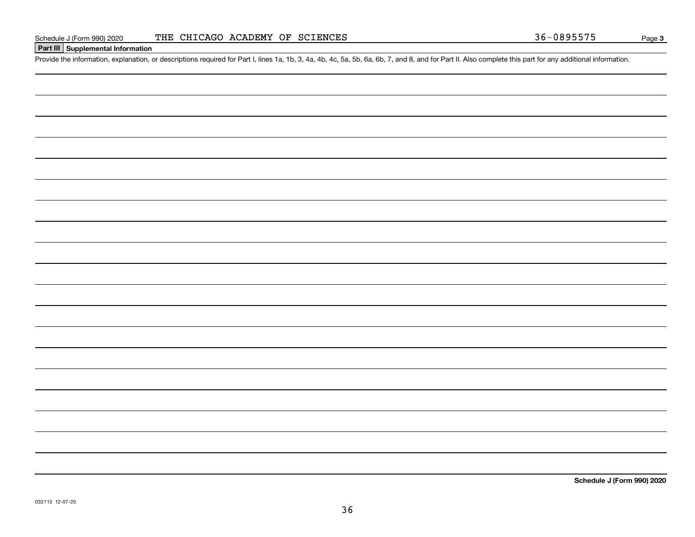## **Part III Supplemental Information**

Schedule J (Form 990) 2020 THE CHICAGO ACADEMY OF SCIENCES<br>
Part III Supplemental Information<br>
Provide the information, explanation, or descriptions required for Part I, lines 1a, 1b, 3, 4a, 4b, 4c, 5a, 5b, 6a, 6b, 7, and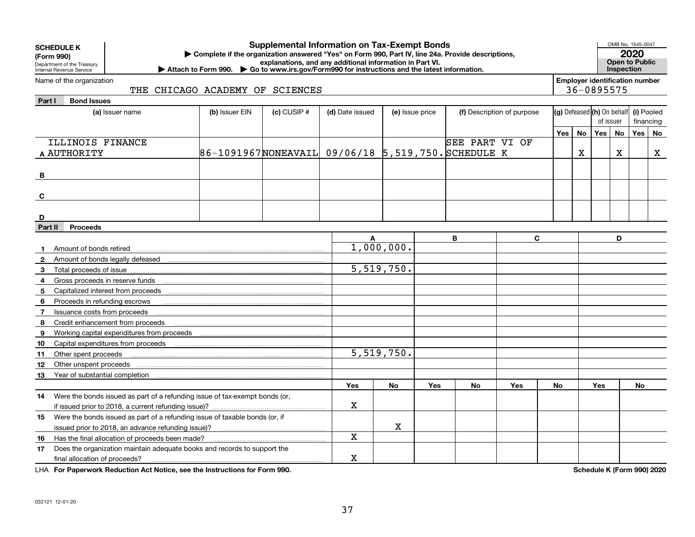|              | <b>Supplemental Information on Tax-Exempt Bonds</b><br><b>SCHEDULE K</b><br>Complete if the organization answered "Yes" on Form 990, Part IV, line 24a. Provide descriptions,<br>(Form 990)<br>explanations, and any additional information in Part VI.<br>Department of the Treasury<br>Internal Revenue Service<br>Attach to Form 990. Co to www.irs.gov/Form990 for instructions and the latest information. |                                                    |               |                 |                          |     |                |                            |       |                                                     |            |   | OMB No. 1545-0047<br>2020<br><b>Open to Public</b><br>Inspection |             |
|--------------|-----------------------------------------------------------------------------------------------------------------------------------------------------------------------------------------------------------------------------------------------------------------------------------------------------------------------------------------------------------------------------------------------------------------|----------------------------------------------------|---------------|-----------------|--------------------------|-----|----------------|----------------------------|-------|-----------------------------------------------------|------------|---|------------------------------------------------------------------|-------------|
|              | Name of the organization<br>THE CHICAGO ACADEMY OF SCIENCES                                                                                                                                                                                                                                                                                                                                                     |                                                    |               |                 |                          |     |                |                            |       | <b>Employer identification number</b><br>36-0895575 |            |   |                                                                  |             |
| Part I       | <b>Bond Issues</b>                                                                                                                                                                                                                                                                                                                                                                                              |                                                    |               |                 |                          |     |                |                            |       |                                                     |            |   |                                                                  |             |
|              | (a) Issuer name                                                                                                                                                                                                                                                                                                                                                                                                 | (b) Issuer EIN                                     | $(c)$ CUSIP # | (d) Date issued | (e) Issue price          |     |                | (f) Description of purpose |       | (g) Defeased (h) On behalf                          |            |   | (i) Pooled                                                       |             |
|              |                                                                                                                                                                                                                                                                                                                                                                                                                 |                                                    |               |                 |                          |     |                |                            |       |                                                     | of issuer  |   | financing                                                        |             |
|              |                                                                                                                                                                                                                                                                                                                                                                                                                 |                                                    |               |                 |                          |     |                |                            | Yes l | No                                                  | Yes No     |   | Yes                                                              | No          |
|              | ILLINOIS FINANCE                                                                                                                                                                                                                                                                                                                                                                                                |                                                    |               |                 |                          |     | SEE PART VI OF |                            |       |                                                     |            |   |                                                                  |             |
|              | A AUTHORITY                                                                                                                                                                                                                                                                                                                                                                                                     | 86-1091967NONEAVAIL 09/06/18 5,519,750. SCHEDULE K |               |                 |                          |     |                |                            |       | X                                                   |            | X |                                                                  | $\mathbf X$ |
| В            |                                                                                                                                                                                                                                                                                                                                                                                                                 |                                                    |               |                 |                          |     |                |                            |       |                                                     |            |   |                                                                  |             |
| C            |                                                                                                                                                                                                                                                                                                                                                                                                                 |                                                    |               |                 |                          |     |                |                            |       |                                                     |            |   |                                                                  |             |
|              |                                                                                                                                                                                                                                                                                                                                                                                                                 |                                                    |               |                 |                          |     |                |                            |       |                                                     |            |   |                                                                  |             |
| D            |                                                                                                                                                                                                                                                                                                                                                                                                                 |                                                    |               |                 |                          |     |                |                            |       |                                                     |            |   |                                                                  |             |
| Part II      | <b>Proceeds</b>                                                                                                                                                                                                                                                                                                                                                                                                 |                                                    |               |                 |                          |     |                |                            |       |                                                     |            |   |                                                                  |             |
|              |                                                                                                                                                                                                                                                                                                                                                                                                                 |                                                    |               | A               |                          |     | B              | C                          |       |                                                     |            | D |                                                                  |             |
|              | Amount of bonds retired                                                                                                                                                                                                                                                                                                                                                                                         |                                                    |               |                 | 1,000,000.               |     |                |                            |       |                                                     |            |   |                                                                  |             |
| $\mathbf{2}$ |                                                                                                                                                                                                                                                                                                                                                                                                                 |                                                    |               |                 |                          |     |                |                            |       |                                                     |            |   |                                                                  |             |
| 3            |                                                                                                                                                                                                                                                                                                                                                                                                                 |                                                    |               |                 | 5,519,750.               |     |                |                            |       |                                                     |            |   |                                                                  |             |
| 4            |                                                                                                                                                                                                                                                                                                                                                                                                                 |                                                    |               |                 |                          |     |                |                            |       |                                                     |            |   |                                                                  |             |
| 5            |                                                                                                                                                                                                                                                                                                                                                                                                                 |                                                    |               |                 |                          |     |                |                            |       |                                                     |            |   |                                                                  |             |
| 6            | Proceeds in refunding escrows                                                                                                                                                                                                                                                                                                                                                                                   |                                                    |               |                 |                          |     |                |                            |       |                                                     |            |   |                                                                  |             |
| 7            | Issuance costs from proceeds                                                                                                                                                                                                                                                                                                                                                                                    |                                                    |               |                 |                          |     |                |                            |       |                                                     |            |   |                                                                  |             |
| 8            | Credit enhancement from proceeds                                                                                                                                                                                                                                                                                                                                                                                |                                                    |               |                 |                          |     |                |                            |       |                                                     |            |   |                                                                  |             |
| 9            | Working capital expenditures from proceeds                                                                                                                                                                                                                                                                                                                                                                      |                                                    |               |                 |                          |     |                |                            |       |                                                     |            |   |                                                                  |             |
| 10           | Capital expenditures from proceeds                                                                                                                                                                                                                                                                                                                                                                              |                                                    |               |                 |                          |     |                |                            |       |                                                     |            |   |                                                                  |             |
| 11           | Other spent proceeds                                                                                                                                                                                                                                                                                                                                                                                            |                                                    |               |                 | $\overline{5,519,750}$ . |     |                |                            |       |                                                     |            |   |                                                                  |             |
| 12           | Other unspent proceeds                                                                                                                                                                                                                                                                                                                                                                                          |                                                    |               |                 |                          |     |                |                            |       |                                                     |            |   |                                                                  |             |
| 13           | Year of substantial completion                                                                                                                                                                                                                                                                                                                                                                                  |                                                    |               |                 |                          |     |                |                            |       |                                                     |            |   |                                                                  |             |
|              |                                                                                                                                                                                                                                                                                                                                                                                                                 |                                                    |               | <b>Yes</b>      | No                       | Yes | No             | <b>Yes</b>                 | No    |                                                     | <b>Yes</b> |   | <b>No</b>                                                        |             |
| 14           | Were the bonds issued as part of a refunding issue of tax-exempt bonds (or,                                                                                                                                                                                                                                                                                                                                     |                                                    |               |                 |                          |     |                |                            |       |                                                     |            |   |                                                                  |             |
|              |                                                                                                                                                                                                                                                                                                                                                                                                                 |                                                    |               | $\mathbf X$     |                          |     |                |                            |       |                                                     |            |   |                                                                  |             |
| 15           | Were the bonds issued as part of a refunding issue of taxable bonds (or, if                                                                                                                                                                                                                                                                                                                                     |                                                    |               |                 |                          |     |                |                            |       |                                                     |            |   |                                                                  |             |
|              |                                                                                                                                                                                                                                                                                                                                                                                                                 |                                                    |               |                 | X                        |     |                |                            |       |                                                     |            |   |                                                                  |             |
| 16           | Has the final allocation of proceeds been made?                                                                                                                                                                                                                                                                                                                                                                 |                                                    |               | X               |                          |     |                |                            |       |                                                     |            |   |                                                                  |             |
| 17           | Does the organization maintain adequate books and records to support the                                                                                                                                                                                                                                                                                                                                        |                                                    |               |                 |                          |     |                |                            |       |                                                     |            |   |                                                                  |             |
|              | final allocation of proceeds?                                                                                                                                                                                                                                                                                                                                                                                   |                                                    |               | X               |                          |     |                |                            |       |                                                     |            |   |                                                                  |             |

**For Paperwork Reduction Act Notice, see the Instructions for Form 990. Schedule K (Form 990) 2020** LHA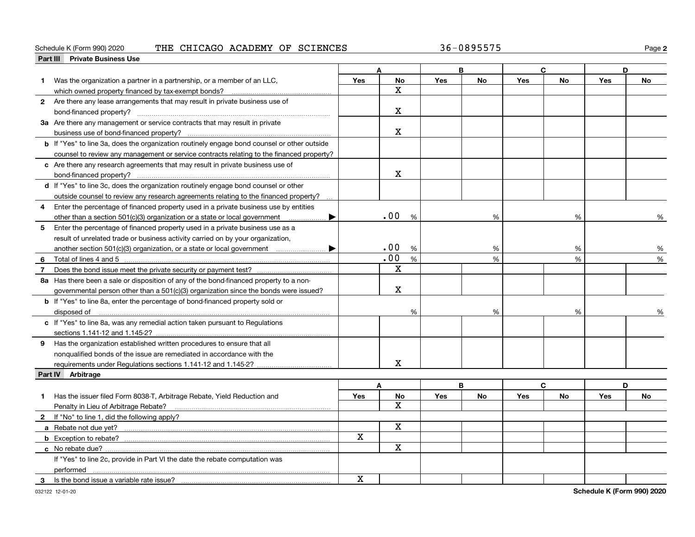#### Schedule K (Form 990) 2020 **THE CHICAGO ACADEMY OF SCIENCES** Page

|   | Part III Private Business Use                                                                                                                                                                                                  |             |              |            |           |            |             |            |           |
|---|--------------------------------------------------------------------------------------------------------------------------------------------------------------------------------------------------------------------------------|-------------|--------------|------------|-----------|------------|-------------|------------|-----------|
|   |                                                                                                                                                                                                                                |             | Δ            |            | B         |            | $\mathbf c$ | D          |           |
| 1 | Was the organization a partner in a partnership, or a member of an LLC,                                                                                                                                                        | Yes         | No           | Yes        | <b>No</b> | Yes        | <b>No</b>   | Yes        | <b>No</b> |
|   | which owned property financed by tax-exempt bonds?                                                                                                                                                                             |             | x            |            |           |            |             |            |           |
|   | 2 Are there any lease arrangements that may result in private business use of                                                                                                                                                  |             |              |            |           |            |             |            |           |
|   |                                                                                                                                                                                                                                |             | x            |            |           |            |             |            |           |
|   | 3a Are there any management or service contracts that may result in private                                                                                                                                                    |             |              |            |           |            |             |            |           |
|   |                                                                                                                                                                                                                                |             | х            |            |           |            |             |            |           |
|   | <b>b</b> If "Yes" to line 3a, does the organization routinely engage bond counsel or other outside                                                                                                                             |             |              |            |           |            |             |            |           |
|   | counsel to review any management or service contracts relating to the financed property?                                                                                                                                       |             |              |            |           |            |             |            |           |
|   | c Are there any research agreements that may result in private business use of                                                                                                                                                 |             |              |            |           |            |             |            |           |
|   |                                                                                                                                                                                                                                |             | X            |            |           |            |             |            |           |
|   | d If "Yes" to line 3c, does the organization routinely engage bond counsel or other                                                                                                                                            |             |              |            |           |            |             |            |           |
|   | outside counsel to review any research agreements relating to the financed property?                                                                                                                                           |             |              |            |           |            |             |            |           |
| 4 | Enter the percentage of financed property used in a private business use by entities                                                                                                                                           |             |              |            |           |            |             |            |           |
|   | other than a section 501(c)(3) organization or a state or local government                                                                                                                                                     |             | .00<br>%     |            | %         |            | %           |            | %         |
| 5 | Enter the percentage of financed property used in a private business use as a                                                                                                                                                  |             |              |            |           |            |             |            |           |
|   | result of unrelated trade or business activity carried on by your organization,                                                                                                                                                |             |              |            |           |            |             |            |           |
|   |                                                                                                                                                                                                                                |             | .00<br>%     |            | %         |            | %           |            | %         |
| 6 |                                                                                                                                                                                                                                |             | .00<br>%     |            | %         |            | %           |            | %         |
| 7 | Total of lines 4 and 5 [11, 2010] Total of lines 4 and 5 [11, 2010] Total of lines 4 and 5 [11, 2010] Total and Total All and Total All and Total All and Total All and Total All and Total All and Total All and Total All an |             | X            |            |           |            |             |            |           |
|   | 8a Has there been a sale or disposition of any of the bond-financed property to a non-                                                                                                                                         |             |              |            |           |            |             |            |           |
|   |                                                                                                                                                                                                                                |             | х            |            |           |            |             |            |           |
|   | governmental person other than a 501(c)(3) organization since the bonds were issued?                                                                                                                                           |             |              |            |           |            |             |            |           |
|   | <b>b</b> If "Yes" to line 8a, enter the percentage of bond-financed property sold or                                                                                                                                           |             |              |            |           |            |             |            |           |
|   | disposed of <u>www.communications.communications.communications.com</u>                                                                                                                                                        |             | %            |            | %         |            | %           |            | %         |
|   | c If "Yes" to line 8a, was any remedial action taken pursuant to Regulations                                                                                                                                                   |             |              |            |           |            |             |            |           |
|   | sections 1.141-12 and 1.145-2?                                                                                                                                                                                                 |             |              |            |           |            |             |            |           |
|   | 9 Has the organization established written procedures to ensure that all                                                                                                                                                       |             |              |            |           |            |             |            |           |
|   | nonqualified bonds of the issue are remediated in accordance with the                                                                                                                                                          |             |              |            |           |            |             |            |           |
|   | requirements under Regulations sections 1.141-12 and 1.145-2?                                                                                                                                                                  |             | X            |            |           |            |             |            |           |
|   | Part IV Arbitrage                                                                                                                                                                                                              |             |              |            |           |            |             |            |           |
|   |                                                                                                                                                                                                                                |             | A            |            | B         |            | C           | D          |           |
|   | Has the issuer filed Form 8038-T, Arbitrage Rebate, Yield Reduction and                                                                                                                                                        | Yes         | No           | <b>Yes</b> | <b>No</b> | <b>Yes</b> | <b>No</b>   | <b>Yes</b> | <b>No</b> |
|   | Penalty in Lieu of Arbitrage Rebate?                                                                                                                                                                                           |             | $\mathbf{x}$ |            |           |            |             |            |           |
|   | 2 If "No" to line 1, did the following apply?                                                                                                                                                                                  |             |              |            |           |            |             |            |           |
|   |                                                                                                                                                                                                                                |             | X            |            |           |            |             |            |           |
|   | <b>b</b> Exception to rebate?                                                                                                                                                                                                  | X           |              |            |           |            |             |            |           |
|   |                                                                                                                                                                                                                                |             | $\mathbf X$  |            |           |            |             |            |           |
|   | If "Yes" to line 2c, provide in Part VI the date the rebate computation was                                                                                                                                                    |             |              |            |           |            |             |            |           |
|   | performed                                                                                                                                                                                                                      |             |              |            |           |            |             |            |           |
| 3 | Is the bond issue a variable rate issue?                                                                                                                                                                                       | $\mathbf X$ |              |            |           |            |             |            |           |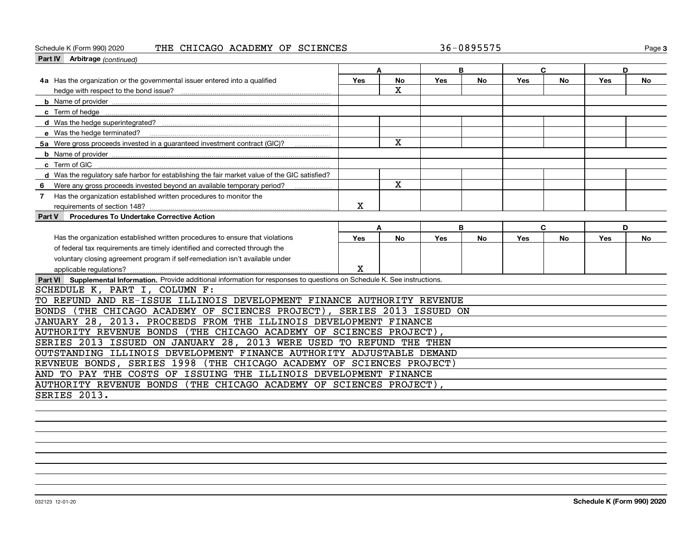## Schedule K (Form 990) 2020 **THE CHICAGO ACADEMY OF SCIENCES** Page

| <b>Part IV</b> Arbitrage (continued)                                                                                         |            |              |            |           |     |           |     |           |
|------------------------------------------------------------------------------------------------------------------------------|------------|--------------|------------|-----------|-----|-----------|-----|-----------|
|                                                                                                                              | A          |              |            | B         |     | C         | D   |           |
| 4a Has the organization or the governmental issuer entered into a qualified                                                  | Yes        | <b>No</b>    | Yes        | <b>No</b> | Yes | <b>No</b> | Yes | No        |
|                                                                                                                              |            | $\mathbf{x}$ |            |           |     |           |     |           |
|                                                                                                                              |            |              |            |           |     |           |     |           |
|                                                                                                                              |            |              |            |           |     |           |     |           |
|                                                                                                                              |            |              |            |           |     |           |     |           |
| e Was the hedge terminated?                                                                                                  |            |              |            |           |     |           |     |           |
| 5a Were gross proceeds invested in a guaranteed investment contract (GIC)?                                                   |            | $\mathbf{x}$ |            |           |     |           |     |           |
|                                                                                                                              |            |              |            |           |     |           |     |           |
|                                                                                                                              |            |              |            |           |     |           |     |           |
| d Was the regulatory safe harbor for establishing the fair market value of the GIC satisfied?                                |            |              |            |           |     |           |     |           |
| Were any gross proceeds invested beyond an available temporary period?<br>6                                                  |            | $\mathbf{x}$ |            |           |     |           |     |           |
| Has the organization established written procedures to monitor the<br>7                                                      |            |              |            |           |     |           |     |           |
| requirements of section 148?                                                                                                 | X          |              |            |           |     |           |     |           |
| Procedures To Undertake Corrective Action<br>Part V                                                                          |            |              |            |           |     |           |     |           |
|                                                                                                                              | A          |              |            | B         |     | C         | D   |           |
| Has the organization established written procedures to ensure that violations                                                | <b>Yes</b> | <b>No</b>    | <b>Yes</b> | No        | Yes | No.       | Yes | <b>No</b> |
| of federal tax requirements are timely identified and corrected through the                                                  |            |              |            |           |     |           |     |           |
| voluntary closing agreement program if self-remediation isn't available under                                                |            |              |            |           |     |           |     |           |
| applicable regulations?                                                                                                      | X          |              |            |           |     |           |     |           |
| Part VI Supplemental Information. Provide additional information for responses to questions on Schedule K. See instructions. |            |              |            |           |     |           |     |           |
| SCHEDULE K, PART I, COLUMN F:                                                                                                |            |              |            |           |     |           |     |           |
| TO REFUND AND RE-ISSUE ILLINOIS DEVELOPMENT FINANCE AUTHORITY REVENUE                                                        |            |              |            |           |     |           |     |           |
| (THE CHICAGO ACADEMY OF SCIENCES PROJECT), SERIES 2013 ISSUED ON<br><b>BONDS</b>                                             |            |              |            |           |     |           |     |           |
| JANUARY 28, 2013. PROCEEDS FROM THE ILLINOIS DEVELOPMENT FINANCE                                                             |            |              |            |           |     |           |     |           |
| AUTHORITY REVENUE BONDS (THE CHICAGO ACADEMY OF SCIENCES PROJECT),                                                           |            |              |            |           |     |           |     |           |
| SERIES 2013 ISSUED ON JANUARY 28, 2013 WERE USED TO REFUND THE THEN                                                          |            |              |            |           |     |           |     |           |
| OUTSTANDING ILLINOIS DEVELOPMENT FINANCE AUTHORITY ADJUSTABLE DEMAND                                                         |            |              |            |           |     |           |     |           |
| REVNEUE BONDS, SERIES 1998 (THE CHICAGO ACADEMY OF SCIENCES PROJECT)                                                         |            |              |            |           |     |           |     |           |
| AND TO PAY THE COSTS OF ISSUING THE ILLINOIS DEVELOPMENT FINANCE                                                             |            |              |            |           |     |           |     |           |
| AUTHORITY REVENUE BONDS (THE CHICAGO ACADEMY OF SCIENCES PROJECT),                                                           |            |              |            |           |     |           |     |           |
| SERIES 2013.                                                                                                                 |            |              |            |           |     |           |     |           |
|                                                                                                                              |            |              |            |           |     |           |     |           |
|                                                                                                                              |            |              |            |           |     |           |     |           |
|                                                                                                                              |            |              |            |           |     |           |     |           |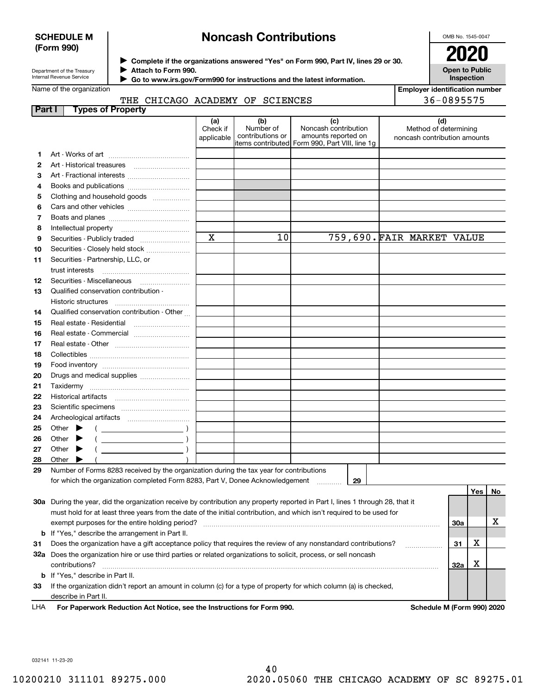## **SCHEDULE M (Form 990)**

# **Noncash Contributions**

OMB No. 1545-0047

| Department of the Treasury |
|----------------------------|
| Internal Revenue Service   |

**Complete if the organizations answered "Yes" on Form 990, Part IV, lines 29 or 30.** <sup>J</sup>**2020 Attach to Form 990.** J

 **Go to www.irs.gov/Form990 for instructions and the latest information.** J

## **Open to Public Inspection**

|  | Name of the organization |
|--|--------------------------|
|--|--------------------------|

THE CHICAGO ACADEMY OF SCIENCES

| <b>Employer identification number</b> |
|---------------------------------------|
| 36-0895575                            |

| Part I       | <b>Types of Property</b>                                                                                                                                                                                                                                                                               |                               |                                      |                                                                                                      |                                                              |     |      |    |
|--------------|--------------------------------------------------------------------------------------------------------------------------------------------------------------------------------------------------------------------------------------------------------------------------------------------------------|-------------------------------|--------------------------------------|------------------------------------------------------------------------------------------------------|--------------------------------------------------------------|-----|------|----|
|              |                                                                                                                                                                                                                                                                                                        | (a)<br>Check if<br>applicable | (b)<br>Number of<br>contributions or | (c)<br>Noncash contribution<br>amounts reported on<br>items contributed Form 990, Part VIII, line 1g | (d)<br>Method of determining<br>noncash contribution amounts |     |      |    |
| 1            |                                                                                                                                                                                                                                                                                                        |                               |                                      |                                                                                                      |                                                              |     |      |    |
| 2            |                                                                                                                                                                                                                                                                                                        |                               |                                      |                                                                                                      |                                                              |     |      |    |
| 3            |                                                                                                                                                                                                                                                                                                        |                               |                                      |                                                                                                      |                                                              |     |      |    |
| 4            | Books and publications                                                                                                                                                                                                                                                                                 |                               |                                      |                                                                                                      |                                                              |     |      |    |
| 5            | Clothing and household goods                                                                                                                                                                                                                                                                           |                               |                                      |                                                                                                      |                                                              |     |      |    |
| 6            |                                                                                                                                                                                                                                                                                                        |                               |                                      |                                                                                                      |                                                              |     |      |    |
| 7            |                                                                                                                                                                                                                                                                                                        |                               |                                      |                                                                                                      |                                                              |     |      |    |
| 8            | Intellectual property                                                                                                                                                                                                                                                                                  |                               |                                      |                                                                                                      |                                                              |     |      |    |
| 9            | Securities - Publicly traded                                                                                                                                                                                                                                                                           | $\mathbf x$                   | 10                                   |                                                                                                      | 759,690. FAIR MARKET VALUE                                   |     |      |    |
| 10           | Securities - Closely held stock                                                                                                                                                                                                                                                                        |                               |                                      |                                                                                                      |                                                              |     |      |    |
| 11           | Securities - Partnership, LLC, or                                                                                                                                                                                                                                                                      |                               |                                      |                                                                                                      |                                                              |     |      |    |
|              | trust interests                                                                                                                                                                                                                                                                                        |                               |                                      |                                                                                                      |                                                              |     |      |    |
| 12           |                                                                                                                                                                                                                                                                                                        |                               |                                      |                                                                                                      |                                                              |     |      |    |
| 13           | Qualified conservation contribution -                                                                                                                                                                                                                                                                  |                               |                                      |                                                                                                      |                                                              |     |      |    |
|              | Historic structures                                                                                                                                                                                                                                                                                    |                               |                                      |                                                                                                      |                                                              |     |      |    |
| 14           | Qualified conservation contribution - Other                                                                                                                                                                                                                                                            |                               |                                      |                                                                                                      |                                                              |     |      |    |
| 15           | Real estate - Residential                                                                                                                                                                                                                                                                              |                               |                                      |                                                                                                      |                                                              |     |      |    |
| 16           | Real estate - Commercial                                                                                                                                                                                                                                                                               |                               |                                      |                                                                                                      |                                                              |     |      |    |
| 17           |                                                                                                                                                                                                                                                                                                        |                               |                                      |                                                                                                      |                                                              |     |      |    |
| 18           |                                                                                                                                                                                                                                                                                                        |                               |                                      |                                                                                                      |                                                              |     |      |    |
| 19           |                                                                                                                                                                                                                                                                                                        |                               |                                      |                                                                                                      |                                                              |     |      |    |
| 20           | Drugs and medical supplies                                                                                                                                                                                                                                                                             |                               |                                      |                                                                                                      |                                                              |     |      |    |
| 21           |                                                                                                                                                                                                                                                                                                        |                               |                                      |                                                                                                      |                                                              |     |      |    |
| 22           |                                                                                                                                                                                                                                                                                                        |                               |                                      |                                                                                                      |                                                              |     |      |    |
|              |                                                                                                                                                                                                                                                                                                        |                               |                                      |                                                                                                      |                                                              |     |      |    |
| 23           |                                                                                                                                                                                                                                                                                                        |                               |                                      |                                                                                                      |                                                              |     |      |    |
| 24           |                                                                                                                                                                                                                                                                                                        |                               |                                      |                                                                                                      |                                                              |     |      |    |
| 25           | Other<br>$\frac{1}{2}$ and $\frac{1}{2}$ and $\frac{1}{2}$ and $\frac{1}{2}$ and $\frac{1}{2}$ and $\frac{1}{2}$ and $\frac{1}{2}$ and $\frac{1}{2}$ and $\frac{1}{2}$ and $\frac{1}{2}$ and $\frac{1}{2}$ and $\frac{1}{2}$ and $\frac{1}{2}$ and $\frac{1}{2}$ and $\frac{1}{2}$ and $\frac{1}{2}$ a |                               |                                      |                                                                                                      |                                                              |     |      |    |
| 26           | Other                                                                                                                                                                                                                                                                                                  |                               |                                      |                                                                                                      |                                                              |     |      |    |
| 27           | Other                                                                                                                                                                                                                                                                                                  |                               |                                      |                                                                                                      |                                                              |     |      |    |
| 28<br>29     | Other                                                                                                                                                                                                                                                                                                  |                               |                                      |                                                                                                      |                                                              |     |      |    |
|              | Number of Forms 8283 received by the organization during the tax year for contributions<br>for which the organization completed Form 8283, Part V, Donee Acknowledgement                                                                                                                               |                               |                                      | 29                                                                                                   |                                                              |     |      |    |
|              |                                                                                                                                                                                                                                                                                                        |                               |                                      |                                                                                                      |                                                              |     |      |    |
|              | 30a During the year, did the organization receive by contribution any property reported in Part I, lines 1 through 28, that it                                                                                                                                                                         |                               |                                      |                                                                                                      |                                                              |     | Yes∣ | No |
|              |                                                                                                                                                                                                                                                                                                        |                               |                                      |                                                                                                      |                                                              |     |      |    |
|              | must hold for at least three years from the date of the initial contribution, and which isn't required to be used for                                                                                                                                                                                  |                               |                                      |                                                                                                      |                                                              |     |      | х  |
|              | exempt purposes for the entire holding period?                                                                                                                                                                                                                                                         |                               |                                      |                                                                                                      |                                                              | 30a |      |    |
|              | <b>b</b> If "Yes," describe the arrangement in Part II.                                                                                                                                                                                                                                                |                               |                                      |                                                                                                      |                                                              |     | х    |    |
|              | Does the organization have a gift acceptance policy that requires the review of any nonstandard contributions?<br>31                                                                                                                                                                                   |                               |                                      | 31                                                                                                   |                                                              |     |      |    |
|              | 32a Does the organization hire or use third parties or related organizations to solicit, process, or sell noncash<br>contributions?                                                                                                                                                                    |                               |                                      |                                                                                                      |                                                              | 32a | Х    |    |
|              | <b>b</b> If "Yes," describe in Part II.                                                                                                                                                                                                                                                                |                               |                                      |                                                                                                      |                                                              |     |      |    |
| 33           | If the organization didn't report an amount in column (c) for a type of property for which column (a) is checked,                                                                                                                                                                                      |                               |                                      |                                                                                                      |                                                              |     |      |    |
|              | describe in Part II.                                                                                                                                                                                                                                                                                   |                               |                                      |                                                                                                      |                                                              |     |      |    |
| 1 <b>U</b> A | For Danorwork Poduction Act Notice, see the Instructions for Form 000                                                                                                                                                                                                                                  |                               |                                      |                                                                                                      | Schodule M (Form 000) 2020                                   |     |      |    |

**For Paperwork Reduction Act Notice, see the Instructions for Form 990. Schedule M (Form 990) 2020** LHA

032141 11-23-20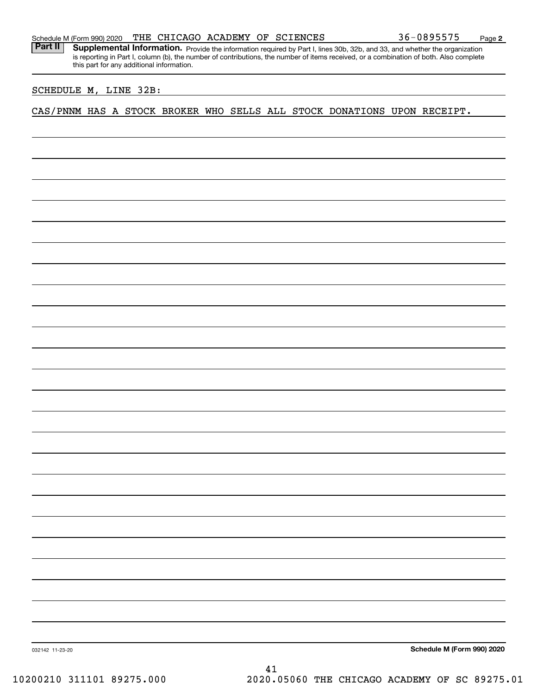Part II | Supplemental Information. Provide the information required by Part I, lines 30b, 32b, and 33, and whether the organization is reporting in Part I, column (b), the number of contributions, the number of items received, or a combination of both. Also complete this part for any additional information.

#### SCHEDULE M, LINE 32B:

CAS/PNNM HAS A STOCK BROKER WHO SELLS ALL STOCK DONATIONS UPON RECEIPT.

**Schedule M (Form 990) 2020**

032142 11-23-20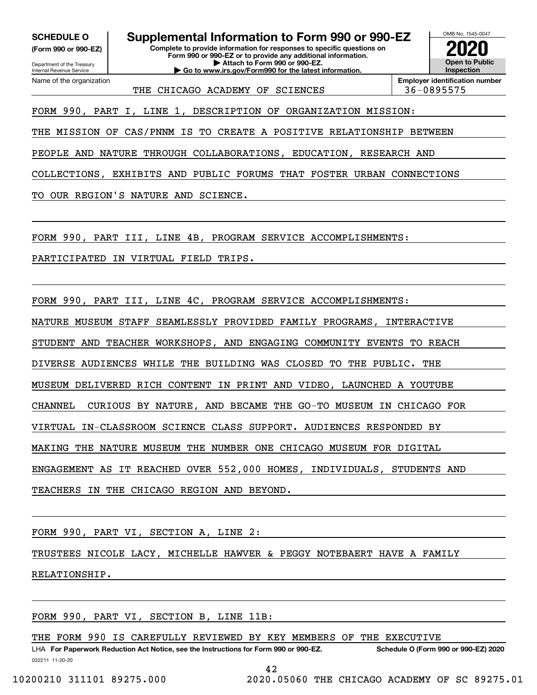**(Form 990 or 990-EZ)**

Department of the Treasury Internal Revenue Service Name of the organization

## **SCHEDULE O Supplemental Information to Form 990 or 990-EZ**

**Complete to provide information for responses to specific questions on Form 990 or 990-EZ or to provide any additional information. | Attach to Form 990 or 990-EZ. | Go to www.irs.gov/Form990 for the latest information.**



THE CHICAGO ACADEMY OF SCIENCES | 36-0895575

**Employer identification number**

FORM 990, PART I, LINE 1, DESCRIPTION OF ORGANIZATION MISSION:

THE MISSION OF CAS/PNNM IS TO CREATE A POSITIVE RELATIONSHIP BETWEEN

PEOPLE AND NATURE THROUGH COLLABORATIONS, EDUCATION, RESEARCH AND

COLLECTIONS, EXHIBITS AND PUBLIC FORUMS THAT FOSTER URBAN CONNECTIONS

TO OUR REGION'S NATURE AND SCIENCE.

FORM 990, PART III, LINE 4B, PROGRAM SERVICE ACCOMPLISHMENTS:

PARTICIPATED IN VIRTUAL FIELD TRIPS.

FORM 990, PART III, LINE 4C, PROGRAM SERVICE ACCOMPLISHMENTS:

NATURE MUSEUM STAFF SEAMLESSLY PROVIDED FAMILY PROGRAMS, INTERACTIVE

STUDENT AND TEACHER WORKSHOPS, AND ENGAGING COMMUNITY EVENTS TO REACH

DIVERSE AUDIENCES WHILE THE BUILDING WAS CLOSED TO THE PUBLIC. THE

MUSEUM DELIVERED RICH CONTENT IN PRINT AND VIDEO, LAUNCHED A YOUTUBE

CHANNEL CURIOUS BY NATURE, AND BECAME THE GO-TO MUSEUM IN CHICAGO FOR

VIRTUAL IN-CLASSROOM SCIENCE CLASS SUPPORT. AUDIENCES RESPONDED BY

MAKING THE NATURE MUSEUM THE NUMBER ONE CHICAGO MUSEUM FOR DIGITAL

ENGAGEMENT AS IT REACHED OVER 552,000 HOMES, INDIVIDUALS, STUDENTS AND

TEACHERS IN THE CHICAGO REGION AND BEYOND.

FORM 990, PART VI, SECTION A, LINE 2:

TRUSTEES NICOLE LACY, MICHELLE HAWVER & PEGGY NOTEBAERT HAVE A FAMILY RELATIONSHIP.

FORM 990, PART VI, SECTION B, LINE 11B:

THE FORM 990 IS CAREFULLY REVIEWED BY KEY MEMBERS OF THE EXECUTIVE

032211 11-20-20 LHA For Paperwork Reduction Act Notice, see the Instructions for Form 990 or 990-EZ. Schedule O (Form 990 or 990-EZ) 2020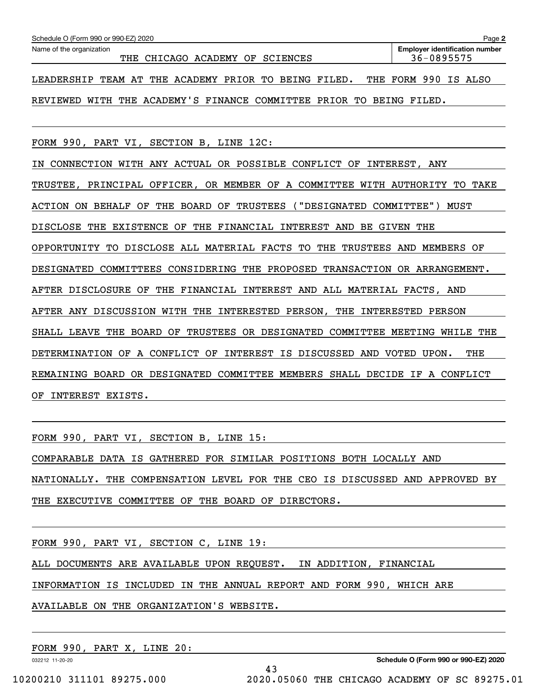| Schedule O (Form 990 or 990-EZ) 2020                                                    | Page 2                                              |
|-----------------------------------------------------------------------------------------|-----------------------------------------------------|
| Name of the organization<br>THE CHICAGO ACADEMY<br>OF.<br>SCIENCES                      | <b>Employer identification number</b><br>36-0895575 |
| TEAM AT THE<br>ACADEMY PRIOR<br>LEADERSHIP<br>TO<br>BEING<br>FILED.                     | THE FORM 990<br>IS ALSO                             |
| WITH THE ACADEMY'S FINANCE COMMITTEE PRIOR TO<br>REVIEWED                               | BEING FILED.                                        |
|                                                                                         |                                                     |
| FORM 990, PART VI, SECTION B, LINE 12C:                                                 |                                                     |
| CONNECTION WITH ANY ACTUAL OR POSSIBLE CONFLICT OF INTEREST, ANY<br>ΙN                  |                                                     |
| TRUSTEE, PRINCIPAL OFFICER, OR MEMBER OF A COMMITTEE                                    | WITH AUTHORITY<br>TО<br>TAKE                        |
| BOARD<br>( "DESIGNATED<br>ΟF<br>THE<br>OF<br>TRUSTEES<br>ACTION<br>ON.<br>BEHALF        | COMMITTEE")<br>MUST                                 |
| DISCLOSE<br>THE<br><b>EXISTENCE</b><br>OF<br>THE<br>FINANCIAL<br>INTEREST<br>BE<br>AND  | <b>GIVEN THE</b>                                    |
| DISCLOSE ALL MATERIAL FACTS TO<br>THE<br>TRUSTEES<br>OPPORTUNITY<br>TO.                 | AND<br>MEMBERS<br>OF                                |
| <b>DESIGNATED</b><br>CONSIDERING<br>PROPOSED<br><b>TRANSACTION</b><br>COMMITTEES<br>THE | OR ARRANGEMENT.                                     |

AFTER DISCLOSURE OF THE FINANCIAL INTEREST AND ALL MATERIAL FACTS, AND

AFTER ANY DISCUSSION WITH THE INTERESTED PERSON, THE INTERESTED PERSON

SHALL LEAVE THE BOARD OF TRUSTEES OR DESIGNATED COMMITTEE MEETING WHILE THE

DETERMINATION OF A CONFLICT OF INTEREST IS DISCUSSED AND VOTED UPON. THE

REMAINING BOARD OR DESIGNATED COMMITTEE MEMBERS SHALL DECIDE IF A CONFLICT OF INTEREST EXISTS.

FORM 990, PART VI, SECTION B, LINE 15:

COMPARABLE DATA IS GATHERED FOR SIMILAR POSITIONS BOTH LOCALLY AND NATIONALLY. THE COMPENSATION LEVEL FOR THE CEO IS DISCUSSED AND APPROVED BY THE EXECUTIVE COMMITTEE OF THE BOARD OF DIRECTORS.

FORM 990, PART VI, SECTION C, LINE 19:

ALL DOCUMENTS ARE AVAILABLE UPON REQUEST. IN ADDITION, FINANCIAL

INFORMATION IS INCLUDED IN THE ANNUAL REPORT AND FORM 990, WHICH ARE

43

AVAILABLE ON THE ORGANIZATION'S WEBSITE.

FORM 990, PART X, LINE 20:

032212 11-20-20